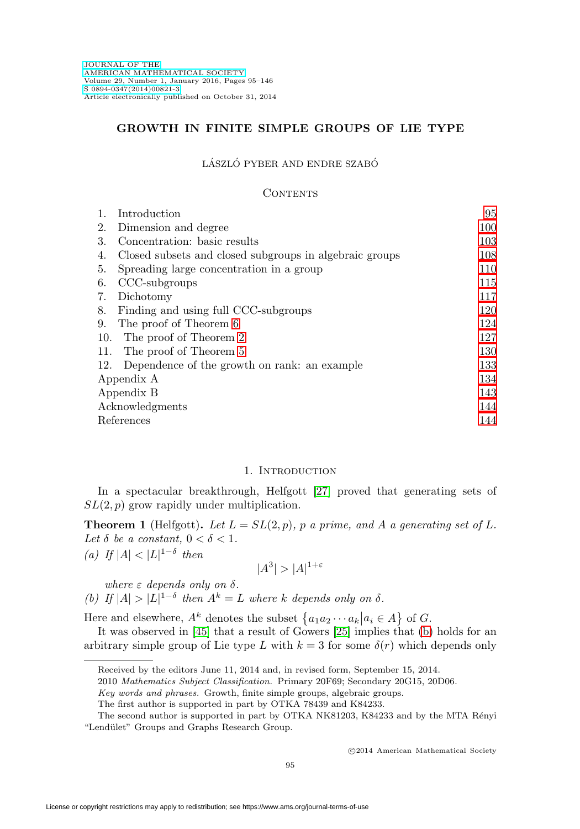## **GROWTH IN FINITE SIMPLE GROUPS OF LIE TYPE**

#### LÁSZLÓ PYBER AND ENDRE SZABÓ

#### **CONTENTS**

| 1.              | Introduction                                            | 95  |  |
|-----------------|---------------------------------------------------------|-----|--|
| 2.              | Dimension and degree                                    | 100 |  |
| 3.              | Concentration: basic results                            | 103 |  |
| 4.              | Closed subsets and closed subgroups in algebraic groups | 108 |  |
| 5.              | Spreading large concentration in a group                | 110 |  |
| 6.              | CCC-subgroups                                           | 115 |  |
| 7.              | Dichotomy                                               | 117 |  |
| 8.              | Finding and using full CCC-subgroups                    | 120 |  |
| 9.              | The proof of Theorem 6                                  | 124 |  |
| 10.             | The proof of Theorem 2                                  | 127 |  |
| 11.             | The proof of Theorem 5                                  | 130 |  |
| 12.             | Dependence of the growth on rank: an example            | 133 |  |
| Appendix A      |                                                         | 134 |  |
| Appendix B      |                                                         | 143 |  |
| Acknowledgments |                                                         |     |  |
|                 | References<br>144                                       |     |  |
|                 |                                                         |     |  |

## 1. INTRODUCTION

<span id="page-0-0"></span>In a spectacular breakthrough, Helfgott [\[27\]](#page-50-0) proved that generating sets of  $SL(2, p)$  grow rapidly under multiplication.

<span id="page-0-3"></span>**Theorem 1** (Helfgott). Let  $L = SL(2, p)$ , p a prime, and A a generating set of L. Let  $\delta$  be a constant,  $0 < \delta < 1$ .

<span id="page-0-2"></span>(a) If  $|A| < |L|^{1-\delta}$  then

$$
|A^3| > |A|^{1+\varepsilon}
$$

where  $\varepsilon$  depends only on  $\delta$ .

<span id="page-0-1"></span>(b) If  $|A| > |L|^{1-\delta}$  then  $A^k = L$  where k depends only on  $\delta$ .

Here and elsewhere,  $A^k$  denotes the subset  $\{a_1a_2 \cdots a_k | a_i \in A\}$  of  $G$ .

It was observed in [\[45\]](#page-51-0) that a result of Gowers [\[25\]](#page-50-1) implies that [\(b\)](#page-0-1) holds for an arbitrary simple group of Lie type L with  $k = 3$  for some  $\delta(r)$  which depends only

2010 Mathematics Subject Classification. Primary 20F69; Secondary 20G15, 20D06.

Received by the editors June 11, 2014 and, in revised form, September 15, 2014.

Key words and phrases. Growth, finite simple groups, algebraic groups.

The first author is supported in part by OTKA 78439 and K84233.

The second author is supported in part by OTKA NK81203, K84233 and by the MTA Rényi "Lendület" Groups and Graphs Research Group.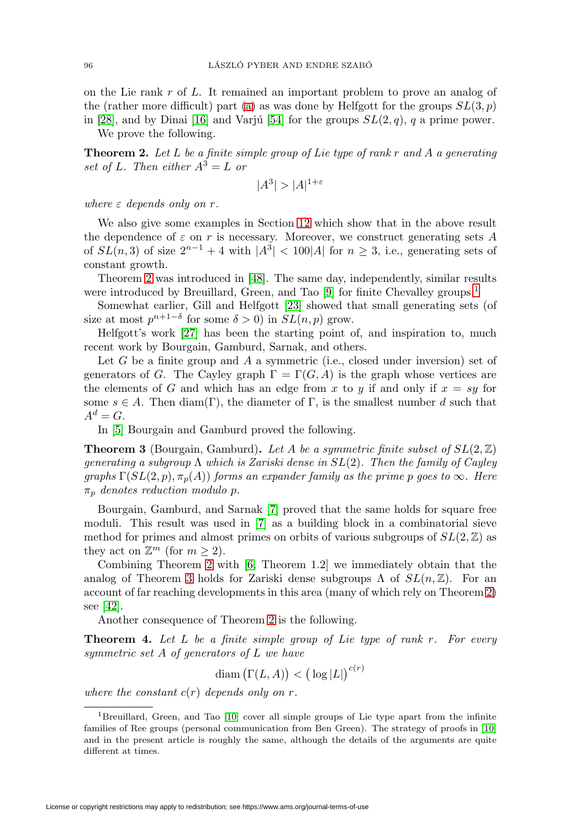on the Lie rank  $r$  of  $L$ . It remained an important problem to prove an analog of the (rather more difficult) part [\(a\)](#page-0-2) as was done by Helfgott for the groups  $SL(3, p)$ in [\[28\]](#page-50-2), and by Dinai [\[16\]](#page-50-3) and Varju [\[54\]](#page-51-1) for the groups  $SL(2, q)$ , q a prime power.

We prove the following.

<span id="page-1-0"></span>**Theorem 2.** Let L be a finite simple group of Lie type of rank r and A a generating set of L. Then either  $A^3 = L$  or

$$
|A^3| > |A|^{1+\varepsilon}
$$

where  $\varepsilon$  depends only on r.

We also give some examples in Section [12](#page-38-0) which show that in the above result the dependence of  $\varepsilon$  on  $r$  is necessary. Moreover, we construct generating sets  $A$ of  $SL(n, 3)$  of size  $2^{n-1} + 4$  with  $|A^3| < 100|A|$  for  $n \ge 3$ , i.e., generating sets of constant growth.

Theorem [2](#page-1-0) was introduced in [\[48\]](#page-51-2). The same day, independently, similar results were introduced by Breuillard, Green, and Tao [\[9\]](#page-49-2) for finite Chevalley groups.<sup>[1](#page-1-1)</sup>

Somewhat earlier, Gill and Helfgott [\[23\]](#page-50-4) showed that small generating sets (of size at most  $p^{n+1-\delta}$  for some  $\delta > 0$ ) in  $SL(n, p)$  grow.

Helfgott's work [\[27\]](#page-50-0) has been the starting point of, and inspiration to, much recent work by Bourgain, Gamburd, Sarnak, and others.

Let  $G$  be a finite group and  $A$  a symmetric (i.e., closed under inversion) set of generators of G. The Cayley graph  $\Gamma = \Gamma(G, A)$  is the graph whose vertices are the elements of G and which has an edge from x to y if and only if  $x = sy$  for some  $s \in A$ . Then diam(Γ), the diameter of Γ, is the smallest number d such that  $A^d = G$ .

In [\[5\]](#page-49-3) Bourgain and Gamburd proved the following.

<span id="page-1-2"></span>**Theorem 3** (Bourgain, Gamburd). Let A be a symmetric finite subset of  $SL(2, \mathbb{Z})$ generating a subgroup  $\Lambda$  which is Zariski dense in  $SL(2)$ . Then the family of Cayley graphs  $\Gamma(SL(2, p), \pi_p(A))$  forms an expander family as the prime p goes to  $\infty$ . Here  $\pi_p$  denotes reduction modulo p.

Bourgain, Gamburd, and Sarnak [\[7\]](#page-49-4) proved that the same holds for square free moduli. This result was used in [\[7\]](#page-49-4) as a building block in a combinatorial sieve method for primes and almost primes on orbits of various subgroups of  $SL(2, \mathbb{Z})$  as they act on  $\mathbb{Z}^m$  (for  $m \geq 2$ ).

Combining Theorem [2](#page-1-0) with [\[6,](#page-49-5) Theorem 1.2] we immediately obtain that the analog of Theorem [3](#page-1-2) holds for Zariski dense subgroups  $\Lambda$  of  $SL(n, \mathbb{Z})$ . For an account of far reaching developments in this area (many of which rely on Theorem [2\)](#page-1-0) see [\[42\]](#page-51-3).

Another consequence of Theorem [2](#page-1-0) is the following.

<span id="page-1-3"></span>**Theorem 4.** Let L be a finite simple group of Lie type of rank r. For every symmetric set A of generators of L we have

$$
\text{diam}\left(\Gamma(L, A)\right) < \left(\log|L|\right)^{c(r)}
$$

where the constant  $c(r)$  depends only on r.

<span id="page-1-1"></span><sup>1</sup>Breuillard, Green, and Tao [\[10\]](#page-49-6) cover all simple groups of Lie type apart from the infinite families of Ree groups (personal communication from Ben Green). The strategy of proofs in [\[10\]](#page-49-6) and in the present article is roughly the same, although the details of the arguments are quite different at times.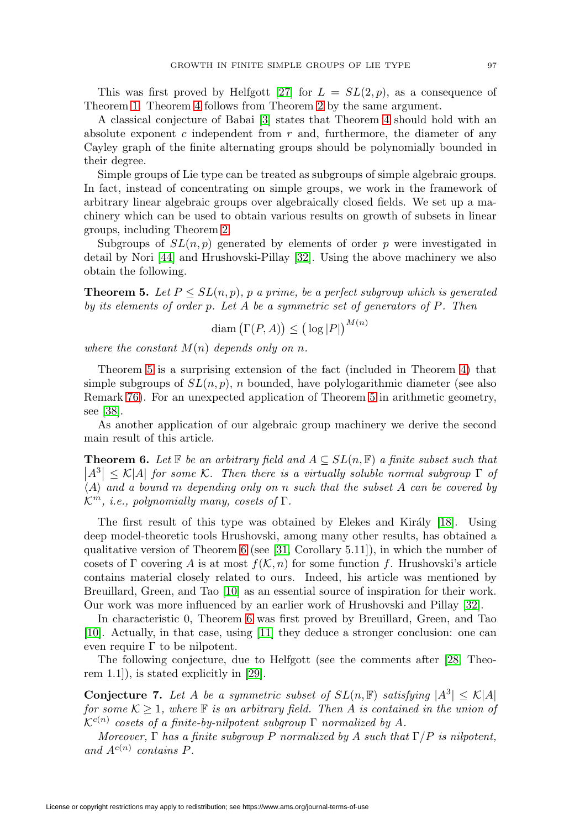This was first proved by Helfgott [\[27\]](#page-50-0) for  $L = SL(2, p)$ , as a consequence of Theorem [1.](#page-0-3) Theorem [4](#page-1-3) follows from Theorem [2](#page-1-0) by the same argument.

A classical conjecture of Babai [\[3\]](#page-49-7) states that Theorem [4](#page-1-3) should hold with an absolute exponent c independent from  $r$  and, furthermore, the diameter of any Cayley graph of the finite alternating groups should be polynomially bounded in their degree.

Simple groups of Lie type can be treated as subgroups of simple algebraic groups. In fact, instead of concentrating on simple groups, we work in the framework of arbitrary linear algebraic groups over algebraically closed fields. We set up a machinery which can be used to obtain various results on growth of subsets in linear groups, including Theorem [2.](#page-1-0)

Subgroups of  $SL(n, p)$  generated by elements of order p were investigated in detail by Nori [\[44\]](#page-51-4) and Hrushovski-Pillay [\[32\]](#page-50-5). Using the above machinery we also obtain the following.

<span id="page-2-1"></span>**Theorem 5.** Let  $P \le SL(n, p)$ , p a prime, be a perfect subgroup which is generated by its elements of order p. Let A be a symmetric set of generators of P. Then

$$
\text{diam}\left(\Gamma(P,A)\right) \leq \left(\log|P|\right)^{M(n)}
$$

where the constant  $M(n)$  depends only on n.

Theorem [5](#page-2-1) is a surprising extension of the fact (included in Theorem [4\)](#page-1-3) that simple subgroups of  $SL(n, p)$ , n bounded, have polylogarithmic diameter (see also Remark [76\)](#page-38-1). For an unexpected application of Theorem [5](#page-2-1) in arithmetic geometry, see [\[38\]](#page-50-6).

As another application of our algebraic group machinery we derive the second main result of this article.

<span id="page-2-0"></span>**Theorem 6.** Let  $\mathbb{F}$  be an arbitrary field and  $A \subseteq SL(n, \mathbb{F})$  a finite subset such that  $\left|A^3\right| \leq \mathcal{K}|A|$  for some K. Then there is a virtually soluble normal subgroup  $\Gamma$  of  $\langle A \rangle$  and a bound m depending only on n such that the subset A can be covered by  $\mathcal{K}^m$ , i.e., polynomially many, cosets of  $\Gamma$ .

The first result of this type was obtained by Elekes and Király  $[18]$ . Using deep model-theoretic tools Hrushovski, among many other results, has obtained a qualitative version of Theorem [6](#page-2-0) (see [\[31,](#page-50-8) Corollary 5.11]), in which the number of cosets of Γ covering A is at most  $f(\mathcal{K}, n)$  for some function f. Hrushovski's article contains material closely related to ours. Indeed, his article was mentioned by Breuillard, Green, and Tao [\[10\]](#page-49-6) as an essential source of inspiration for their work. Our work was more influenced by an earlier work of Hrushovski and Pillay [\[32\]](#page-50-5).

In characteristic 0, Theorem [6](#page-2-0) was first proved by Breuillard, Green, and Tao [\[10\]](#page-49-6). Actually, in that case, using [\[11\]](#page-49-8) they deduce a stronger conclusion: one can even require  $\Gamma$  to be nilpotent.

The following conjecture, due to Helfgott (see the comments after [\[28,](#page-50-2) Theorem 1.1]), is stated explicitly in [\[29\]](#page-50-9).

<span id="page-2-2"></span>**Conjecture 7.** Let A be a symmetric subset of  $SL(n, \mathbb{F})$  satisfying  $|A^3| \leq K|A|$ for some  $K \geq 1$ , where  $\mathbb F$  is an arbitrary field. Then A is contained in the union of  $\mathcal{K}^{c(n)}$  cosets of a finite-by-nilpotent subgroup  $\Gamma$  normalized by A.

Moreover,  $\Gamma$  has a finite subgroup P normalized by A such that  $\Gamma/P$  is nilpotent, and  $A^{c(n)}$  contains P.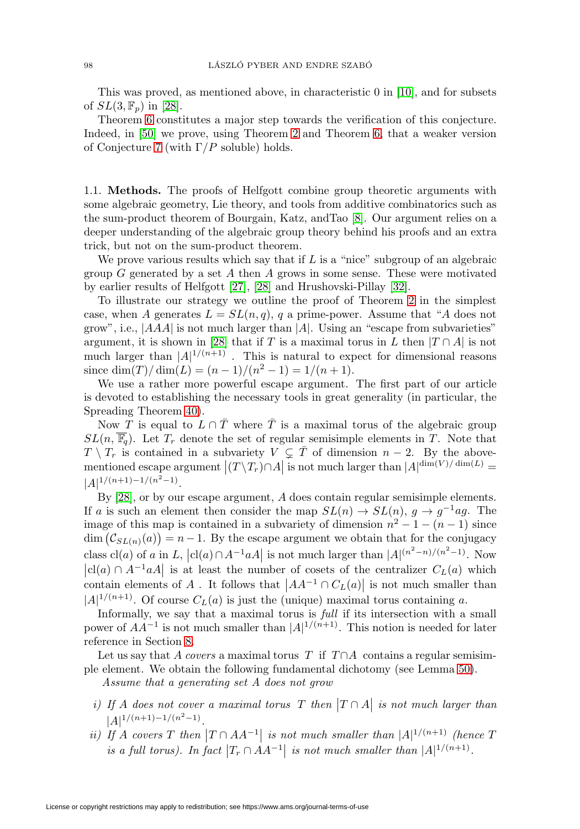This was proved, as mentioned above, in characteristic 0 in [\[10\]](#page-49-6), and for subsets of  $SL(3, \mathbb{F}_p)$  in [\[28\]](#page-50-2).

Theorem [6](#page-2-0) constitutes a major step towards the verification of this conjecture. Indeed, in [\[50\]](#page-51-5) we prove, using Theorem [2](#page-1-0) and Theorem [6,](#page-2-0) that a weaker version of Conjecture [7](#page-2-2) (with  $\Gamma/P$  soluble) holds.

1.1. **Methods.** The proofs of Helfgott combine group theoretic arguments with some algebraic geometry, Lie theory, and tools from additive combinatorics such as the sum-product theorem of Bourgain, Katz, andTao [\[8\]](#page-49-9). Our argument relies on a deeper understanding of the algebraic group theory behind his proofs and an extra trick, but not on the sum-product theorem.

We prove various results which say that if  $L$  is a "nice" subgroup of an algebraic group  $G$  generated by a set  $A$  then  $A$  grows in some sense. These were motivated by earlier results of Helfgott [\[27\]](#page-50-0), [\[28\]](#page-50-2) and Hrushovski-Pillay [\[32\]](#page-50-5).

To illustrate our strategy we outline the proof of Theorem [2](#page-1-0) in the simplest case, when A generates  $L = SL(n, q)$ , q a prime-power. Assume that "A does not grow", i.e.,  $|AAA|$  is not much larger than |A|. Using an "escape from subvarieties" argument, it is shown in [\[28\]](#page-50-2) that if T is a maximal torus in L then  $|T \cap A|$  is not much larger than  $|A|^{1/(n+1)}$ . This is natural to expect for dimensional reasons since dim(T)/ $\dim(L) = (n - 1)/(n^2 - 1) = 1/(n + 1)$ .

We use a rather more powerful escape argument. The first part of our article is devoted to establishing the necessary tools in great generality (in particular, the Spreading Theorem [40\)](#page-19-0).

Now T is equal to  $L \cap \overline{T}$  where  $\overline{T}$  is a maximal torus of the algebraic group  $SL(n, \overline{\mathbb{F}_q})$ . Let  $T_r$  denote the set of regular semisimple elements in T. Note that  $T \setminus T_r$  is contained in a subvariety  $V \subsetneq \overline{T}$  of dimension  $n-2$ . By the abovementioned escape argument  $|(T \setminus T_r) \cap A|$  is not much larger than  $|A|^{dim(V)/dim(L)} =$  $|A|^{1/(n+1)-1/(n^2-1)}$ .

By [\[28\]](#page-50-2), or by our escape argument, A does contain regular semisimple elements. If a is such an element then consider the map  $SL(n) \to SL(n)$ ,  $g \to g^{-1}ag$ . The image of this map is contained in a subvariety of dimension  $n^2 - 1 - (n - 1)$  since  $\dim (\mathcal{C}_{SL(n)}(a)) = n-1$ . By the escape argument we obtain that for the conjugacy class cl(a) of a in L,  $|cl(a) \cap A^{-1}aA|$  is not much larger than  $|A|^{(n^2-n)/(n^2-1)}$ . Now  $|cl(a) \cap A^{-1}aA|$  is at least the number of cosets of the centralizer  $C_L(a)$  which contain elements of A. It follows that  $|AA^{-1} \cap C_L(a)|$  is not much smaller than  $|A|^{1/(n+1)}$ . Of course  $C_L(a)$  is just the (unique) maximal torus containing a.

Informally, we say that a maximal torus is full if its intersection with a small power of  $AA^{-1}$  is not much smaller than  $|A|^{1/(n+1)}$ . This notion is needed for later reference in Section [8.](#page-25-0)

Let us say that A covers a maximal torus T if  $T \cap A$  contains a regular semisimple element. We obtain the following fundamental dichotomy (see Lemma [50\)](#page-24-0).

Assume that a generating set A does not grow

- i) If A does not cover a maximal torus T then  $|T \cap A|$  is not much larger than  $|A|^{1/(n+1)-1/(n^2-1)}$ .
- <span id="page-3-0"></span>ii) If A covers T then  $|T \cap AA^{-1}|$  is not much smaller than  $|A|^{1/(n+1)}$  (hence T is a full torus). In fact  $|T_r \cap AA^{-1}|$  is not much smaller than  $|A|^{1/(n+1)}$ .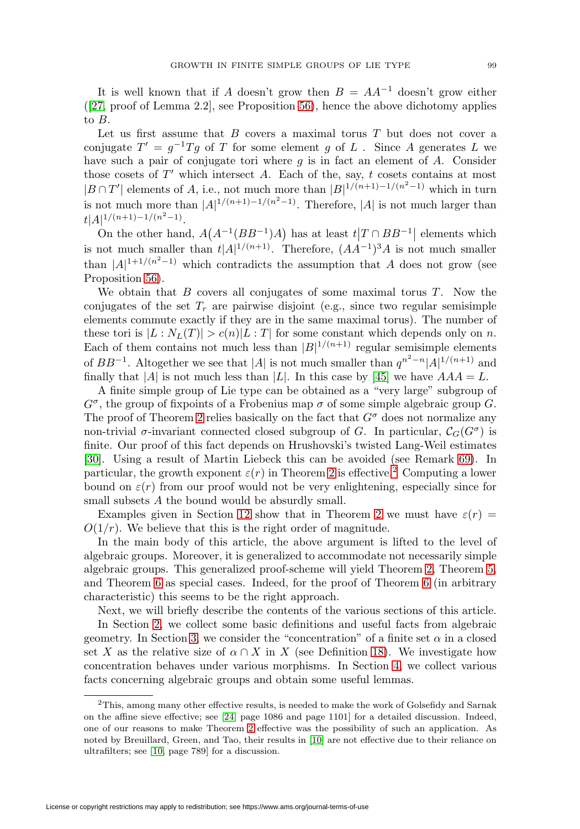It is well known that if A doesn't grow then  $B = AA^{-1}$  doesn't grow either  $([27, \text{proof of Lemma 2.2}],$  $([27, \text{proof of Lemma 2.2}],$  $([27, \text{proof of Lemma 2.2}],$  see Proposition [56\)](#page-30-0), hence the above dichotomy applies to B.

Let us first assume that  $B$  covers a maximal torus  $T$  but does not cover a conjugate  $T' = g^{-1}Tg$  of T for some element g of L. Since A generates L we have such a pair of conjugate tori where  $g$  is in fact an element of  $A$ . Consider those cosets of  $T'$  which intersect A. Each of the, say,  $t$  cosets contains at most  $|B \cap T'|$  elements of A, i.e., not much more than  $|B|^{1/(n+1)-1/(n^2-1)}$  which in turn is not much more than  $|A|^{1/(n+1)-1/(n^2-1)}$ . Therefore,  $|A|$  is not much larger than  $t|A|^{1/(n+1)-1/(n^2-1)}$ .

On the other hand,  $A(A^{-1}(BB^{-1})A)$  has at least  $t|T \cap BB^{-1}|$  elements which is not much smaller than  $t|A|^{1/(n+1)}$ . Therefore,  $(AA^{-1})^3A$  is not much smaller than  $|A|^{1+1/(n^2-1)}$  which contradicts the assumption that A does not grow (see Proposition [56\)](#page-30-0).

We obtain that  $B$  covers all conjugates of some maximal torus  $T$ . Now the conjugates of the set  $T_r$  are pairwise disjoint (e.g., since two regular semisimple elements commute exactly if they are in the same maximal torus). The number of these tori is  $|L : N_L(T)| > c(n)|L : T|$  for some constant which depends only on n. Each of them contains not much less than  $|B|^{1/(n+1)}$  regular semisimple elements of  $BB^{-1}$ . Altogether we see that |A| is not much smaller than  $q^{n^2-n}|A|^{1/(n+1)}$  and finally that |A| is not much less than |L|. In this case by [\[45\]](#page-51-0) we have  $AAA = L$ .

A finite simple group of Lie type can be obtained as a "very large" subgroup of  $G^{\sigma}$ , the group of fixpoints of a Frobenius map  $\sigma$  of some simple algebraic group G. The proof of Theorem [2](#page-1-0) relies basically on the fact that  $G^{\sigma}$  does not normalize any non-trivial  $\sigma$ -invariant connected closed subgroup of G. In particular,  $C_G(G^{\sigma})$  is finite. Our proof of this fact depends on Hrushovski's twisted Lang-Weil estimates [\[30\]](#page-50-10). Using a result of Martin Liebeck this can be avoided (see Remark [69\)](#page-35-1). In particular, the growth exponent  $\varepsilon(r)$  in Theorem [2](#page-1-0) is effective.<sup>[2](#page-4-0)</sup> Computing a lower bound on  $\varepsilon(r)$  from our proof would not be very enlightening, especially since for small subsets A the bound would be absurdly small.

Examples given in Section [12](#page-38-0) show that in Theorem [2](#page-1-0) we must have  $\varepsilon(r)$  =  $O(1/r)$ . We believe that this is the right order of magnitude.

In the main body of this article, the above argument is lifted to the level of algebraic groups. Moreover, it is generalized to accommodate not necessarily simple algebraic groups. This generalized proof-scheme will yield Theorem [2,](#page-1-0) Theorem [5,](#page-2-1) and Theorem [6](#page-2-0) as special cases. Indeed, for the proof of Theorem [6](#page-2-0) (in arbitrary characteristic) this seems to be the right approach.

Next, we will briefly describe the contents of the various sections of this article.

In Section [2,](#page-5-0) we collect some basic definitions and useful facts from algebraic geometry. In Section [3,](#page-8-0) we consider the "concentration" of a finite set  $\alpha$  in a closed set X as the relative size of  $\alpha \cap X$  in X (see Definition [18\)](#page-8-1). We investigate how concentration behaves under various morphisms. In Section [4,](#page-13-0) we collect various facts concerning algebraic groups and obtain some useful lemmas.

<span id="page-4-0"></span><sup>&</sup>lt;sup>2</sup>This, among many other effective results, is needed to make the work of Golsefidy and Sarnak on the affine sieve effective; see [\[24,](#page-50-11) page 1086 and page 1101] for a detailed discussion. Indeed, one of our reasons to make Theorem [2](#page-1-0) effective was the possibility of such an application. As noted by Breuillard, Green, and Tao, their results in [\[10\]](#page-49-6) are not effective due to their reliance on ultrafilters; see [\[10,](#page-49-6) page 789] for a discussion.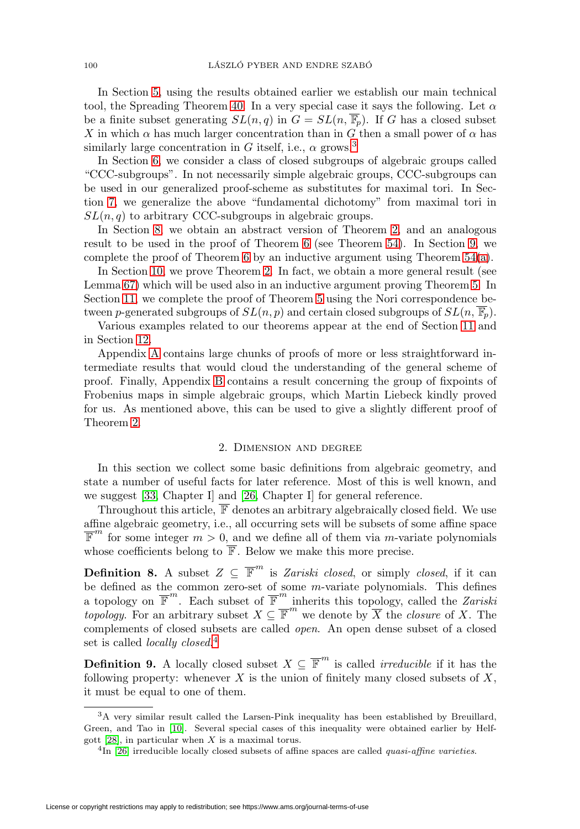In Section [5,](#page-15-0) using the results obtained earlier we establish our main technical tool, the Spreading Theorem [40.](#page-19-0) In a very special case it says the following. Let  $\alpha$ be a finite subset generating  $SL(n, q)$  in  $G = SL(n, \overline{\mathbb{F}_p})$ . If G has a closed subset X in which  $\alpha$  has much larger concentration than in G then a small power of  $\alpha$  has similarly large concentration in G itself, i.e.,  $\alpha$  grows.<sup>[3](#page-5-1)</sup>

In Section [6,](#page-20-0) we consider a class of closed subgroups of algebraic groups called "CCC-subgroups". In not necessarily simple algebraic groups, CCC-subgroups can be used in our generalized proof-scheme as substitutes for maximal tori. In Section [7,](#page-22-0) we generalize the above "fundamental dichotomy" from maximal tori in  $SL(n, q)$  to arbitrary CCC-subgroups in algebraic groups.

In Section [8,](#page-25-0) we obtain an abstract version of Theorem [2,](#page-1-0) and an analogous result to be used in the proof of Theorem [6](#page-2-0) (see Theorem [54\)](#page-27-0). In Section [9,](#page-29-0) we complete the proof of Theorem [6](#page-2-0) by an inductive argument using Theorem  $54(a)$  $54(a)$ .

In Section [10,](#page-32-0) we prove Theorem [2.](#page-1-0) In fact, we obtain a more general result (see Lemma [67\)](#page-34-0) which will be used also in an inductive argument proving Theorem [5.](#page-2-1) In Section [11,](#page-35-0) we complete the proof of Theorem [5](#page-2-1) using the Nori correspondence between p-generated subgroups of  $SL(n, p)$  and certain closed subgroups of  $SL(n, \overline{\mathbb{F}_p})$ .

Various examples related to our theorems appear at the end of Section [11](#page-35-0) and in Section [12.](#page-38-0)

Appendix [A](#page-39-0) contains large chunks of proofs of more or less straightforward intermediate results that would cloud the understanding of the general scheme of proof. Finally, Appendix [B](#page-48-0) contains a result concerning the group of fixpoints of Frobenius maps in simple algebraic groups, which Martin Liebeck kindly proved for us. As mentioned above, this can be used to give a slightly different proof of Theorem [2.](#page-1-0)

### 2. Dimension and degree

<span id="page-5-0"></span>In this section we collect some basic definitions from algebraic geometry, and state a number of useful facts for later reference. Most of this is well known, and we suggest [\[33,](#page-50-12) Chapter I] and [\[26,](#page-50-13) Chapter I] for general reference.

Throughout this article,  $\overline{\mathbb{F}}$  denotes an arbitrary algebraically closed field. We use affine algebraic geometry, i.e., all occurring sets will be subsets of some affine space  $\overline{\mathbb{F}}^m$  for some integer  $m > 0$ , and we define all of them via *m*-variate polynomials whose coefficients belong to  $\overline{\mathbb{F}}$ . Below we make this more precise.

**Definition 8.** A subset  $Z \subseteq \overline{\mathbb{F}}^m$  is Zariski closed, or simply closed, if it can be defined as the common zero-set of some m-variate polynomials. This defines a topology on  $\overline{\mathbb{F}}^m$ . Each subset of  $\overline{\mathbb{F}}^m$  inherits this topology, called the Zariski topology. For an arbitrary subset  $X \subseteq \overline{\mathbb{F}}^m$  we denote by  $\overline{X}$  the *closure* of X. The complements of closed subsets are called open. An open dense subset of a closed set is called *locally closed.*<sup>[4](#page-5-2)</sup>

**Definition 9.** A locally closed subset  $X \subseteq \overline{\mathbb{F}}^m$  is called *irreducible* if it has the following property: whenever  $X$  is the union of finitely many closed subsets of  $X$ , it must be equal to one of them.

<span id="page-5-1"></span><sup>3</sup>A very similar result called the Larsen-Pink inequality has been established by Breuillard, Green, and Tao in [\[10\]](#page-49-6). Several special cases of this inequality were obtained earlier by Helfgott  $[28]$ , in particular when X is a maximal torus.

<span id="page-5-2"></span> $^{4}$ In [\[26\]](#page-50-13) irreducible locally closed subsets of affine spaces are called *quasi-affine varieties*.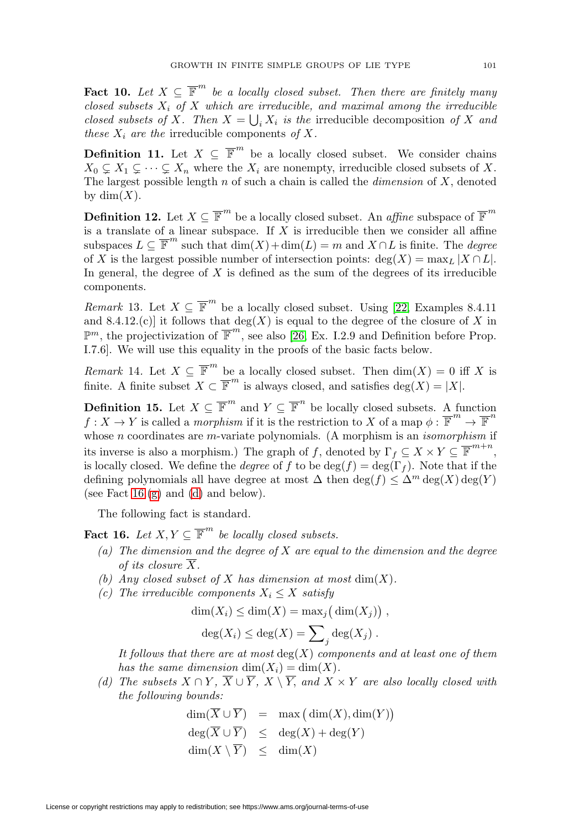**Fact 10.** Let  $X \subseteq \overline{\mathbb{F}}^m$  be a locally closed subset. Then there are finitely many closed subsets  $X_i$  of X which are irreducible, and maximal among the irreducible closed subsets of X. Then  $X = \bigcup_i X_i$  is the irreducible decomposition of X and these  $X_i$  are the irreducible components of X.

<span id="page-6-5"></span>**Definition 11.** Let  $X \subseteq \overline{\mathbb{F}}^m$  be a locally closed subset. We consider chains  $X_0 \subsetneq X_1 \subsetneq \cdots \subsetneq X_n$  where the  $X_i$  are nonempty, irreducible closed subsets of X. The largest possible length  $n$  of such a chain is called the *dimension* of  $X$ , denoted by  $\dim(X)$ .

<span id="page-6-6"></span>**Definition 12.** Let  $X \subseteq \overline{\mathbb{F}}^m$  be a locally closed subset. An *affine* subspace of  $\overline{\mathbb{F}}^m$ is a translate of a linear subspace. If  $X$  is irreducible then we consider all affine subspaces  $L \subseteq \overline{\mathbb{F}}^m$  such that  $\dim(X) + \dim(L) = m$  and  $X \cap L$  is finite. The *degree* of X is the largest possible number of intersection points:  $deg(X) = max_L |X \cap L|$ . In general, the degree of  $X$  is defined as the sum of the degrees of its irreducible components.

*Remark* 13. Let  $X \subseteq \overline{\mathbb{F}}^m$  be a locally closed subset. Using [\[22,](#page-50-14) Examples 8.4.11] and 8.4.12.(c)] it follows that  $deg(X)$  is equal to the degree of the closure of X in  $\mathbb{P}^m$ , the projectivization of  $\overline{\mathbb{F}}^m$ , see also [\[26,](#page-50-13) Ex. I.2.9 and Definition before Prop. I.7.6]. We will use this equality in the proofs of the basic facts below.

<span id="page-6-7"></span>*Remark* 14. Let  $X \subseteq \overline{\mathbb{F}}^m$  be a locally closed subset. Then  $\dim(X) = 0$  iff X is finite. A finite subset  $X \subset \overline{\mathbb{F}}^m$  is always closed, and satisfies deg(X) = |X|.

<span id="page-6-8"></span>**Definition 15.** Let  $X \subseteq \overline{\mathbb{F}}^m$  and  $Y \subseteq \overline{\mathbb{F}}^n$  be locally closed subsets. A function  $f: X \to Y$  is called a *morphism* if it is the restriction to X of a map  $\phi: \overline{\mathbb{F}}^m \to \overline{\mathbb{F}}^n$ whose  $n$  coordinates are  $m$ -variate polynomials. (A morphism is an *isomorphism* if its inverse is also a morphism.) The graph of f, denoted by  $\Gamma_f \subseteq X \times Y \subseteq \overline{\mathbb{F}}^{m+n}$ , is locally closed. We define the *degree* of f to be  $\deg(f) = \deg(\Gamma_f)$ . Note that if the defining polynomials all have degree at most  $\Delta$  then  $\deg(f) \leq \Delta^m \deg(X) \deg(Y)$ (see Fact  $16(g)$  $16(g)$  and  $(d)$  and below).

The following fact is standard.

<span id="page-6-2"></span><span id="page-6-0"></span>**Fact 16.** Let  $X, Y \subseteq \overline{\mathbb{F}}^m$  be locally closed subsets.

- (a) The dimension and the degree of  $X$  are equal to the dimension and the degree of its closure  $\overline{X}$ .
- <span id="page-6-4"></span><span id="page-6-3"></span>(b) Any closed subset of X has dimension at most  $\dim(X)$ .
- (c) The irreducible components  $X_i \leq X$  satisfy

$$
\dim(X_i) \leq \dim(X) = \max_j \big(\dim(X_j)\big) ,
$$

$$
deg(X_i) \le deg(X) = \sum_j deg(X_j) .
$$

It follows that there are at most  $deg(X)$  components and at least one of them has the same dimension  $\dim(X_i) = \dim(X)$ .

<span id="page-6-1"></span>(d) The subsets  $X \cap Y$ ,  $\overline{X} \cup \overline{Y}$ ,  $X \setminus \overline{Y}$ , and  $X \times Y$  are also locally closed with the following bounds:

$$
\dim(\overline{X} \cup \overline{Y}) = \max(\dim(X), \dim(Y))
$$
  

$$
\deg(\overline{X} \cup \overline{Y}) \leq \deg(X) + \deg(Y)
$$
  

$$
\dim(X \setminus \overline{Y}) \leq \dim(X)
$$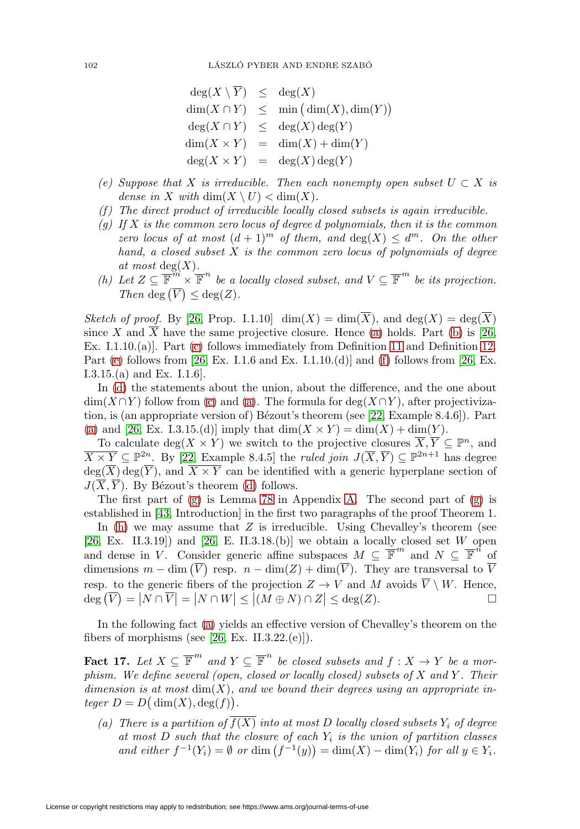| $deg(X \setminus \overline{Y}) \leq deg(X)$ |                                              |
|---------------------------------------------|----------------------------------------------|
|                                             | $\dim(X \cap Y) \leq \min(\dim(X), \dim(Y))$ |
|                                             | $deg(X \cap Y) \leq deg(X)deg(Y)$            |
|                                             | $\dim(X \times Y) = \dim(X) + \dim(Y)$       |
|                                             | $deg(X \times Y) = deg(X)deg(Y)$             |

- <span id="page-7-1"></span>(e) Suppose that X is irreducible. Then each nonempty open subset  $U \subset X$  is dense in X with  $\dim(X \setminus U) < \dim(X)$ .
- <span id="page-7-2"></span><span id="page-7-0"></span> $(f)$  The direct product of irreducible locally closed subsets is again irreducible.
- (g) If X is the common zero locus of degree d polynomials, then it is the common zero locus of at most  $(d+1)^m$  of them, and  $deg(X) \leq d^m$ . On the other hand, a closed subset  $X$  is the common zero locus of polynomials of degree at most  $deg(X)$ .
- <span id="page-7-3"></span>(h) Let  $Z \subseteq \overline{\mathbb{F}}^m \times \overline{\mathbb{F}}^n$  be a locally closed subset, and  $V \subseteq \overline{\mathbb{F}}^m$  be its projection. Then deg  $(\overline{V}) \leq deg(Z)$ .

Sketch of proof. By [\[26,](#page-50-13) Prop. I.1.10]  $\dim(X) = \dim(\overline{X})$ , and  $\deg(X) = \deg(\overline{X})$ since X and X have the same projective closure. Hence [\(a\)](#page-6-2) holds. Part [\(b\)](#page-6-3) is [\[26,](#page-50-13) Ex. I.1.10.(a)]. Part [\(c\)](#page-6-4) follows immediately from Definition [11](#page-6-5) and Definition [12.](#page-6-6) Part [\(e\)](#page-7-1) follows from [\[26,](#page-50-13) Ex. I.1.6 and Ex. I.1.10.(d)] and [\(f\)](#page-7-2) follows from [26, Ex. I.3.15.(a) and Ex. I.1.6].

In [\(d\)](#page-6-1) the statements about the union, about the difference, and the one about  $\dim(X \cap Y)$  follow from [\(c\)](#page-6-4) and [\(a\)](#page-6-2). The formula for  $\deg(X \cap Y)$ , after projectivization, is (an appropriate version of) Bézout's theorem (see  $[22, Example 8.4.6]$  $[22, Example 8.4.6]$ ). Part [\(a\)](#page-6-2) and [\[26,](#page-50-13) Ex. I.3.15.(d)] imply that  $\dim(X \times Y) = \dim(X) + \dim(Y)$ .

To calculate  $\deg(X \times Y)$  we switch to the projective closures  $\overline{X}, \overline{Y} \subseteq \mathbb{P}^n$ , and  $\overline{X \times Y} \subseteq \mathbb{P}^{2n}$ . By [\[22,](#page-50-14) Example 8.4.5] the *ruled join*  $J(\overline{X}, \overline{Y}) \subseteq \mathbb{P}^{2n+1}$  has degree  $deg(\overline{X}) deg(\overline{Y})$ , and  $\overline{X \times Y}$  can be identified with a generic hyperplane section of  $J(\overline{X}, \overline{Y})$ . By Bézout's theorem [\(d\)](#page-6-1) follows.

The first part of  $(g)$  is Lemma [78](#page-39-1) in Appendix [A.](#page-39-0) The second part of  $(g)$  is established in [\[43,](#page-51-6) Introduction] in the first two paragraphs of the proof Theorem 1. In  $(h)$  we may assume that  $Z$  is irreducible. Using Chevalley's theorem (see  $[26, Ex. II.3.19]$  $[26, Ex. II.3.19]$  and  $[26, E. II.3.18.6]$  we obtain a locally closed set W open and dense in V. Consider generic affine subspaces  $M \subseteq \overline{\mathbb{F}}^m$  and  $N \subseteq \overline{\mathbb{F}}^n$  of dimensions  $m - \dim(\overline{V})$  resp.  $n - \dim(Z) + \dim(\overline{V})$ . They are transversal to  $\overline{V}$ resp. to the generic fibers of the projection  $Z \to V$  and M avoids  $\overline{V} \setminus W$ . Hence,

In the following fact [\(a\)](#page-7-4) yields an effective version of Chevalley's theorem on the fibers of morphisms (see [\[26,](#page-50-13) Ex. II.3.22.(e)]).

 $deg(\overline{V}) = |N \cap \overline{V}| = |N \cap W| \le |(M \oplus N) \cap Z| \le deg(Z).$ 

 $\Box$ 

<span id="page-7-5"></span>**Fact 17.** Let  $X \subseteq \overline{\mathbb{F}}^m$  and  $Y \subseteq \overline{\mathbb{F}}^n$  be closed subsets and  $f : X \to Y$  be a morphism. We define several (open, closed or locally closed) subsets of  $X$  and  $Y$ . Their dimension is at most  $\dim(X)$ , and we bound their degrees using an appropriate in $teger D = D(\dim(X), \deg(f)).$ 

<span id="page-7-4"></span>(a) There is a partition of  $f(X)$  into at most D locally closed subsets  $Y_i$  of degree at most  $D$  such that the closure of each  $Y_i$  is the union of partition classes and either  $f^{-1}(Y_i) = \emptyset$  or dim  $(f^{-1}(y)) = \dim(X) - \dim(Y_i)$  for all  $y \in Y_i$ .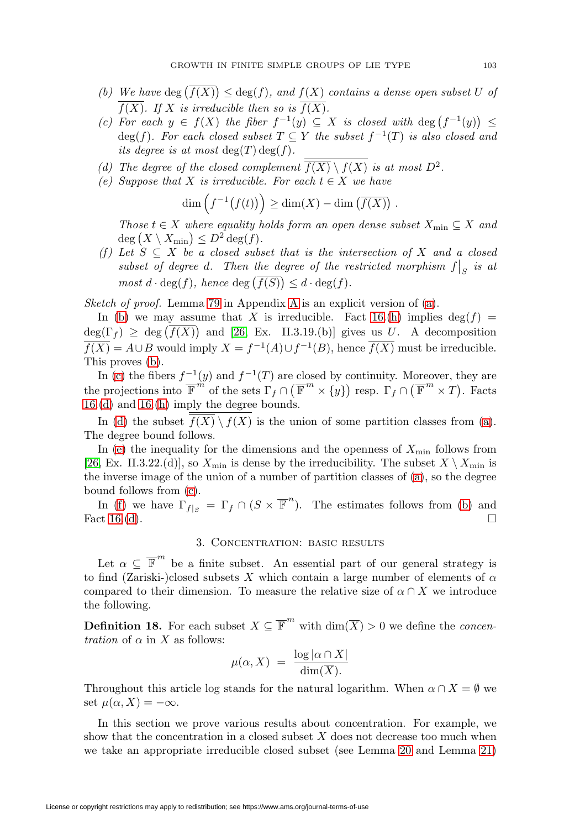- <span id="page-8-2"></span>(b) We have  $deg(f(X)) \leq deg(f)$ , and  $f(X)$  contains a dense open subset U of  $\overline{f(X)}$ . If X is irreducible then so is  $\overline{f(X)}$ .
- <span id="page-8-3"></span>(c) For each  $y \in f(X)$  the fiber  $f^{-1}(y) \subseteq X$  is closed with  $\deg(f^{-1}(y)) \leq$  $deg(f)$ . For each closed subset  $T \subseteq Y$  the subset  $f^{-1}(T)$  is also closed and its degree is at most  $\deg(T) \deg(f)$ .
- <span id="page-8-5"></span><span id="page-8-4"></span>(d) The degree of the closed complement  $\overline{f(X)} \setminus f(X)$  is at most  $D^2$ .
- (e) Suppose that X is irreducible. For each  $t \in X$  we have

$$
\dim\left(f^{-1}(f(t))\right) \ge \dim(X) - \dim\left(\overline{f(X)}\right).
$$

Those  $t \in X$  where equality holds form an open dense subset  $X_{\min} \subseteq X$  and  $deg(X \setminus X_{\min}) \leq D^2 deg(f).$ 

<span id="page-8-6"></span>(f) Let  $S \subseteq X$  be a closed subset that is the intersection of X and a closed subset of degree d. Then the degree of the restricted morphism  $f|_S$  is at most  $d \cdot \deg(f)$ , hence  $\deg(f(S)) \leq d \cdot \deg(f)$ .

Sketch of proof. Lemma [79](#page-39-2) in [A](#page-39-0)ppendix A is an explicit version of [\(a\)](#page-7-4).

In [\(b\)](#page-8-2) we may assume that X is irreducible. Fact [16.](#page-6-0)[\(h\)](#page-7-3) implies  $\deg(f)$  =  $deg(\Gamma_f) \geq deg(f(X))$  and [\[26,](#page-50-13) Ex. II.3.19.(b)] gives us U. A decomposition  $\overline{f(X)} = A \cup B$  would imply  $X = f^{-1}(A) \cup f^{-1}(B)$ , hence  $\overline{f(X)}$  must be irreducible. This proves [\(b\)](#page-8-2).

In [\(c\)](#page-8-3) the fibers  $f^{-1}(y)$  and  $f^{-1}(T)$  are closed by continuity. Moreover, they are the projections into  $\overline{\mathbb{F}}^{m}$  of the sets  $\Gamma_f \cap (\overline{\mathbb{F}}^{m} \times \{y\})$  resp.  $\Gamma_f \cap (\overline{\mathbb{F}}^{m} \times T)$ . Facts [16.](#page-6-0)[\(d\)](#page-6-1) and [16.](#page-6-0)[\(h\)](#page-7-3) imply the degree bounds.

In [\(d\)](#page-8-4) the subset  $\overline{f(X)} \setminus f(X)$  is the union of some partition classes from [\(a\)](#page-7-4). The degree bound follows.

In [\(e\)](#page-8-5) the inequality for the dimensions and the openness of  $X_{\text{min}}$  follows from [\[26,](#page-50-13) Ex. II.3.22.(d)], so  $X_{\text{min}}$  is dense by the irreducibility. The subset  $X \setminus X_{\text{min}}$  is the inverse image of the union of a number of partition classes of [\(a\)](#page-7-4), so the degree bound follows from [\(c\)](#page-8-3).

In [\(f\)](#page-8-6) we have  $\Gamma_{f|S} = \Gamma_f \cap (S \times \overline{\mathbb{F}}^n)$ . The estimates follows from [\(b\)](#page-8-2) and Fact [16.](#page-6-0)[\(d\)](#page-6-1).  $\Box$ 

## 3. Concentration: basic results

<span id="page-8-0"></span>Let  $\alpha \subseteq \overline{\mathbb{F}}^m$  be a finite subset. An essential part of our general strategy is to find (Zariski-)closed subsets X which contain a large number of elements of  $\alpha$ compared to their dimension. To measure the relative size of  $\alpha \cap X$  we introduce the following.

<span id="page-8-1"></span>**Definition 18.** For each subset  $X \subseteq \overline{\mathbb{F}}^m$  with  $\dim(\overline{X}) > 0$  we define the *concen*tration of  $\alpha$  in X as follows:

$$
\mu(\alpha, X) = \frac{\log |\alpha \cap X|}{\dim(\overline{X})}
$$

Throughout this article log stands for the natural logarithm. When  $\alpha \cap X = \emptyset$  we set  $\mu(\alpha, X) = -\infty$ .

In this section we prove various results about concentration. For example, we show that the concentration in a closed subset  $X$  does not decrease too much when we take an appropriate irreducible closed subset (see Lemma [20](#page-9-0) and Lemma [21\)](#page-9-1)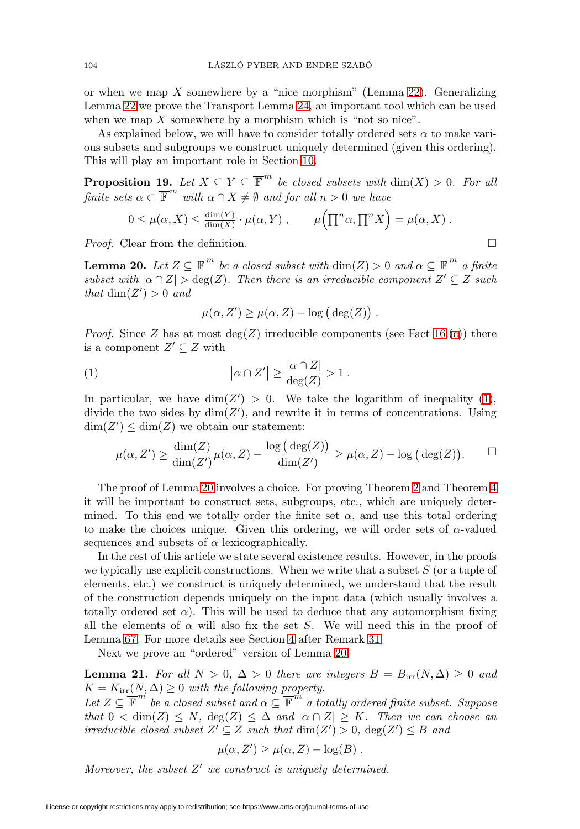or when we map  $X$  somewhere by a "nice morphism" (Lemma [22\)](#page-11-0). Generalizing Lemma [22](#page-11-0) we prove the Transport Lemma [24,](#page-12-0) an important tool which can be used when we map  $X$  somewhere by a morphism which is "not so nice".

As explained below, we will have to consider totally ordered sets  $\alpha$  to make various subsets and subgroups we construct uniquely determined (given this ordering). This will play an important role in Section [10.](#page-32-0)

<span id="page-9-3"></span>**Proposition 19.** Let  $X \subseteq Y \subseteq \overline{\mathbb{F}}^m$  be closed subsets with  $\dim(X) > 0$ . For all finite sets  $\alpha \subset \overline{\mathbb{F}}^m$  with  $\alpha \cap X \neq \emptyset$  and for all  $n > 0$  we have

$$
0 \leq \mu(\alpha, X) \leq \frac{\dim(Y)}{\dim(X)} \cdot \mu(\alpha, Y) , \qquad \mu\Big(\prod^n \alpha, \prod^n X\Big) = \mu(\alpha, X) .
$$

*Proof.* Clear from the definition.  $\square$ 

<span id="page-9-0"></span>**Lemma 20.** Let  $Z \subseteq \overline{\mathbb{F}}^m$  be a closed subset with  $\dim(Z) > 0$  and  $\alpha \subseteq \overline{\mathbb{F}}^m$  a finite subset with  $|\alpha \cap Z| > deg(Z)$ . Then there is an irreducible component  $Z' \subseteq Z$  such that  $\dim(Z') > 0$  and

$$
\mu(\alpha, Z') \ge \mu(\alpha, Z) - \log (\deg(Z)).
$$

*Proof.* Since Z has at most  $deg(Z)$  irreducible components (see Fact [16.](#page-6-0)[\(c\)](#page-6-4)) there is a component  $Z' \subseteq Z$  with

<span id="page-9-2"></span>(1) 
$$
|\alpha \cap Z'| \geq \frac{|\alpha \cap Z|}{\deg(Z)} > 1.
$$

In particular, we have  $\dim(Z') > 0$ . We take the logarithm of inequality [\(1\)](#page-9-2), divide the two sides by  $\dim(Z')$ , and rewrite it in terms of concentrations. Using  $\dim(Z') \leq \dim(Z)$  we obtain our statement:

$$
\mu(\alpha, Z') \ge \frac{\dim(Z)}{\dim(Z')} \mu(\alpha, Z) - \frac{\log (\deg(Z))}{\dim(Z')} \ge \mu(\alpha, Z) - \log (\deg(Z)). \qquad \Box
$$

The proof of Lemma [20](#page-9-0) involves a choice. For proving Theorem [2](#page-1-0) and Theorem [4](#page-1-3) it will be important to construct sets, subgroups, etc., which are uniquely determined. To this end we totally order the finite set  $\alpha$ , and use this total ordering to make the choices unique. Given this ordering, we will order sets of  $\alpha$ -valued sequences and subsets of  $\alpha$  lexicographically.

In the rest of this article we state several existence results. However, in the proofs we typically use explicit constructions. When we write that a subset  $S$  (or a tuple of elements, etc.) we construct is uniquely determined, we understand that the result of the construction depends uniquely on the input data (which usually involves a totally ordered set  $\alpha$ ). This will be used to deduce that any automorphism fixing all the elements of  $\alpha$  will also fix the set S. We will need this in the proof of Lemma [67.](#page-34-0) For more details see Section [4](#page-13-0) after Remark [31.](#page-14-0)

Next we prove an "ordered" version of Lemma [20.](#page-9-0)

<span id="page-9-1"></span>**Lemma 21.** For all  $N > 0$ ,  $\Delta > 0$  there are integers  $B = B_{irr}(N, \Delta) \geq 0$  and  $K = K_{irr}(N, \Delta) \geq 0$  with the following property.

Let  $Z \subseteq \overline{\mathbb{F}}^m$  be a closed subset and  $\alpha \subseteq \overline{\mathbb{F}}^m$  a totally ordered finite subset. Suppose that  $0 < \dim(Z) \leq N$ ,  $\deg(Z) \leq \Delta$  and  $|\alpha \cap Z| \geq K$ . Then we can choose an irreducible closed subset  $Z' \subseteq Z$  such that  $\dim(Z') > 0$ ,  $\deg(Z') \leq B$  and

$$
\mu(\alpha, Z') \ge \mu(\alpha, Z) - \log(B) .
$$

Moreover, the subset  $Z'$  we construct is uniquely determined.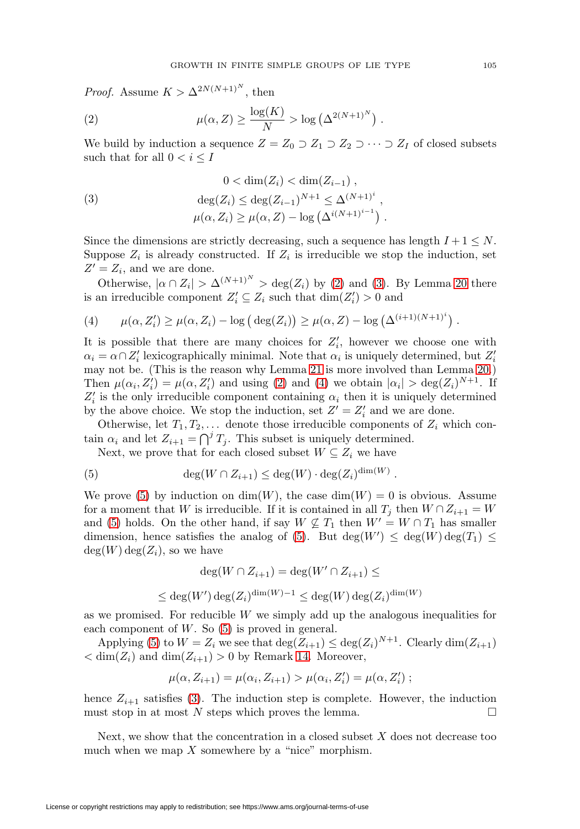*Proof.* Assume  $K > \Delta^{2N(N+1)^N}$ , then

<span id="page-10-0"></span>(2) 
$$
\mu(\alpha, Z) \geq \frac{\log(K)}{N} > \log \left( \Delta^{2(N+1)^N} \right).
$$

We build by induction a sequence  $Z = Z_0 \supset Z_1 \supset Z_2 \supset \cdots \supset Z_I$  of closed subsets such that for all  $0 < i \leq I$ 

<span id="page-10-1"></span>(3) 
$$
0 < \dim(Z_i) < \dim(Z_{i-1}),
$$

$$
\deg(Z_i) \le \deg(Z_{i-1})^{N+1} \le \Delta^{(N+1)^i},
$$

$$
\mu(\alpha, Z_i) \ge \mu(\alpha, Z) - \log(\Delta^{i(N+1)^{i-1}}).
$$

Since the dimensions are strictly decreasing, such a sequence has length  $I + 1 \leq N$ . Suppose  $Z_i$  is already constructed. If  $Z_i$  is irreducible we stop the induction, set  $Z' = Z_i$ , and we are done.

Otherwise,  $|\alpha \cap Z_i| > \Delta^{(N+1)^N} > \deg(Z_i)$  by [\(2\)](#page-10-0) and [\(3\)](#page-10-1). By Lemma [20](#page-9-0) there is an irreducible component  $Z_i' \subseteq Z_i$  such that  $\dim(Z_i') > 0$  and

<span id="page-10-2"></span>(4) 
$$
\mu(\alpha, Z'_i) \ge \mu(\alpha, Z_i) - \log (\deg(Z_i)) \ge \mu(\alpha, Z) - \log (\Delta^{(i+1)(N+1)^i})
$$
.

It is possible that there are many choices for  $Z_i'$ , however we choose one with  $\alpha_i = \alpha \cap Z'_i$  lexicographically minimal. Note that  $\alpha_i$  is uniquely determined, but  $Z'_i$ may not be. (This is the reason why Lemma [21](#page-9-1) is more involved than Lemma [20.](#page-9-0)) Then  $\mu(\alpha_i, Z'_i) = \mu(\alpha, Z'_i)$  and using [\(2\)](#page-10-0) and [\(4\)](#page-10-2) we obtain  $|\alpha_i| > \deg(Z_i)^{N+1}$ . If  $Z_i'$  is the only irreducible component containing  $\alpha_i$  then it is uniquely determined by the above choice. We stop the induction, set  $Z' = Z'_i$  and we are done.

Otherwise, let  $T_1, T_2, \ldots$  denote those irreducible components of  $Z_i$  which contain  $\alpha_i$  and let  $Z_{i+1} = \bigcap T_j$ . This subset is uniquely determined.

Next, we prove that for each closed subset  $W \subseteq Z_i$  we have

<span id="page-10-3"></span>(5) 
$$
\deg(W \cap Z_{i+1}) \leq \deg(W) \cdot \deg(Z_i)^{\dim(W)}.
$$

We prove [\(5\)](#page-10-3) by induction on  $\dim(W)$ , the case  $\dim(W) = 0$  is obvious. Assume for a moment that W is irreducible. If it is contained in all  $T_i$  then  $W \cap Z_{i+1} = W$ and [\(5\)](#page-10-3) holds. On the other hand, if say  $W \nsubseteq T_1$  then  $W' = W \cap T_1$  has smaller dimension, hence satisfies the analog of [\(5\)](#page-10-3). But  $deg(W') \leq deg(W)deg(T_1) \leq$  $deg(W) deg(Z_i)$ , so we have

$$
\deg(W \cap Z_{i+1}) = \deg(W' \cap Z_{i+1}) \le
$$
  

$$
\leq \deg(W') \deg(Z_i)^{\dim(W) - 1} \leq \deg(W) \deg(Z_i)^{\dim(W)}
$$

as we promised. For reducible W we simply add up the analogous inequalities for each component of  $W$ . So  $(5)$  is proved in general.

Applying [\(5\)](#page-10-3) to  $W = Z_i$  we see that  $\deg(Z_{i+1}) \leq \deg(Z_i)^{N+1}$ . Clearly  $\dim(Z_{i+1})$  $\langle \dim(Z_i) \rangle$  and  $\dim(Z_{i+1}) > 0$  by Remark [14.](#page-6-7) Moreover,

$$
\mu(\alpha, Z_{i+1}) = \mu(\alpha_i, Z_{i+1}) > \mu(\alpha_i, Z'_i) = \mu(\alpha, Z'_i) ;
$$

hence  $Z_{i+1}$  satisfies [\(3\)](#page-10-1). The induction step is complete. However, the induction must stop in at most N steps which proves the lemma.  $\Box$ 

Next, we show that the concentration in a closed subset  $X$  does not decrease too much when we map  $X$  somewhere by a "nice" morphism.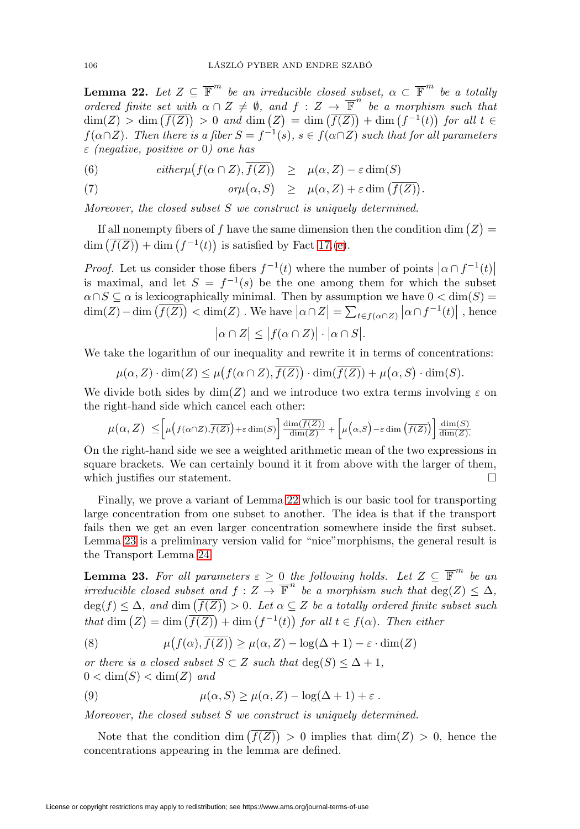<span id="page-11-0"></span>**Lemma 22.** Let  $Z \subseteq \overline{\mathbb{F}}^m$  be an irreducible closed subset,  $\alpha \subset \overline{\mathbb{F}}^m$  be a totally ordered finite set with  $\alpha \cap Z \neq \emptyset$ , and  $f : Z \to \overline{\mathbb{F}}^n$  be a morphism such that  $\dim(Z) > \dim(\overline{f(Z)}) > 0$  and  $\dim(Z) = \dim(\overline{f(Z)}) + \dim(f^{-1}(t))$  for all  $t \in$  $f(\alpha \cap Z)$ . Then there is a fiber  $S = f^{-1}(s)$ ,  $s \in f(\alpha \cap Z)$  such that for all parameters  $\varepsilon$  (negative, positive or 0) one has

<span id="page-11-2"></span>(6)  $\text{either } \mu(f(\alpha \cap Z), f(Z)) \geq \mu(\alpha, Z) - \varepsilon \dim(S)$ 

(7) 
$$
or \mu(\alpha, S) \geq \mu(\alpha, Z) + \varepsilon \dim(\overline{f(Z)}).
$$

Moreover, the closed subset S we construct is uniquely determined.

If all nonempty fibers of f have the same dimension then the condition dim  $(Z)$  =  $\dim\left(\overline{f(Z)}\right) + \dim\left(f^{-1}(t)\right)$  is satisfied by Fact [17.](#page-7-5)[\(e\)](#page-8-5).

*Proof.* Let us consider those fibers  $f^{-1}(t)$  where the number of points  $|\alpha \cap f^{-1}(t)|$ is maximal, and let  $S = f^{-1}(s)$  be the one among them for which the subset  $\alpha \cap S \subseteq \alpha$  is lexicographically minimal. Then by assumption we have  $0 < \dim(S) =$  $\dim(Z) - \dim(\overline{f(Z)}) < \dim(Z)$ . We have  $|\alpha \cap Z| = \sum_{t \in f(\alpha \cap Z)} |\alpha \cap f^{-1}(t)|$ , hence

$$
|\alpha \cap Z| \le |f(\alpha \cap Z)| \cdot |\alpha \cap S|.
$$

We take the logarithm of our inequality and rewrite it in terms of concentrations:

$$
\mu(\alpha, Z) \cdot \dim(Z) \le \mu(f(\alpha \cap Z), \overline{f(Z)}) \cdot \dim(\overline{f(Z)}) + \mu(\alpha, S) \cdot \dim(S).
$$

We divide both sides by  $\dim(Z)$  and we introduce two extra terms involving  $\varepsilon$  on the right-hand side which cancel each other:

$$
\mu(\alpha, Z) \leq \left[ \mu\left(f(\alpha \cap Z), \overline{f(Z)}\right) + \varepsilon \dim(S) \right] \frac{\dim(\overline{f(Z)})}{\dim(Z)} + \left[ \mu\left(\alpha, S\right) - \varepsilon \dim\left(\overline{f(Z)}\right) \right] \frac{\dim(S)}{\dim(Z)}.
$$

On the right-hand side we see a weighted arithmetic mean of the two expressions in square brackets. We can certainly bound it it from above with the larger of them, which justifies our statement.

Finally, we prove a variant of Lemma [22](#page-11-0) which is our basic tool for transporting large concentration from one subset to another. The idea is that if the transport fails then we get an even larger concentration somewhere inside the first subset. Lemma [23](#page-11-1) is a preliminary version valid for "nice"morphisms, the general result is the Transport Lemma [24.](#page-12-0)

<span id="page-11-1"></span>**Lemma 23.** For all parameters  $\varepsilon \geq 0$  the following holds. Let  $Z \subseteq \overline{\mathbb{F}}^m$  be an irreducible closed subset and  $f : Z \to \overline{\mathbb{F}}^n$  be a morphism such that  $deg(Z) < \Delta$ ,  $deg(f) \leq \Delta$ , and  $dim(f(Z)) > 0$ . Let  $\alpha \subseteq Z$  be a totally ordered finite subset such that  $\dim(Z) = \dim(\overline{f(Z)}) + \dim(f^{-1}(t))$  for all  $t \in f(\alpha)$ . Then either

<span id="page-11-3"></span>(8) 
$$
\mu(f(\alpha), \overline{f(Z)}) \ge \mu(\alpha, Z) - \log(\Delta + 1) - \varepsilon \cdot \dim(Z)
$$

or there is a closed subset  $S \subset Z$  such that  $\deg(S) \leq \Delta + 1$ ,  $0 < \dim(S) < \dim(Z)$  and

<span id="page-11-4"></span>(9) 
$$
\mu(\alpha, S) \ge \mu(\alpha, Z) - \log(\Delta + 1) + \varepsilon.
$$

Moreover, the closed subset S we construct is uniquely determined.

Note that the condition  $\dim(f(Z)) > 0$  implies that  $\dim(Z) > 0$ , hence the concentrations appearing in the lemma are defined.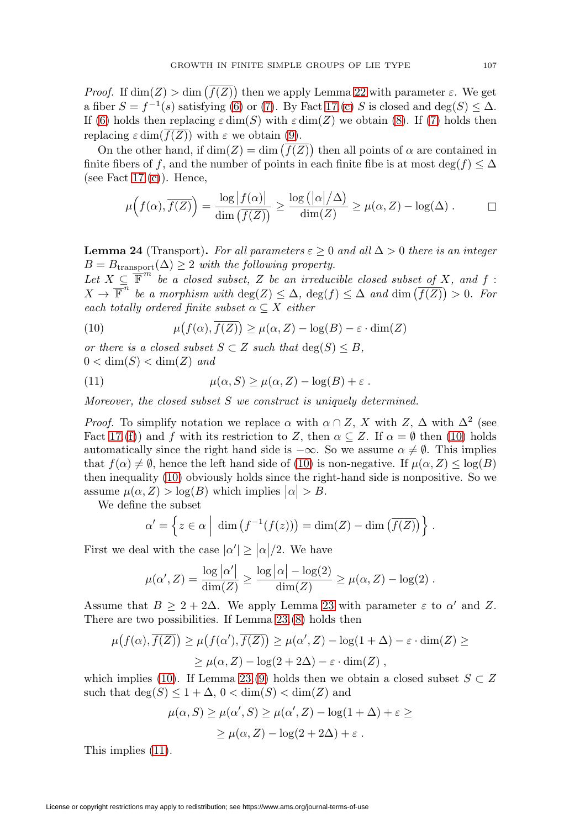*Proof.* If  $\dim(Z) > \dim(f(Z))$  then we apply Lemma [22](#page-11-0) with parameter  $\varepsilon$ . We get a fiber  $S = f^{-1}(s)$  satisfying [\(6\)](#page-11-2) or [\(7\)](#page-11-2). By Fact [17.](#page-7-5)[\(c\)](#page-8-3) S is closed and deg(S)  $\leq \Delta$ . If [\(6\)](#page-11-2) holds then replacing  $\varepsilon \dim(S)$  with  $\varepsilon \dim(Z)$  we obtain [\(8\)](#page-11-3). If [\(7\)](#page-11-2) holds then replacing  $\varepsilon \dim(f(Z))$  with  $\varepsilon$  we obtain [\(9\)](#page-11-4).

On the other hand, if  $\dim(Z) = \dim(f(Z))$  then all points of  $\alpha$  are contained in finite fibers of f, and the number of points in each finite fibe is at most  $\deg(f) \leq \Delta$ (see Fact  $17.(c)$  $17.(c)$ ). Hence,

$$
\mu\Big(f(\alpha), \overline{f(Z)}\Big) = \frac{\log |f(\alpha)|}{\dim (\overline{f(Z)})} \ge \frac{\log (|\alpha|/\Delta)}{\dim(Z)} \ge \mu(\alpha, Z) - \log(\Delta) . \qquad \Box
$$

<span id="page-12-0"></span>**Lemma 24** (Transport). For all parameters  $\varepsilon \geq 0$  and all  $\Delta > 0$  there is an integer  $B = B_{\text{transport}}(\Delta) \geq 2$  with the following property.

Let  $X \subseteq \overline{\mathbb{F}}^m$  be a closed subset, Z be an irreducible closed subset of X, and f:  $X \to \overline{\mathbb{F}}^n$  be a morphism with  $\deg(Z) \leq \Delta$ ,  $\deg(f) \leq \Delta$  and  $\dim(\overline{f(Z)}) > 0$ . For each totally ordered finite subset  $\alpha \subseteq X$  either

<span id="page-12-1"></span>(10) 
$$
\mu(f(\alpha), \overline{f(Z)}) \ge \mu(\alpha, Z) - \log(B) - \varepsilon \cdot \dim(Z)
$$

or there is a closed subset  $S \subset Z$  such that  $deg(S) \leq B$ ,  $0 < \dim(S) < \dim(Z)$  and

<span id="page-12-2"></span>(11) 
$$
\mu(\alpha, S) \ge \mu(\alpha, Z) - \log(B) + \varepsilon.
$$

Moreover, the closed subset S we construct is uniquely determined.

*Proof.* To simplify notation we replace  $\alpha$  with  $\alpha \cap Z$ , X with  $Z$ ,  $\Delta$  with  $\Delta^2$  (see Fact [17.](#page-7-5)[\(f\)](#page-8-6)) and f with its restriction to Z, then  $\alpha \subseteq Z$ . If  $\alpha = \emptyset$  then [\(10\)](#page-12-1) holds automatically since the right hand side is  $-\infty$ . So we assume  $\alpha \neq \emptyset$ . This implies that  $f(\alpha) \neq \emptyset$ , hence the left hand side of [\(10\)](#page-12-1) is non-negative. If  $\mu(\alpha, Z) \leq \log(B)$ then inequality [\(10\)](#page-12-1) obviously holds since the right-hand side is nonpositive. So we assume  $\mu(\alpha, Z) > \log(B)$  which implies  $|\alpha| > B$ .

We define the subset

$$
\alpha' = \left\{ z \in \alpha \mid \dim \left( f^{-1}(f(z)) \right) = \dim(Z) - \dim \left( \overline{f(Z)} \right) \right\}.
$$

First we deal with the case  $|\alpha'| \geq |\alpha|/2$ . We have

$$
\mu(\alpha', Z) = \frac{\log |\alpha'|}{\dim(Z)} \ge \frac{\log |\alpha| - \log(2)}{\dim(Z)} \ge \mu(\alpha, Z) - \log(2) .
$$

Assume that  $B \geq 2 + 2\Delta$ . We apply Lemma [23](#page-11-1) with parameter  $\varepsilon$  to  $\alpha'$  and Z. There are two possibilities. If Lemma [23.](#page-11-1)[\(8\)](#page-11-3) holds then

$$
\mu(f(\alpha), \overline{f(Z)}) \ge \mu(f(\alpha'), \overline{f(Z)}) \ge \mu(\alpha', Z) - \log(1 + \Delta) - \varepsilon \cdot \dim(Z) \ge
$$
  
 
$$
\ge \mu(\alpha, Z) - \log(2 + 2\Delta) - \varepsilon \cdot \dim(Z),
$$

which implies [\(10\)](#page-12-1). If Lemma [23.](#page-11-1)[\(9\)](#page-11-4) holds then we obtain a closed subset  $S \subset Z$ such that  $\deg(S) \leq 1 + \Delta$ ,  $0 < \dim(S) < \dim(Z)$  and

$$
\mu(\alpha, S) \ge \mu(\alpha', S) \ge \mu(\alpha', Z) - \log(1 + \Delta) + \varepsilon \ge
$$
  
 
$$
\ge \mu(\alpha, Z) - \log(2 + 2\Delta) + \varepsilon.
$$

This implies [\(11\)](#page-12-2).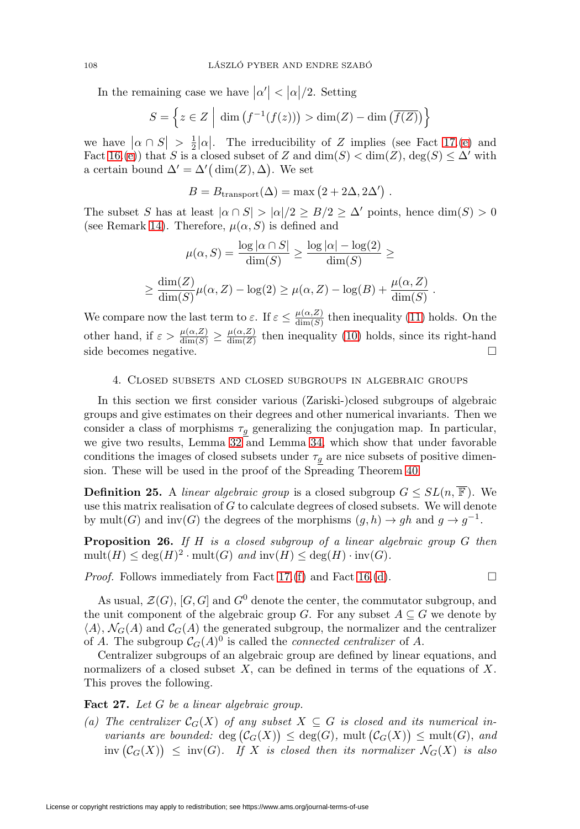In the remaining case we have  $|\alpha'| < |\alpha|/2$ . Setting

$$
S = \left\{ z \in Z \mid \dim \left( f^{-1}(f(z)) \right) > \dim(Z) - \dim \left( \overline{f(Z)} \right) \right\}
$$

we have  $|\alpha \cap S| > \frac{1}{2} |\alpha|$ . The irreducibility of Z implies (see Fact [17.](#page-7-5)[\(e\)](#page-8-5) and Fact [16.](#page-6-0)[\(e\)](#page-7-1)) that S is a closed subset of Z and  $\dim(S) < \dim(Z)$ ,  $\deg(S) \leq \Delta'$  with a certain bound  $\Delta' = \Delta'(\dim(Z), \Delta)$ . We set

$$
B = B_{\text{transport}}(\Delta) = \max (2 + 2\Delta, 2\Delta')
$$
.

The subset S has at least  $|\alpha \cap S| > |\alpha|/2 \geq B/2 \geq \Delta'$  points, hence  $\dim(S) > 0$ (see Remark [14\)](#page-6-7). Therefore,  $\mu(\alpha, S)$  is defined and

$$
\mu(\alpha, S) = \frac{\log |\alpha \cap S|}{\dim(S)} \ge \frac{\log |\alpha| - \log(2)}{\dim(S)} \ge
$$

$$
\ge \frac{\dim(Z)}{\dim(S)} \mu(\alpha, Z) - \log(2) \ge \mu(\alpha, Z) - \log(B) + \frac{\mu(\alpha, Z)}{\dim(S)}.
$$

We compare now the last term to  $\varepsilon$ . If  $\varepsilon \leq \frac{\mu(\alpha, Z)}{\dim(S)}$  then inequality [\(11\)](#page-12-2) holds. On the other hand, if  $\varepsilon > \frac{\mu(\alpha, Z)}{\dim(S)} \ge \frac{\mu(\alpha, Z)}{\dim(Z)}$  then inequality [\(10\)](#page-12-1) holds, since its right-hand side becomes negative.  $\Box$ 

## <span id="page-13-0"></span>4. Closed subsets and closed subgroups in algebraic groups

In this section we first consider various (Zariski-)closed subgroups of algebraic groups and give estimates on their degrees and other numerical invariants. Then we consider a class of morphisms  $\tau_g$  generalizing the conjugation map. In particular, we give two results, Lemma [32](#page-14-1) and Lemma [34,](#page-15-1) which show that under favorable conditions the images of closed subsets under  $\tau_g$  are nice subsets of positive dimension. These will be used in the proof of the Spreading Theorem [40.](#page-19-0)

**Definition 25.** A linear algebraic group is a closed subgroup  $G \le SL(n, \overline{\mathbb{F}})$ . We use this matrix realisation of  $G$  to calculate degrees of closed subsets. We will denote by mult(G) and inv(G) the degrees of the morphisms  $(g, h) \to gh$  and  $g \to g^{-1}$ .

<span id="page-13-1"></span>**Proposition 26.** If H is a closed subgroup of a linear algebraic group G then  $mult(H) \leq deg(H)^2 \cdot mult(G)$  and  $inv(H) \leq deg(H) \cdot inv(G)$ .

*Proof.* Follows immediately from Fact [17.](#page-7-5) $(f)$  and Fact [16.](#page-6-0) $(d)$ .

 $\Box$ 

As usual,  $\mathcal{Z}(G)$ ,  $[G, G]$  and  $G^0$  denote the center, the commutator subgroup, and the unit component of the algebraic group G. For any subset  $A \subseteq G$  we denote by  $\langle A \rangle$ ,  $\mathcal{N}_G(A)$  and  $\mathcal{C}_G(A)$  the generated subgroup, the normalizer and the centralizer of A. The subgroup  $\mathcal{C}_G(A)^0$  is called the *connected centralizer* of A.

Centralizer subgroups of an algebraic group are defined by linear equations, and normalizers of a closed subset  $X$ , can be defined in terms of the equations of  $X$ . This proves the following.

### <span id="page-13-2"></span>**Fact 27.** Let G be a linear algebraic group.

(a) The centralizer  $\mathcal{C}_G(X)$  of any subset  $X \subseteq G$  is closed and its numerical invariants are bounded:  $\deg(\mathcal{C}_G(X)) \leq \deg(G)$ , mult  $(\mathcal{C}_G(X)) \leq \text{mult}(G)$ , and  $\mathrm{inv}\left(\mathcal{C}_G(X)\right) \ \leq \ \mathrm{inv}(G).$  If X is closed then its normalizer  $\mathcal{N}_G(X)$  is also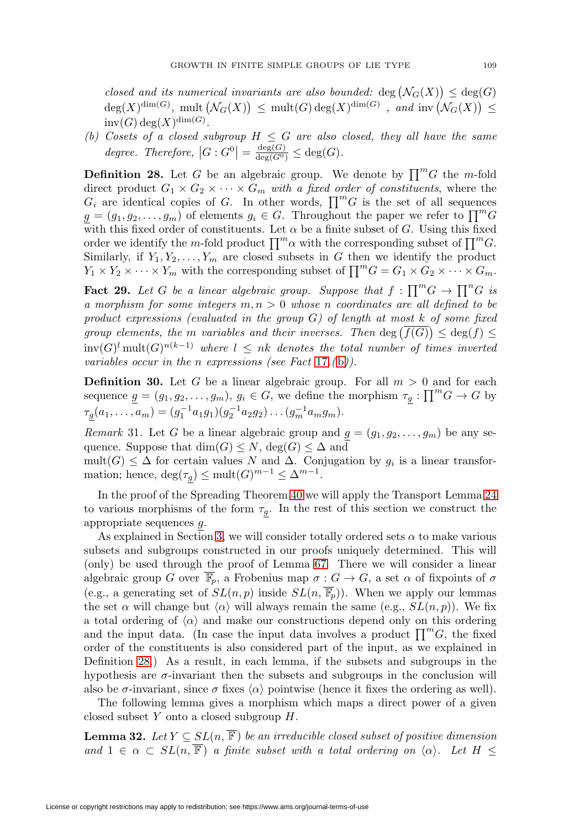closed and its numerical invariants are also bounded:  $deg(N_G(X)) \leq deg(G)$  $deg(X)^{dim(G)}$ , mult  $(\mathcal{N}_G(X)) \leq mult(G) deg(X)^{dim(G)}$ , and inv  $(\mathcal{N}_G(X)) \leq$  $inv(G) \deg(X)^{\dim(G)}$ .

(b) Cosets of a closed subgroup  $H \leq G$  are also closed, they all have the same degree. Therefore,  $|G: G^0| = \frac{\deg(G)}{\deg(G^0)} \leq \deg(G)$ .

<span id="page-14-2"></span>**Definition 28.** Let G be an algebraic group. We denote by  $\prod^m G$  the m-fold direct product  $G_1 \times G_2 \times \cdots \times G_m$  with a fixed order of constituents, where the  $G_i$  are identical copies of G. In other words,  $\prod^m G$  is the set of all sequences  $g = (g_1, g_2, \ldots, g_m)$  of elements  $g_i \in G$ . Throughout the paper we refer to  $\prod^m G$ with this fixed order of constituents. Let  $\alpha$  be a finite subset of G. Using this fixed order we identify the m-fold product  $\prod_{m} \alpha$  with the corresponding subset of  $\prod_{m} G$ . Similarly, if  $Y_1, Y_2, \ldots, Y_m$  are closed subsets in G then we identify the product  $Y_1 \times Y_2 \times \cdots \times Y_m$  with the corresponding subset of  $\prod^m G = G_1 \times G_2 \times \cdots \times G_m$ .

<span id="page-14-3"></span>**Fact 29.** Let G be a linear algebraic group. Suppose that  $f : \prod^m G \to \prod^n G$  is a morphism for some integers  $m, n > 0$  whose n coordinates are all defined to be product expressions (evaluated in the group  $G$ ) of length at most k of some fixed group elements, the m variables and their inverses. Then  $\deg(f(G)) \leq \deg(f) \leq$  $inv(G)^{l} mult(G)^{n(k-1)}$  where  $l \leq nk$  denotes the total number of times inverted variables occur in the n expressions (see Fact [17](#page-7-5).([b](#page-8-2))).

**Definition 30.** Let G be a linear algebraic group. For all  $m > 0$  and for each sequence  $g = (g_1, g_2, \dots, g_m)$ ,  $g_i \in G$ , we define the morphism  $\tau_g: \prod^m G \to G$  by  $\tau_g(a_1,\ldots,a_m)=(g_1^{-1}a_1g_1)(g_2^{-1}a_2g_2)\ldots(g_m^{-1}a_mg_m).$ 

<span id="page-14-0"></span>Remark 31. Let G be a linear algebraic group and  $g = (g_1, g_2, \ldots, g_m)$  be any sequence. Suppose that  $\dim(G) \leq N$ ,  $\deg(G) \leq \Delta$  and

mult(G)  $\leq \Delta$  for certain values N and  $\Delta$ . Conjugation by  $g_i$  is a linear transformation; hence,  $\deg(\tau_q) \le \text{mult}(G)^{m-1} \le \Delta^{m-1}$ .

In the proof of the Spreading Theorem [40](#page-19-0) we will apply the Transport Lemma [24](#page-12-0) to various morphisms of the form  $\tau_q$ . In the rest of this section we construct the appropriate sequences g.

As explained in Section [3,](#page-8-0) we will consider totally ordered sets  $\alpha$  to make various subsets and subgroups constructed in our proofs uniquely determined. This will (only) be used through the proof of Lemma [67.](#page-34-0) There we will consider a linear algebraic group G over  $\overline{\mathbb{F}}_p$ , a Frobenius map  $\sigma : G \to G$ , a set  $\alpha$  of fixpoints of  $\sigma$ (e.g., a generating set of  $SL(n, p)$  inside  $SL(n, \overline{\mathbb{F}_p})$ ). When we apply our lemmas the set  $\alpha$  will change but  $\langle \alpha \rangle$  will always remain the same (e.g.,  $SL(n, p)$ ). We fix a total ordering of  $\langle \alpha \rangle$  and make our constructions depend only on this ordering and the input data. (In case the input data involves a product  $\prod^{m}G$ , the fixed order of the constituents is also considered part of the input, as we explained in Definition [28.](#page-14-2)) As a result, in each lemma, if the subsets and subgroups in the hypothesis are  $\sigma$ -invariant then the subsets and subgroups in the conclusion will also be  $\sigma$ -invariant, since  $\sigma$  fixes  $\langle \alpha \rangle$  pointwise (hence it fixes the ordering as well).

The following lemma gives a morphism which maps a direct power of a given closed subset  $Y$  onto a closed subgroup  $H$ .

<span id="page-14-1"></span>**Lemma 32.** Let  $Y \subseteq SL(n, \overline{\mathbb{F}})$  be an irreducible closed subset of positive dimension and  $1 \in \alpha \subset SL(n, \overline{\mathbb{F}})$  a finite subset with a total ordering on  $\langle \alpha \rangle$ . Let  $H \leq$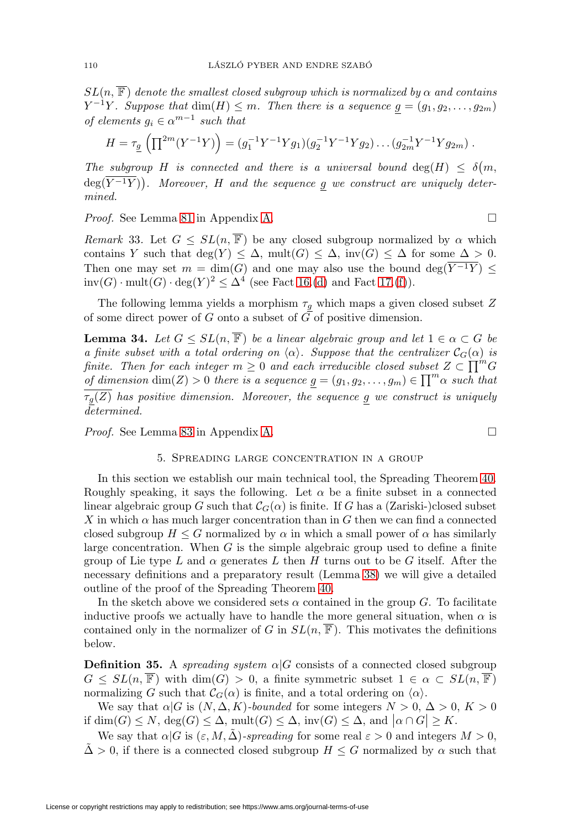$SL(n, \overline{\mathbb{F}})$  denote the smallest closed subgroup which is normalized by  $\alpha$  and contains  $Y^{-1}Y$ . Suppose that  $dim(H) \leq m$ . Then there is a sequence  $g = (g_1, g_2, \ldots, g_{2m})$ of elements  $g_i \in \alpha^{m-1}$  such that

$$
H = \tau_{\underline{g}} \left( \prod^{2m} (Y^{-1}Y) \right) = (g_1^{-1}Y^{-1}Yg_1)(g_2^{-1}Y^{-1}Yg_2) \dots (g_{2m}^{-1}Y^{-1}Yg_{2m}).
$$

The subgroup H is connected and there is a universal bound  $deg(H) \leq \delta(m,$  $deg(Y^{-1}Y)$ ). Moreover, H and the sequence g we construct are uniquely determined.

Proof. See Lemma [81](#page-42-0) in Appendix [A.](#page-39-0)

<span id="page-15-2"></span>Remark 33. Let  $G \le SL(n, \overline{\mathbb{F}})$  be any closed subgroup normalized by  $\alpha$  which contains Y such that  $deg(Y) \leq \Delta$ ,  $mult(G) \leq \Delta$ ,  $inv(G) \leq \Delta$  for some  $\Delta > 0$ . Then one may set  $m = \dim(G)$  and one may also use the bound  $\deg(\overline{Y^{-1}Y}) \leq$  $inv(G) \cdot mult(G) \cdot deg(Y)^2 \leq \Delta^4$  (see Fact [16.](#page-6-0)[\(d\)](#page-6-1) and Fact [17.](#page-7-5)[\(f\)](#page-8-6)).

The following lemma yields a morphism  $\tau_g$  which maps a given closed subset  $Z$ of some direct power of  $G$  onto a subset of  $G$  of positive dimension.

<span id="page-15-1"></span>**Lemma 34.** Let  $G \le SL(n, \overline{\mathbb{F}})$  be a linear algebraic group and let  $1 \in \alpha \subset G$  be a finite subset with a total ordering on  $\langle \alpha \rangle$ . Suppose that the centralizer  $\mathcal{C}_G(\alpha)$  is finite. Then for each integer  $m \geq 0$  and each irreducible closed subset  $Z \subset \prod^m G$ of dimension  $\dim(Z) > 0$  there is a sequence  $g = (g_1, g_2, \ldots, g_m) \in \prod^m \alpha$  such that  $\tau_g(Z)$  has positive dimension. Moreover, the sequence g we construct is uniquely determined.

<span id="page-15-0"></span>Proof. See Lemma [83](#page-43-0) in Appendix [A.](#page-39-0)

### 5. Spreading large concentration in a group

In this section we establish our main technical tool, the Spreading Theorem [40.](#page-19-0) Roughly speaking, it says the following. Let  $\alpha$  be a finite subset in a connected linear algebraic group G such that  $\mathcal{C}_G(\alpha)$  is finite. If G has a (Zariski-)closed subset X in which  $\alpha$  has much larger concentration than in G then we can find a connected closed subgroup  $H \leq G$  normalized by  $\alpha$  in which a small power of  $\alpha$  has similarly large concentration. When  $G$  is the simple algebraic group used to define a finite group of Lie type L and  $\alpha$  generates L then H turns out to be G itself. After the necessary definitions and a preparatory result (Lemma [38\)](#page-16-0) we will give a detailed outline of the proof of the Spreading Theorem [40.](#page-19-0)

In the sketch above we considered sets  $\alpha$  contained in the group G. To facilitate inductive proofs we actually have to handle the more general situation, when  $\alpha$  is contained only in the normalizer of G in  $SL(n, \mathbb{F})$ . This motivates the definitions below.

**Definition 35.** A spreading system  $\alpha|G$  consists of a connected closed subgroup  $G \le SL(n, \overline{\mathbb{F}})$  with  $\dim(G) > 0$ , a finite symmetric subset  $1 \in \alpha \subset SL(n, \overline{\mathbb{F}})$ normalizing G such that  $\mathcal{C}_G(\alpha)$  is finite, and a total ordering on  $\langle \alpha \rangle$ .

We say that  $\alpha|G$  is  $(N, \Delta, K)$ -bounded for some integers  $N > 0$ ,  $\Delta > 0$ ,  $K > 0$ if  $\dim(G) \leq N$ ,  $\deg(G) \leq \Delta$ ,  $\text{mult}(G) \leq \Delta$ ,  $\text{inv}(G) \leq \Delta$ , and  $|\alpha \cap G| \geq K$ .

We say that  $\alpha|G$  is  $(\varepsilon, M, \Delta)$ -spreading for some real  $\varepsilon > 0$  and integers  $M > 0$ ,  $\Delta > 0$ , if there is a connected closed subgroup  $H \leq G$  normalized by  $\alpha$  such that

$$
\Box
$$

 $\Box$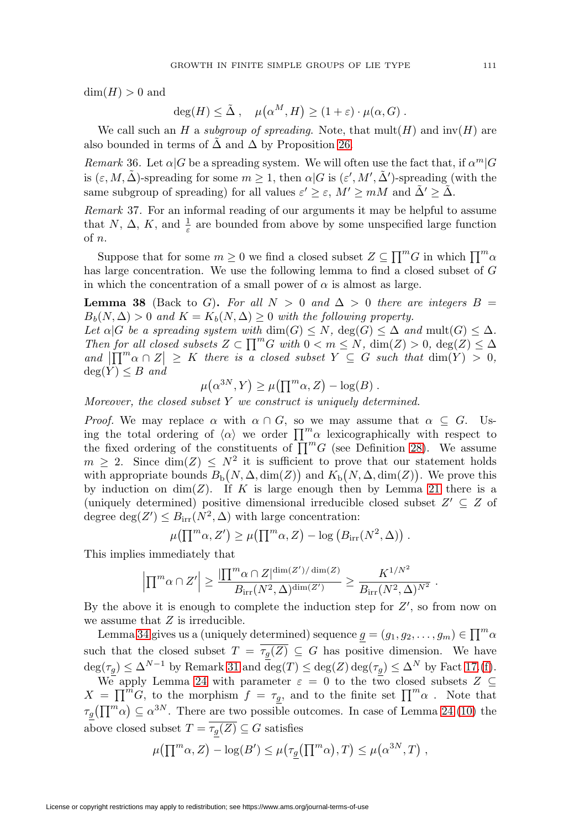$\dim(H) > 0$  and

$$
\deg(H) \leq \tilde{\Delta} , \quad \mu(\alpha^M, H) \geq (1 + \varepsilon) \cdot \mu(\alpha, G) .
$$

We call such an H a subgroup of spreading. Note, that  $mult(H)$  and  $inv(H)$  are also bounded in terms of  $\Delta$  and  $\Delta$  by Proposition [26.](#page-13-1)

Remark 36. Let  $\alpha|G$  be a spreading system. We will often use the fact that, if  $\alpha^m|G$ is  $(\varepsilon, M, \tilde{\Delta})$ -spreading for some  $m \geq 1$ , then  $\alpha | G$  is  $(\varepsilon', M', \tilde{\Delta}')$ -spreading (with the same subgroup of spreading) for all values  $\varepsilon' \geq \varepsilon$ ,  $M' \geq mM$  and  $\tilde{\Delta}' \geq \tilde{\Delta}$ .

Remark 37. For an informal reading of our arguments it may be helpful to assume that N,  $\Delta$ , K, and  $\frac{1}{\varepsilon}$  are bounded from above by some unspecified large function of n.

Suppose that for some  $m \geq 0$  we find a closed subset  $Z \subseteq \prod^m G$  in which  $\prod^m \alpha$ has large concentration. We use the following lemma to find a closed subset of G in which the concentration of a small power of  $\alpha$  is almost as large.

<span id="page-16-0"></span>**Lemma 38** (Back to G). For all  $N > 0$  and  $\Delta > 0$  there are integers  $B =$  $B_b(N, \Delta) > 0$  and  $K = K_b(N, \Delta) \geq 0$  with the following property.

Let  $\alpha|G$  be a spreading system with  $\dim(G) \leq N$ ,  $\deg(G) \leq \Delta$  and  $\text{mult}(G) \leq \Delta$ . Then for all closed subsets  $Z \subset \prod^m G$  with  $0 < m \le N$ ,  $\dim(Z) > 0$ ,  $\deg(Z) \le \Delta$ and  $\left|\prod_{i=1}^{m} \alpha \cap Z\right| \geq K$  there is a closed subset  $Y \subseteq G$  such that  $\dim(Y) > 0$ ,  $deg(Y) \leq B$  and

$$
\mu(\alpha^{3N}, Y) \ge \mu(\prod^m \alpha, Z) - \log(B) .
$$

Moreover, the closed subset  $Y$  we construct is uniquely determined.

*Proof.* We may replace  $\alpha$  with  $\alpha \cap G$ , so we may assume that  $\alpha \subseteq G$ . Using the total ordering of  $\langle \alpha \rangle$  we order  $\prod_{i=1}^{m} \alpha$  lexicographically with respect to the fixed ordering of the constituents of  $\prod^{m}G$  (see Definition [28\)](#page-14-2). We assume  $m \geq 2$ . Since  $\dim(Z) \leq N^2$  it is sufficient to prove that our statement holds with appropriate bounds  $B_{\text{b}}(N, \Delta, \dim(Z))$  and  $K_{\text{b}}(N, \Delta, \dim(Z))$ . We prove this by induction on  $\dim(Z)$ . If K is large enough then by Lemma [21](#page-9-1) there is a (uniquely determined) positive dimensional irreducible closed subset  $Z' \subseteq Z$  of degree  $deg(Z') \leq B_{irr}(N^2, \Delta)$  with large concentration:

$$
\mu(\prod^{m} \alpha, Z') \ge \mu(\prod^{m} \alpha, Z) - \log (B_{irr}(N^{2}, \Delta)).
$$

This implies immediately that

$$
\left|\prod^{m} \alpha \cap Z'\right| \geq \frac{\left|\prod^{m} \alpha \cap Z\right|^{\dim(Z')/\dim(Z)}}{B_{\text{irr}}(N^2, \Delta)^{\dim(Z')}} \geq \frac{K^{1/N^2}}{B_{\text{irr}}(N^2, \Delta)^{N^2}}.
$$

By the above it is enough to complete the induction step for  $Z'$ , so from now on we assume that Z is irreducible.

Lemma [34](#page-15-1) gives us a (uniquely determined) sequence  $g = (g_1, g_2, \dots, g_m) \in \prod^m \alpha$ such that the closed subset  $T = \overline{\tau_g(Z)} \subseteq G$  has positive dimension. We have  $\deg(\tau_g) \leq \Delta^{N-1}$  by Remark [31](#page-14-0) and  $\deg(T) \leq \deg(Z) \deg(\tau_g) \leq \Delta^N$  by Fact [17.](#page-7-5)[\(f\)](#page-8-6).

We apply Lemma [24](#page-12-0) with parameter  $\varepsilon = 0$  to the two closed subsets  $Z \subseteq$  $X = \prod^{m} G$ , to the morphism  $f = \tau_{g}$ , and to the finite set  $\prod^{m} \alpha$ . Note that  $\tau_g(\prod^m \alpha) \subseteq \alpha^{3N}$ . There are two possible outcomes. In case of Lemma [24.](#page-12-0)[\(10\)](#page-12-1) the above closed subset  $T = \overline{\tau_g(Z)} \subseteq G$  satisfies

$$
\mu\big(\prod^{m} \alpha, Z\big) - \log(B') \leq \mu\big(\tau_{\underline{g}}\big(\prod^{m} \alpha\big), T\big) \leq \mu\big(\alpha^{3N}, T\big) ,
$$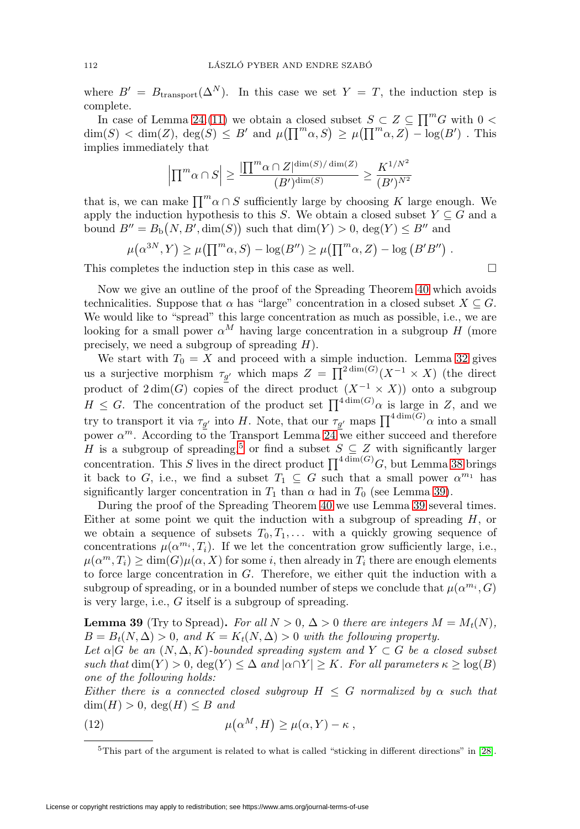where  $B' = B_{\text{transport}}(\Delta^N)$ . In this case we set  $Y = T$ , the induction step is complete.

In case of Lemma [24.](#page-12-0)[\(11\)](#page-12-2) we obtain a closed subset  $S \subset Z \subseteq \prod^m G$  with  $0 <$  $\dim(S) < \dim(Z)$ ,  $\deg(\hat{S}) \leq B'$  and  $\mu(\prod^m \alpha, S) \geq \mu(\prod^m \alpha, Z) - \log(B')$ . This implies immediately that

$$
\left|\prod^{m} \alpha \cap S\right| \ge \frac{\left|\prod^{m} \alpha \cap Z\right|^{\dim(S)/\dim(Z)}}{(B')^{\dim(S)}} \ge \frac{K^{1/N^2}}{(B')^{N^2}}
$$

that is, we can make  $\prod_{i=1}^{m} \alpha \cap S$  sufficiently large by choosing K large enough. We apply the induction hypothesis to this S. We obtain a closed subset  $Y \subseteq G$  and a bound  $B'' = B_{\text{b}}(N, B', \dim(S))$  such that  $\dim(Y) > 0$ ,  $\deg(Y) \leq B''$  and

$$
\mu(\alpha^{3N}, Y) \ge \mu(\prod^{m} \alpha, S) - \log(B'') \ge \mu(\prod^{m} \alpha, Z) - \log(B'B'')
$$
.

This completes the induction step in this case as well.  $\Box$ 

Now we give an outline of the proof of the Spreading Theorem [40](#page-19-0) which avoids technicalities. Suppose that  $\alpha$  has "large" concentration in a closed subset  $X \subseteq G$ . We would like to "spread" this large concentration as much as possible, i.e., we are looking for a small power  $\alpha^M$  having large concentration in a subgroup H (more precisely, we need a subgroup of spreading  $H$ ).

We start with  $T_0 = X$  and proceed with a simple induction. Lemma [32](#page-14-1) gives us a surjective morphism  $\tau_{g'}$  which maps  $Z = \prod^{2 \dim(G)} (X^{-1} \times X)$  (the direct product of  $2 \dim(G)$  copies of the direct product  $(X^{-1} \times X)$  onto a subgroup  $H \leq G$ . The concentration of the product set  $\prod^{4 \dim(G)} \alpha$  is large in Z, and we try to transport it via  $\tau_{g'}$  into H. Note, that our  $\tau_{g'}$  maps  $\prod^{4 \dim(G)} \alpha$  into a small power  $\alpha^m$ . According to the Transport Lemma [24](#page-12-0) we either succeed and therefore H is a subgroup of spreading,<sup>[5](#page-17-0)</sup> or find a subset  $S \subseteq Z$  with significantly larger concentration. This S lives in the direct product  $\prod^{4 \dim(G)} G$ , but Lemma [38](#page-16-0) brings it back to G, i.e., we find a subset  $T_1 \subseteq G$  such that a small power  $\alpha^{m_1}$  has significantly larger concentration in  $T_1$  than  $\alpha$  had in  $T_0$  (see Lemma [39\)](#page-17-1).

During the proof of the Spreading Theorem [40](#page-19-0) we use Lemma [39](#page-17-1) several times. Either at some point we quit the induction with a subgroup of spreading  $H$ , or we obtain a sequence of subsets  $T_0, T_1, \ldots$  with a quickly growing sequence of concentrations  $\mu(\alpha^{m_i}, T_i)$ . If we let the concentration grow sufficiently large, i.e.,  $\mu(\alpha^m, T_i) \ge \dim(G)\mu(\alpha, X)$  for some i, then already in  $T_i$  there are enough elements to force large concentration in G. Therefore, we either quit the induction with a subgroup of spreading, or in a bounded number of steps we conclude that  $\mu(\alpha^{m_i}, G)$ is very large, i.e., G itself is a subgroup of spreading.

<span id="page-17-1"></span>**Lemma 39** (Try to Spread). For all  $N > 0$ ,  $\Delta > 0$  there are integers  $M = M_t(N)$ ,  $B = B_t(N, \Delta) > 0$ , and  $K = K_t(N, \Delta) > 0$  with the following property.

Let  $\alpha|G$  be an  $(N, \Delta, K)$ -bounded spreading system and  $Y \subset G$  be a closed subset such that  $\dim(Y) > 0$ ,  $\deg(Y) \leq \Delta$  and  $|\alpha \cap Y| \geq K$ . For all parameters  $\kappa \geq \log(B)$ one of the following holds:

Either there is a connected closed subgroup  $H \leq G$  normalized by  $\alpha$  such that  $\dim(H) > 0$ ,  $\deg(H) \leq B$  and

<span id="page-17-2"></span>(12) 
$$
\mu(\alpha^M, H) \ge \mu(\alpha, Y) - \kappa,
$$

<span id="page-17-0"></span><sup>&</sup>lt;sup>5</sup>This part of the argument is related to what is called "sticking in different directions" in [\[28\]](#page-50-2).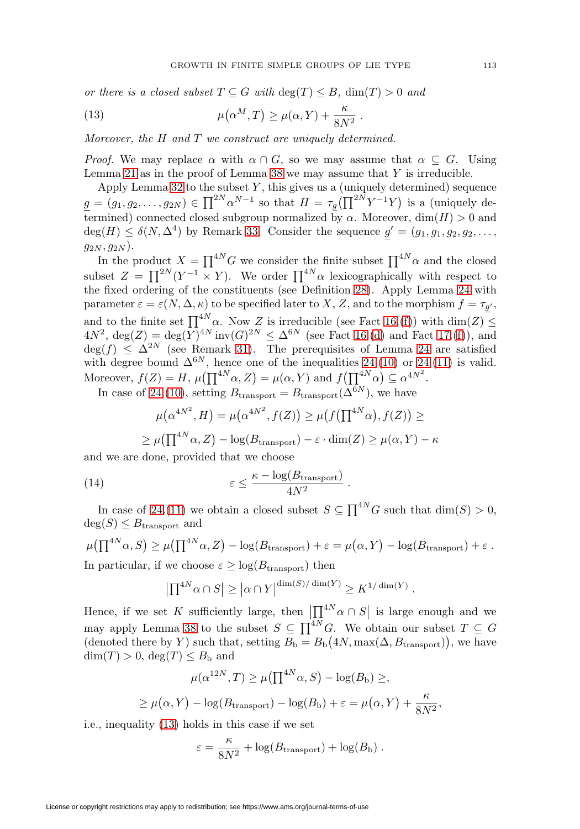or there is a closed subset  $T \subseteq G$  with  $\deg(T) \leq B$ ,  $\dim(T) > 0$  and

<span id="page-18-0"></span>(13) 
$$
\mu(\alpha^M, T) \ge \mu(\alpha, Y) + \frac{\kappa}{8N^2}.
$$

Moreover, the H and T we construct are uniquely determined.

*Proof.* We may replace  $\alpha$  with  $\alpha \cap G$ , so we may assume that  $\alpha \subseteq G$ . Using Lemma [21](#page-9-1) as in the proof of Lemma [38](#page-16-0) we may assume that  $Y$  is irreducible.

Apply Lemma [32](#page-14-1) to the subset  $Y$ , this gives us a (uniquely determined) sequence  $g = (g_1, g_2, \dots, g_{2N}) \in \prod^{2N} \alpha^{N-1}$  so that  $H = \tau_g(\prod^{2N} Y^{-1} Y)$  is a (uniquely determined) connected closed subgroup normalized by  $\alpha$ . Moreover, dim(H) > 0 and  $deg(H) \leq \delta(N, \Delta^4)$  by Remark [33.](#page-15-2) Consider the sequence  $g' = (g_1, g_1, g_2, g_2, \ldots, g_n)$  $(g_{2N}, g_{2N}).$ 

In the product  $X = \prod^{4N} G$  we consider the finite subset  $\prod^{4N} \alpha$  and the closed subset  $Z = \prod^{2N} (Y^{-1} \times Y)$ . We order  $\prod^{4N} \alpha$  lexicographically with respect to the fixed ordering of the constituents (see Definition [28\)](#page-14-2). Apply Lemma [24](#page-12-0) with parameter  $\varepsilon = \varepsilon(N, \Delta, \kappa)$  to be specified later to X, Z, and to the morphism  $f = \tau_{g'}$ , and to the finite set  $\prod^{4N} \alpha$ . Now Z is irreducible (see Fact [16.](#page-6-0)[\(f\)](#page-7-2)) with  $\dim(Z) \leq$  $4N^2$ , deg(Z) = deg(Y)<sup>4N</sup> inv(G)<sup>2N</sup>  $\leq \Delta^{6N}$  (see Fact [16.](#page-6-0)[\(d\)](#page-6-1) and Fact [17.](#page-7-5)[\(f\)](#page-8-6)), and  $deg(f) \leq \Delta^{2N}$  (see Remark [31\)](#page-14-0). The prerequisites of Lemma [24](#page-12-0) are satisfied with degree bound  $\Delta^{6N}$ , hence one of the inequalities [24.](#page-12-0)[\(10\)](#page-12-1) or 24.[\(11\)](#page-12-2) is valid. Moreover,  $f(Z) = H$ ,  $\mu(\prod^{4N} \alpha, Z) = \mu(\alpha, Y)$  and  $f(\prod^{4N} \alpha) \subseteq \alpha^{4N^2}$ .

In case of [24.](#page-12-0)[\(10\)](#page-12-1), setting  $B_{\text{transport}} = B_{\text{transport}}(\Delta^{6N})$ , we have

$$
\mu(\alpha^{4N^2}, H) = \mu(\alpha^{4N^2}, f(Z)) \ge \mu(f(\Pi^{4N}\alpha), f(Z)) \ge
$$
  

$$
\ge \mu(\Pi^{4N}\alpha, Z) - \log(B_{\text{transport}}) - \varepsilon \cdot \dim(Z) \ge \mu(\alpha, Y) - \kappa
$$

and we are done, provided that we choose

<span id="page-18-1"></span>(14) 
$$
\varepsilon \leq \frac{\kappa - \log(B_{\text{transport}})}{4N^2}.
$$

In case of [24.](#page-12-0)[\(11\)](#page-12-2) we obtain a closed subset  $S \subseteq \prod^{4N} G$  such that  $\dim(S) > 0$ ,  $deg(S) \leq B_{transport}$  and

$$
\mu(\prod^{4N} \alpha, S) \ge \mu(\prod^{4N} \alpha, Z) - \log(B_{\text{transport}}) + \varepsilon = \mu(\alpha, Y) - \log(B_{\text{transport}}) + \varepsilon.
$$
  
In particular, if we choose  $\varepsilon > \log(B_{\text{c}})$ , then

In particular, if we choose  $\varepsilon \geq \log(B_{\text{transport}})$  then

$$
\left| \prod^{4N} \alpha \cap S \right| \geq \left| \alpha \cap Y \right|^{\dim(S)/\dim(Y)} \geq K^{1/\dim(Y)}.
$$

Hence, if we set K sufficiently large, then  $\left|\prod_{i=N}^{4N}\alpha\cap S\right|$  is large enough and we may apply Lemma [38](#page-16-0) to the subset  $S \subseteq \prod^{4N} G$ . We obtain our subset  $T \subseteq G$ (denoted there by Y) such that, setting  $B_{\rm b} = B_{\rm b}(4N, \max(\Delta, B_{\rm transport}))$ , we have  $\dim(T) > 0$ ,  $\deg(T) \leq B_{\rm b}$  and

$$
\mu(\alpha^{12N}, T) \ge \mu(\prod^{4N} \alpha, S) - \log(B_{\text{b}}) \ge,
$$
  

$$
\ge \mu(\alpha, Y) - \log(B_{\text{transport}}) - \log(B_{\text{b}}) + \varepsilon = \mu(\alpha, Y) + \frac{\kappa}{8N^2},
$$

i.e., inequality [\(13\)](#page-18-0) holds in this case if we set

$$
\varepsilon = \frac{\kappa}{8N^2} + \log(B_{\text{transport}}) + \log(B_{\text{b}}).
$$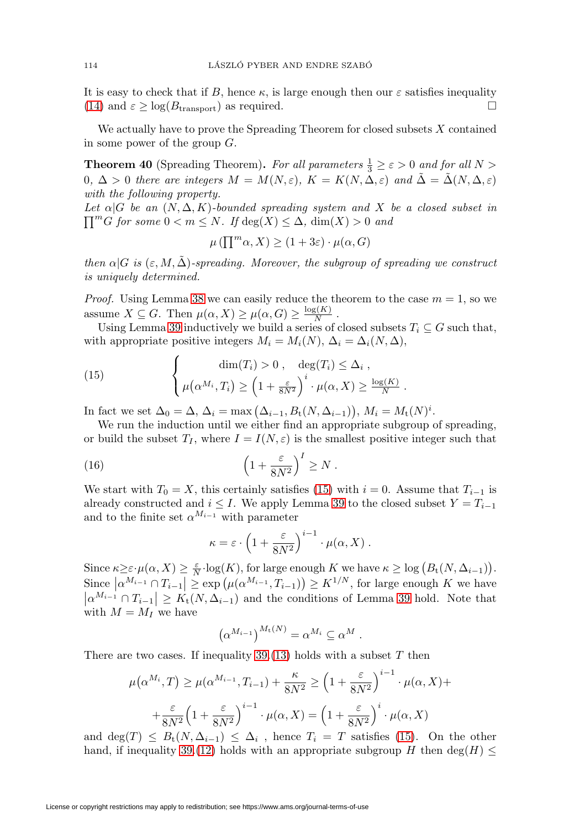It is easy to check that if B, hence  $\kappa$ , is large enough then our  $\varepsilon$  satisfies inequality [\(14\)](#page-18-1) and  $\varepsilon \geq \log(B_{\text{transport}})$  as required.  $\square$ 

We actually have to prove the Spreading Theorem for closed subsets  $X$  contained in some power of the group  $G$ .

<span id="page-19-0"></span>**Theorem 40** (Spreading Theorem). For all parameters  $\frac{1}{3} \geq \varepsilon > 0$  and for all  $N >$ 0,  $\Delta > 0$  there are integers  $M = M(N, \varepsilon)$ ,  $K = K(N, \Delta, \varepsilon)$  and  $\Delta = \Delta(N, \Delta, \varepsilon)$ with the following property.

 $\prod^m G$  for some  $0 < m \le N$ . If  $deg(X) \le \Delta$ ,  $dim(X) > 0$  and Let  $\alpha|G$  be an  $(N, \Delta, K)$ -bounded spreading system and X be a closed subset in

$$
\mu\left(\prod^{m} \alpha, X\right) \ge (1 + 3\varepsilon) \cdot \mu(\alpha, G)
$$

then  $\alpha|G$  is  $(\varepsilon, M, \Delta)$ -spreading. Moreover, the subgroup of spreading we construct is uniquely determined.

*Proof.* Using Lemma [38](#page-16-0) we can easily reduce the theorem to the case  $m = 1$ , so we assume  $X \subseteq G$ . Then  $\mu(\alpha, X) \ge \mu(\alpha, G) \ge \frac{\log(K)}{N}$ .

Using Lemma [39](#page-17-1) inductively we build a series of closed subsets  $T_i \subseteq G$  such that, with appropriate positive integers  $M_i = M_i(N)$ ,  $\Delta_i = \Delta_i(N, \Delta)$ ,

<span id="page-19-1"></span>(15) 
$$
\begin{cases} \dim(T_i) > 0, & \deg(T_i) \leq \Delta_i, \\ \mu(\alpha^{M_i}, T_i) \geq \left(1 + \frac{\varepsilon}{8N^2}\right)^i \cdot \mu(\alpha, X) \geq \frac{\log(K)}{N} .\end{cases}
$$

In fact we set  $\Delta_0 = \Delta$ ,  $\Delta_i = \max(\Delta_{i-1}, B_t(N, \Delta_{i-1})), M_i = M_t(N)^i$ .

We run the induction until we either find an appropriate subgroup of spreading, or build the subset  $T_I$ , where  $I = I(N, \varepsilon)$  is the smallest positive integer such that

<span id="page-19-2"></span>(16) 
$$
\left(1 + \frac{\varepsilon}{8N^2}\right)^I \geq N.
$$

We start with  $T_0 = X$ , this certainly satisfies [\(15\)](#page-19-1) with  $i = 0$ . Assume that  $T_{i-1}$  is already constructed and  $i \leq I$ . We apply Lemma [39](#page-17-1) to the closed subset  $Y = T_{i-1}$ and to the finite set  $\alpha^{M_{i-1}}$  with parameter

$$
\kappa = \varepsilon \cdot \left( 1 + \frac{\varepsilon}{8N^2} \right)^{i-1} \cdot \mu(\alpha, X) .
$$

Since  $\kappa \geq \varepsilon \cdot \mu(\alpha, X) \geq \frac{\varepsilon}{N} \cdot \log(K)$ , for large enough K we have  $\kappa \geq \log(B_t(N, \Delta_{i-1}))$ . Since  $\left|\alpha^{M_{i-1}} \cap T_{i-1}\right| \geq \exp\left(\mu(\alpha^{M_{i-1}}, T_{i-1})\right) \geq K^{1/N}$ , for large enough K we have  $\left|\alpha^{M_{i-1}}\cap T_{i-1}\right| \geq K_t(N,\Delta_{i-1})$  and the conditions of Lemma [39](#page-17-1) hold. Note that with  $M = M_I$  we have

$$
\left(\alpha^{M_{i-1}}\right)^{M_{\mathbf{t}}(N)} = \alpha^{M_i} \subseteq \alpha^M.
$$

There are two cases. If inequality  $39(13)$  $39(13)$  holds with a subset T then

$$
\mu(\alpha^{M_i}, T) \ge \mu(\alpha^{M_{i-1}}, T_{i-1}) + \frac{\kappa}{8N^2} \ge \left(1 + \frac{\varepsilon}{8N^2}\right)^{i-1} \cdot \mu(\alpha, X) +
$$

$$
+ \frac{\varepsilon}{8N^2} \left(1 + \frac{\varepsilon}{8N^2}\right)^{i-1} \cdot \mu(\alpha, X) = \left(1 + \frac{\varepsilon}{8N^2}\right)^i \cdot \mu(\alpha, X)
$$

and deg(T)  $\leq B_t(N, \Delta_{i-1}) \leq \Delta_i$ , hence  $T_i = T$  satisfies [\(15\)](#page-19-1). On the other hand, if inequality [39.](#page-17-1)[\(12\)](#page-17-2) holds with an appropriate subgroup H then deg(H)  $\leq$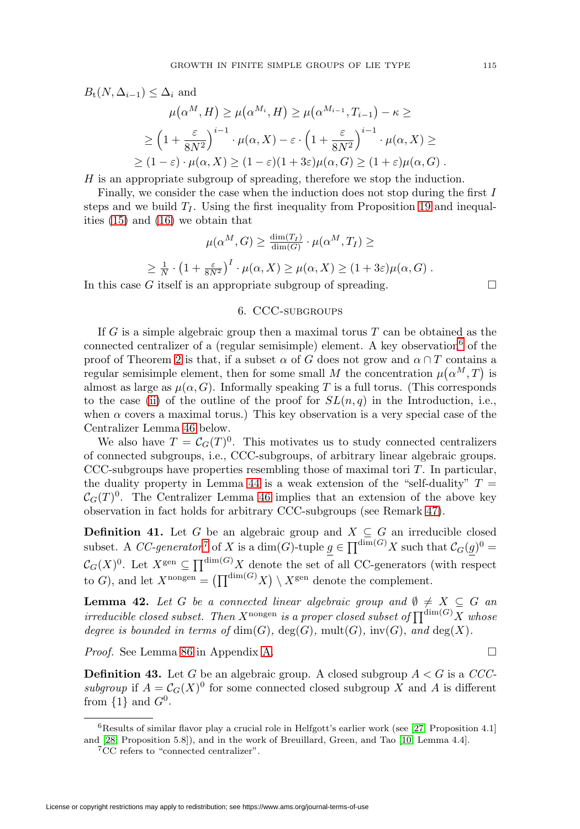$$
B_t(N, \Delta_{i-1}) \leq \Delta_i \text{ and}
$$
  
\n
$$
\mu(\alpha^M, H) \geq \mu(\alpha^{M_i}, H) \geq \mu(\alpha^{M_{i-1}}, T_{i-1}) - \kappa \geq
$$
  
\n
$$
\geq \left(1 + \frac{\varepsilon}{8N^2}\right)^{i-1} \cdot \mu(\alpha, X) - \varepsilon \cdot \left(1 + \frac{\varepsilon}{8N^2}\right)^{i-1} \cdot \mu(\alpha, X) \geq
$$
  
\n
$$
\geq (1 - \varepsilon) \cdot \mu(\alpha, X) \geq (1 - \varepsilon)(1 + 3\varepsilon)\mu(\alpha, G) \geq (1 + \varepsilon)\mu(\alpha, G).
$$

H is an appropriate subgroup of spreading, therefore we stop the induction.

Finally, we consider the case when the induction does not stop during the first  $I$ steps and we build  $T<sub>I</sub>$ . Using the first inequality from Proposition [19](#page-9-3) and inequalities [\(15\)](#page-19-1) and [\(16\)](#page-19-2) we obtain that

$$
\mu(\alpha^M, G) \ge \frac{\dim(T_I)}{\dim(G)} \cdot \mu(\alpha^M, T_I) \ge
$$
  

$$
\ge \frac{1}{N} \cdot \left(1 + \frac{\varepsilon}{8N^2}\right)^I \cdot \mu(\alpha, X) \ge \mu(\alpha, X) \ge (1 + 3\varepsilon)\mu(\alpha, G).
$$

<span id="page-20-0"></span>In this case G itself is an appropriate subgroup of spreading.  $\Box$ 

#### 6. CCC-subgroups

If G is a simple algebraic group then a maximal torus  $T$  can be obtained as the connected centralizer of a (regular semisimple) element. A key observation  $\delta$  of the proof of Theorem [2](#page-1-0) is that, if a subset  $\alpha$  of  $G$  does not grow and  $\alpha \cap T$  contains a regular semisimple element, then for some small M the concentration  $\mu(\alpha^M, T)$  is almost as large as  $\mu(\alpha, G)$ . Informally speaking T is a full torus. (This corresponds to the case [\(ii\)](#page-3-0) of the outline of the proof for  $SL(n, q)$  in the Introduction, i.e., when  $\alpha$  covers a maximal torus.) This key observation is a very special case of the Centralizer Lemma [46](#page-21-0) below.

We also have  $T = \mathcal{C}_G(T)^0$ . This motivates us to study connected centralizers of connected subgroups, i.e., CCC-subgroups, of arbitrary linear algebraic groups. CCC-subgroups have properties resembling those of maximal tori  $T$ . In particular, the duality property in Lemma [44](#page-21-1) is a weak extension of the "self-duality"  $T =$  $\mathcal{C}_G(T)^0$ . The Centralizer Lemma [46](#page-21-0) implies that an extension of the above key observation in fact holds for arbitrary CCC-subgroups (see Remark [47\)](#page-22-1).

**Definition 41.** Let G be an algebraic group and  $X \subseteq G$  an irreducible closed subset. A CC-generator<sup>[7](#page-20-2)</sup> of X is a dim(G)-tuple  $g \in \prod^{\dim(G)} X$  such that  $\mathcal{C}_G(g)^0 =$  $\mathcal{C}_G(X)^0$ . Let  $X^{\text{gen}} \subseteq \prod^{\dim(G)} X$  denote the set of all CC-generators (with respect to G), and let  $X^{\text{nongen}} = (\prod^{\dim(G)} X) \setminus X^{\text{gen}}$  denote the complement.

<span id="page-20-3"></span>**Lemma 42.** Let G be a connected linear algebraic group and  $\emptyset \neq X \subseteq G$  and irreducible closed subset. Then  $X^{\text{nongen}}$  is a proper closed subset of  $\prod^{\dim(G)} X$  whose degree is bounded in terms of  $dim(G)$ ,  $deg(G)$ ,  $mult(G)$ ,  $inv(G)$ , and  $deg(X)$ .

*Proof.* See Lemma [86](#page-44-0) in Appendix [A.](#page-39-0) □

<span id="page-20-4"></span>**Definition 43.** Let G be an algebraic group. A closed subgroup  $A < G$  is a CCCsubgroup if  $A = \mathcal{C}_G(X)^0$  for some connected closed subgroup X and A is different from  $\{1\}$  and  $G^0$ .

 $6$ Results of similar flavor play a crucial role in Helfgott's earlier work (see [\[27,](#page-50-0) Proposition 4.1] and [\[28,](#page-50-2) Proposition 5.8]), and in the work of Breuillard, Green, and Tao [\[10,](#page-49-6) Lemma 4.4].

<span id="page-20-2"></span><span id="page-20-1"></span><sup>&</sup>lt;sup>7</sup>CC refers to "connected centralizer".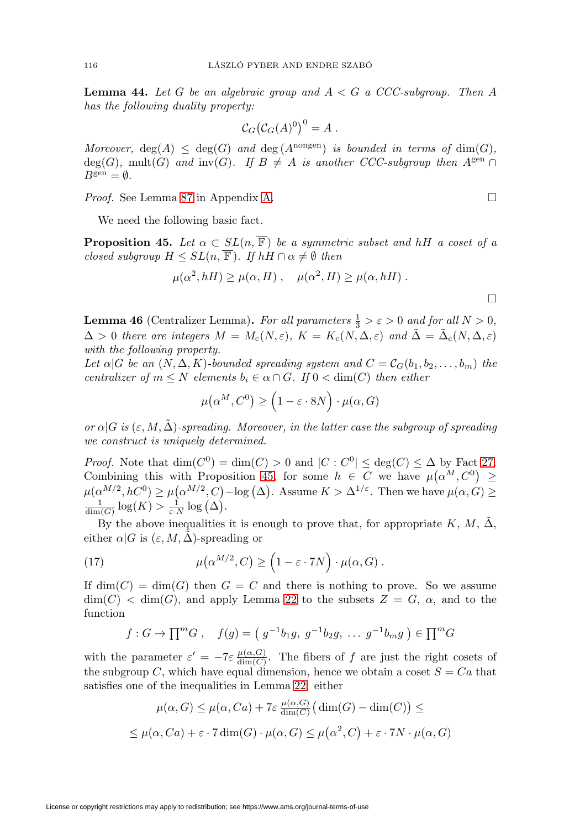<span id="page-21-1"></span>**Lemma 44.** Let G be an algebraic group and  $A < G$  a CCC-subgroup. Then A has the following duality property:

$$
\mathcal{C}_G\big(\mathcal{C}_G(A)^0\big)^0 = A .
$$

Moreover,  $deg(A) \leq deg(G)$  and  $deg(A^{nongen})$  is bounded in terms of  $dim(G)$ , deg(G), mult(G) and inv(G). If  $B \neq A$  is another CCC-subgroup then  $A^{\text{gen}} \cap$  $B^{\text{gen}} = \emptyset.$ 

*Proof.* See Lemma [87](#page-45-0) in Appendix [A.](#page-39-0) □

We need the following basic fact.

<span id="page-21-2"></span>**Proposition 45.** Let  $\alpha \subset SL(n, \overline{\mathbb{F}})$  be a symmetric subset and hH a coset of a closed subgroup  $H \leq SL(n, \overline{\mathbb{F}})$ . If  $hH \cap \alpha \neq \emptyset$  then

$$
\mu(\alpha^2, hH) \ge \mu(\alpha, H) , \quad \mu(\alpha^2, H) \ge \mu(\alpha, hH) .
$$

<span id="page-21-0"></span>**Lemma 46** (Centralizer Lemma). For all parameters  $\frac{1}{3} > \varepsilon > 0$  and for all  $N > 0$ ,  $\Delta > 0$  there are integers  $M = M_c(N, \varepsilon)$ ,  $K = K_c(N, \Delta, \varepsilon)$  and  $\Delta = \Delta_c(N, \Delta, \varepsilon)$ with the following property.

Let  $\alpha|G$  be an  $(N, \Delta, K)$ -bounded spreading system and  $C = C_G(b_1, b_2, \ldots, b_m)$  the centralizer of  $m \leq N$  elements  $b_i \in \alpha \cap G$ . If  $0 < \dim(C)$  then either

$$
\mu(\alpha^M, C^0) \ge \left(1 - \varepsilon \cdot 8N\right) \cdot \mu(\alpha, G)
$$

or  $\alpha|G$  is  $(\varepsilon, M, \tilde{\Delta})$ -spreading. Moreover, in the latter case the subgroup of spreading we construct is uniquely determined.

*Proof.* Note that  $\dim(C^0) = \dim(C) > 0$  and  $|C : C^0| \leq \deg(C) \leq \Delta$  by Fact [27.](#page-13-2) Combining this with Proposition [45,](#page-21-2) for some  $h \in C$  we have  $\mu(\alpha^M, C^0) \geq$  $\mu(\alpha^{M/2}, hC^0) \ge \mu(\alpha^{M/2}, C) - \log(\Delta)$ . Assume  $K > \Delta^{1/\varepsilon}$ . Then we have  $\mu(\alpha, G) \ge$  $\frac{1}{\dim(G)}\log(K) > \frac{1}{\varepsilon \cdot N} \log(\Delta).$ 

By the above inequalities it is enough to prove that, for appropriate K, M,  $\tilde{\Delta}$ , either  $\alpha|G$  is  $(\varepsilon, M, \Delta)$ -spreading or

<span id="page-21-3"></span>(17) 
$$
\mu(\alpha^{M/2}, C) \ge (1 - \varepsilon \cdot 7N) \cdot \mu(\alpha, G).
$$

If  $\dim(C) = \dim(G)$  then  $G = C$  and there is nothing to prove. So we assume  $\dim(C) < \dim(G)$ , and apply Lemma [22](#page-11-0) to the subsets  $Z = G$ ,  $\alpha$ , and to the function

$$
f: G \to \prod^m G
$$
,  $f(g) = (g^{-1}b_1g, g^{-1}b_2g, \ldots g^{-1}b_mg) \in \prod^m G$ 

with the parameter  $\varepsilon' = -7\varepsilon \frac{\mu(\alpha, G)}{\dim(C)}$ . The fibers of f are just the right cosets of the subgroup C, which have equal dimension, hence we obtain a coset  $S = Ca$  that satisfies one of the inequalities in Lemma [22:](#page-11-0) either

$$
\mu(\alpha, G) \le \mu(\alpha, Ca) + 7\varepsilon \frac{\mu(\alpha, G)}{\dim(C)} \big(\dim(G) - \dim(C)\big) \le
$$
  

$$
\le \mu(\alpha, Ca) + \varepsilon \cdot 7 \dim(G) \cdot \mu(\alpha, G) \le \mu(\alpha^2, C) + \varepsilon \cdot 7N \cdot \mu(\alpha, G)
$$

License or copyright restrictions may apply to redistribution; see https://www.ams.org/journal-terms-of-use

 $\Box$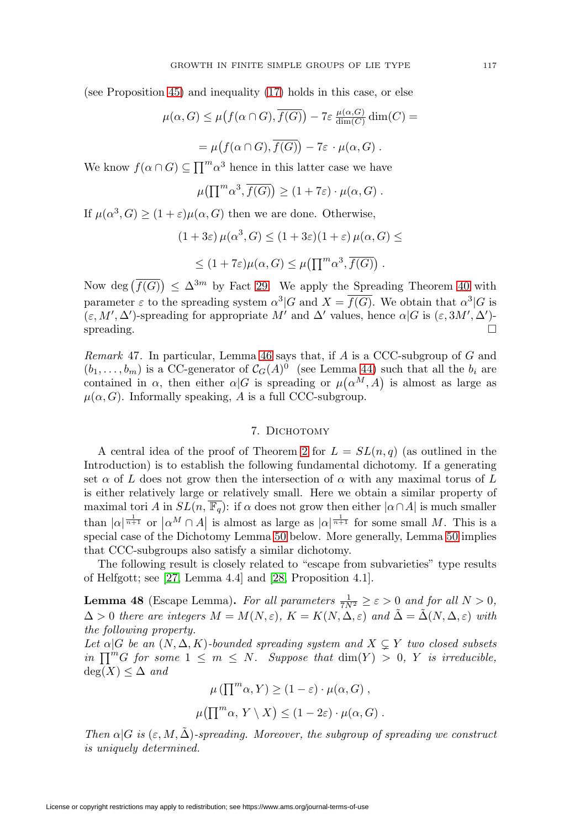(see Proposition [45\)](#page-21-2) and inequality [\(17\)](#page-21-3) holds in this case, or else

$$
\mu(\alpha, G) \le \mu\big(f(\alpha \cap G), \overline{f(G)}\big) - 7\varepsilon \frac{\mu(\alpha, G)}{\dim(C)} \dim(C) =
$$
  
=  $\mu\big(f(\alpha \cap G), \overline{f(G)}\big) - 7\varepsilon \cdot \mu(\alpha, G).$ 

We know  $f(\alpha \cap G) \subseteq \prod^{m} \alpha^3$  hence in this latter case we have

$$
\mu\big(\prod^{m} \alpha^3, \overline{f(G)}\big) \ge (1 + 7\varepsilon) \cdot \mu(\alpha, G) .
$$

If  $\mu(\alpha^3, G) > (1 + \varepsilon)\mu(\alpha, G)$  then we are done. Otherwise,

$$
(1+3\varepsilon)\,\mu(\alpha^3, G) \le (1+3\varepsilon)(1+\varepsilon)\,\mu(\alpha, G) \le
$$
  
 
$$
\le (1+7\varepsilon)\mu(\alpha, G) \le \mu(\prod^m \alpha^3, \overline{f(G)}) .
$$

Now deg  $(f(G)) \leq \Delta^{3m}$  by Fact [29.](#page-14-3) We apply the Spreading Theorem [40](#page-19-0) with parameter  $\varepsilon$  to the spreading system  $\alpha^3|G$  and  $X = \overline{f(G)}$ . We obtain that  $\alpha^3|G$  is  $(\varepsilon, M', \Delta')$ -spreading for appropriate M' and  $\Delta'$  values, hence  $\alpha | G$  is  $(\varepsilon, 3M', \Delta')$ spreading.  $\Box$ 

<span id="page-22-1"></span>*Remark* 47. In particular, Lemma [46](#page-21-0) says that, if  $A$  is a CCC-subgroup of  $G$  and  $(b_1,\ldots,b_m)$  is a CC-generator of  $\mathcal{C}_G(A)^0$  (see Lemma [44\)](#page-21-1) such that all the  $b_i$  are contained in  $\alpha$ , then either  $\alpha|G$  is spreading or  $\mu(\alpha^M, A)$  is almost as large as  $\mu(\alpha, G)$ . Informally speaking, A is a full CCC-subgroup.

# 7. DICHOTOMY

<span id="page-22-0"></span>A central idea of the proof of Theorem [2](#page-1-0) for  $L = SL(n, q)$  (as outlined in the Introduction) is to establish the following fundamental dichotomy. If a generating set  $\alpha$  of L does not grow then the intersection of  $\alpha$  with any maximal torus of L is either relatively large or relatively small. Here we obtain a similar property of maximal tori A in  $SL(n, \overline{\mathbb{F}_q})$ : if  $\alpha$  does not grow then either  $|\alpha \cap A|$  is much smaller than  $|\alpha|^{\frac{1}{n+1}}$  or  $|\alpha^M \cap A|$  is almost as large as  $|\alpha|^{\frac{1}{n+1}}$  for some small M. This is a special case of the Dichotomy Lemma [50](#page-24-0) below. More generally, Lemma [50](#page-24-0) implies that CCC-subgroups also satisfy a similar dichotomy.

The following result is closely related to "escape from subvarieties" type results of Helfgott; see [\[27,](#page-50-0) Lemma 4.4] and [\[28,](#page-50-2) Proposition 4.1].

<span id="page-22-2"></span>**Lemma 48** (Escape Lemma). For all parameters  $\frac{1}{7N^2} \ge \varepsilon > 0$  and for all  $N > 0$ ,  $\Delta > 0$  there are integers  $M = M(N, \varepsilon)$ ,  $K = K(N, \Delta, \varepsilon)$  and  $\tilde{\Delta} = \tilde{\Delta}(N, \Delta, \varepsilon)$  with the following property.

Let  $\alpha|G$  be an  $(N, \Delta, K)$ -bounded spreading system and  $X \subsetneq Y$  two closed subsets in  $\prod^{m} G$  for some  $1 \leq m \leq N$ . Suppose that  $\dim(Y) > 0$ , Y is irreducible,  $deg(X) \leq \Delta$  and

$$
\mu(\prod^{m} \alpha, Y) \ge (1 - \varepsilon) \cdot \mu(\alpha, G),
$$
  

$$
\mu(\prod^{m} \alpha, Y \setminus X) \le (1 - 2\varepsilon) \cdot \mu(\alpha, G).
$$

Then  $\alpha |G$  is  $(\varepsilon, M, \tilde{\Delta})$ -spreading. Moreover, the subgroup of spreading we construct is uniquely determined.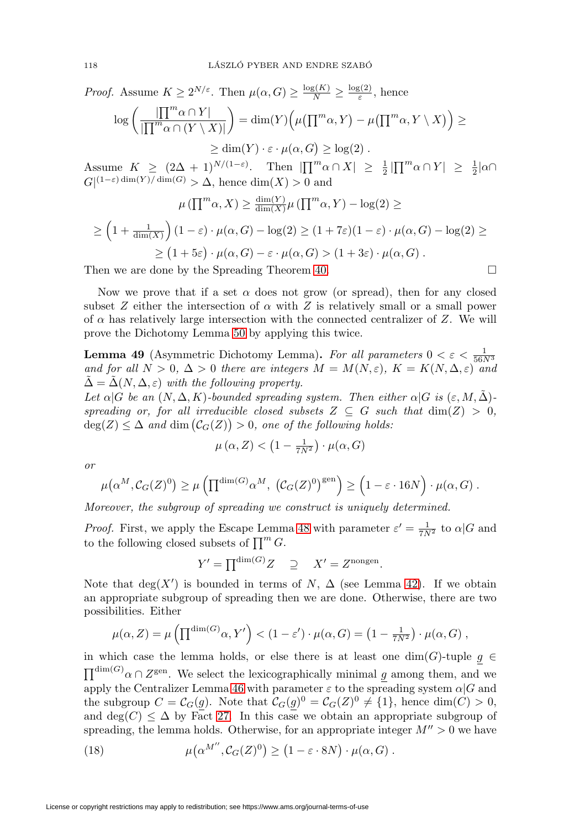*Proof.* Assume  $K \ge 2^{N/\varepsilon}$ . Then  $\mu(\alpha, G) \ge \frac{\log(K)}{N} \ge \frac{\log(2)}{\varepsilon}$ , hence

$$
\log\left(\frac{|\prod^{m}\alpha\cap Y|}{|\prod^{m}\alpha\cap(Y\setminus X)|}\right) = \dim(Y)\left(\mu(\prod^{m}\alpha, Y) - \mu(\prod^{m}\alpha, Y\setminus X)\right) \ge
$$
  
 
$$
\ge \dim(Y) \cdot \varepsilon \cdot \mu(\alpha, G) \ge \log(2) .
$$
  
1000  $K > (2\Delta + 1)^{N/(1-\varepsilon)}$  Then  $|\Pi^{m}\alpha \cap X| > 1$   $|\Pi^{m}\alpha \cap Y| > 1$ 

Assume  $K \geq (2\Delta + 1)^{N/(1-\varepsilon)}$ . Then  $|\prod^m \alpha \cap X| \geq \frac{1}{2} |\prod^m \alpha \cap Y| \geq \frac{1}{2} |\alpha \cap X|$  $G|^{(1-\varepsilon)\dim(Y)/\dim(G)} > \Delta$ , hence  $\dim(X) > 0$  and

$$
\mu(\prod^{m} \alpha, X) \ge \frac{\dim(Y)}{\dim(X)} \mu(\prod^{m} \alpha, Y) - \log(2) \ge
$$
  

$$
\ge \left(1 + \frac{1}{\dim(X)}\right) \left(1 - \varepsilon\right) \cdot \mu(\alpha, G) - \log(2) \ge \left(1 + 7\varepsilon\right) \left(1 - \varepsilon\right) \cdot \mu(\alpha, G) - \log(2) \ge
$$
  

$$
\ge \left(1 + 5\varepsilon\right) \cdot \mu(\alpha, G) - \varepsilon \cdot \mu(\alpha, G) > \left(1 + 3\varepsilon\right) \cdot \mu(\alpha, G).
$$

Then we are done by the Spreading Theorem [40.](#page-19-0)  $\Box$ 

Now we prove that if a set  $\alpha$  does not grow (or spread), then for any closed subset Z either the intersection of  $\alpha$  with Z is relatively small or a small power of  $\alpha$  has relatively large intersection with the connected centralizer of Z. We will prove the Dichotomy Lemma [50](#page-24-0) by applying this twice.

<span id="page-23-1"></span>**Lemma 49** (Asymmetric Dichotomy Lemma). For all parameters  $0 < \varepsilon < \frac{1}{56N^3}$ and for all  $N > 0$ ,  $\Delta > 0$  there are integers  $M = M(N, \varepsilon)$ ,  $K = K(N, \Delta, \varepsilon)$  and  $\tilde{\Delta} = \tilde{\Delta}(N, \Delta, \varepsilon)$  with the following property.

Let  $\alpha|G$  be an  $(N, \Delta, K)$ -bounded spreading system. Then either  $\alpha|G$  is  $(\varepsilon, M, \tilde{\Delta})$ spreading or, for all irreducible closed subsets  $Z \subseteq G$  such that  $\dim(Z) > 0$ ,  $deg(Z) \leq \Delta$  and  $dim(\mathcal{C}_G(Z)) > 0$ , one of the following holds:

$$
\mu\left(\alpha,Z\right) < \left(1 - \frac{1}{7N^2}\right) \cdot \mu(\alpha, G)
$$

or

$$
\mu(\alpha^M, C_G(Z)^0) \ge \mu\left(\prod^{\dim(G)} \alpha^M, \left(C_G(Z)^0\right)^{\text{gen}}\right) \ge \left(1 - \varepsilon \cdot 16N\right) \cdot \mu(\alpha, G) .
$$

Moreover, the subgroup of spreading we construct is uniquely determined.

*Proof.* First, we apply the Escape Lemma [48](#page-22-2) with parameter  $\varepsilon' = \frac{1}{7N^2}$  to  $\alpha |G$  and to the following closed subsets of  $\prod^m G$ .

$$
Y' = \prod^{\dim(G)} Z \quad \supseteq \quad X' = Z^{\text{nongen}}.
$$

Note that  $deg(X')$  is bounded in terms of N,  $\Delta$  (see Lemma [42\)](#page-20-3). If we obtain an appropriate subgroup of spreading then we are done. Otherwise, there are two possibilities. Either

$$
\mu(\alpha, Z) = \mu\left(\prod^{\dim(G)} \alpha, Y'\right) < (1 - \varepsilon') \cdot \mu(\alpha, G) = \left(1 - \frac{1}{7N^2}\right) \cdot \mu(\alpha, G) \;,
$$

in which case the lemma holds, or else there is at least one  $\dim(G)\text{-tuple } \underline{g}\ \in$  $\prod^{\dim(G)} \alpha \cap Z^{\text{gen}}$ . We select the lexicographically minimal g among them, and we apply the Centralizer Lemma [46](#page-21-0) with parameter  $\varepsilon$  to the spreading system  $\alpha|G$  and the subgroup  $C = \mathcal{C}_G(g)$ . Note that  $\mathcal{C}_G(g)^0 = \mathcal{C}_G(Z)^0 \neq \{1\}$ , hence dim(C) > 0, and deg( $C$ )  $\leq \Delta$  by Fact [27.](#page-13-2) In this case we obtain an appropriate subgroup of spreading, the lemma holds. Otherwise, for an appropriate integer  $M'' > 0$  we have

<span id="page-23-0"></span>(18) 
$$
\mu(\alpha^{M''}, C_G(Z)^0) \ge (1 - \varepsilon \cdot 8N) \cdot \mu(\alpha, G).
$$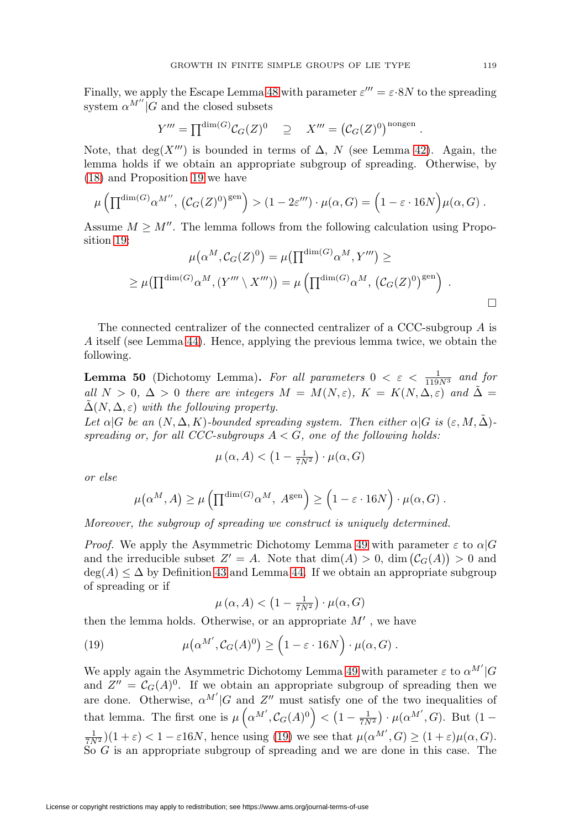Finally, we apply the Escape Lemma [48](#page-22-2) with parameter  $\varepsilon''' = \varepsilon \cdot 8N$  to the spreading system  $\alpha^{M''}|G$  and the closed subsets

$$
Y''' = \prod^{\dim(G)} C_G(Z)^0 \quad \supseteq \quad X''' = (C_G(Z)^0)^{\text{nongen}}.
$$

Note, that  $\deg(X''')$  is bounded in terms of  $\Delta$ , N (see Lemma [42\)](#page-20-3). Again, the lemma holds if we obtain an appropriate subgroup of spreading. Otherwise, by [\(18\)](#page-23-0) and Proposition [19](#page-9-3) we have

$$
\mu\left(\prod^{\dim(G)}\alpha^{M''}, \left(\mathcal{C}_G(Z)^0\right)^{\text{gen}}\right) > (1 - 2\varepsilon''') \cdot \mu(\alpha, G) = \left(1 - \varepsilon \cdot 16N\right) \mu(\alpha, G) .
$$

Assume  $M \geq M''$ . The lemma follows from the following calculation using Proposition [19:](#page-9-3)

$$
\mu(\alpha^M, C_G(Z)^0) = \mu(\prod^{\dim(G)} \alpha^M, Y''') \ge
$$
  
 
$$
\geq \mu(\prod^{\dim(G)} \alpha^M, (Y'' \setminus X''')) = \mu(\prod^{\dim(G)} \alpha^M, (C_G(Z)^0)^{\text{gen}}).
$$

The connected centralizer of the connected centralizer of a CCC-subgroup A is A itself (see Lemma [44\)](#page-21-1). Hence, applying the previous lemma twice, we obtain the following.

<span id="page-24-0"></span>**Lemma 50** (Dichotomy Lemma). For all parameters  $0 < \varepsilon < \frac{1}{119N^3}$  and for all  $N > 0$ ,  $\Delta > 0$  there are integers  $M = M(N, \varepsilon)$ ,  $K = K(N, \Delta, \varepsilon)$  and  $\Delta =$  $\tilde{\Delta}(N, \Delta, \varepsilon)$  with the following property.

Let  $\alpha|G$  be an  $(N, \Delta, K)$ -bounded spreading system. Then either  $\alpha|G$  is  $(\varepsilon, M, \Delta)$ spreading or, for all CCC-subgroups  $A < G$ , one of the following holds:

$$
\mu(\alpha, A) < \left(1 - \frac{1}{7N^2}\right) \cdot \mu(\alpha, G)
$$

or else

$$
\mu(\alpha^M, A) \ge \mu\left(\prod^{\dim(G)} \alpha^M, A^{\rm gen}\right) \ge \left(1 - \varepsilon \cdot 16N\right) \cdot \mu(\alpha, G) .
$$

Moreover, the subgroup of spreading we construct is uniquely determined.

*Proof.* We apply the Asymmetric Dichotomy Lemma [49](#page-23-1) with parameter  $\varepsilon$  to  $\alpha|G$ and the irreducible subset  $Z' = A$ . Note that  $\dim(A) > 0$ ,  $\dim(\mathcal{C}_G(A)) > 0$  and  $\deg(A) \leq \Delta$  by Definition [43](#page-20-4) and Lemma [44.](#page-21-1) If we obtain an appropriate subgroup of spreading or if

$$
\mu\left(\alpha,A\right)<\left(1-\tfrac{1}{7N^2}\right)\cdot\mu(\alpha,G)
$$

then the lemma holds. Otherwise, or an appropriate  $M'$ , we have

<span id="page-24-1"></span>(19) 
$$
\mu(\alpha^{M'}, C_G(A)^0) \geq (1 - \varepsilon \cdot 16N) \cdot \mu(\alpha, G).
$$

We apply again the Asymmetric Dichotomy Lemma [49](#page-23-1) with parameter  $\varepsilon$  to  $\alpha^{M'}|G\rangle$ and  $Z'' = C_G(A)^0$ . If we obtain an appropriate subgroup of spreading then we are done. Otherwise,  $\alpha^{M'}|G$  and  $Z''$  must satisfy one of the two inequalities of that lemma. The first one is  $\mu\left(\alpha^{M'}, C_G(A)^0\right) < \left(1 - \frac{1}{7N^2}\right) \cdot \mu(\alpha^{M'}, G)$ . But  $(1 \frac{1}{7N^2}$  $(1+\varepsilon) < 1 - \varepsilon 16N$ , hence using [\(19\)](#page-24-1) we see that  $\mu(\alpha^{M'}, G) \ge (1+\varepsilon)\mu(\alpha, G)$ . So G is an appropriate subgroup of spreading and we are done in this case. The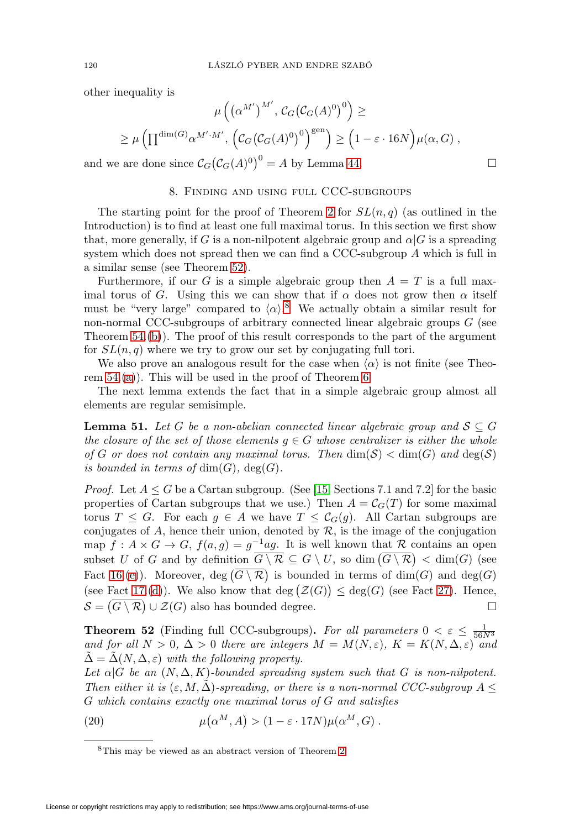other inequality is

$$
\mu\left(\left(\alpha^{M'}\right)^{M'}, C_G\left(\mathcal{C}_G(A)^0\right)^0\right) \ge
$$
  

$$
\geq \mu\left(\prod^{\dim(G)}\alpha^{M'\cdot M'}, \left(\mathcal{C}_G\left(\mathcal{C}_G(A)^0\right)^0\right)^{\text{gen}}\right) \geq \left(1 - \varepsilon \cdot 16N\right) \mu(\alpha, G),
$$

 $\Box$ 

<span id="page-25-0"></span>and we are done since  $C_G(C_G(A)^0)^0 = A$  by Lemma [44.](#page-21-1)

### 8. Finding and using full CCC-subgroups

The starting point for the proof of Theorem [2](#page-1-0) for  $SL(n, q)$  (as outlined in the Introduction) is to find at least one full maximal torus. In this section we first show that, more generally, if G is a non-nilpotent algebraic group and  $\alpha|G$  is a spreading system which does not spread then we can find a CCC-subgroup A which is full in a similar sense (see Theorem [52\)](#page-25-1).

Furthermore, if our G is a simple algebraic group then  $A = T$  is a full maximal torus of G. Using this we can show that if  $\alpha$  does not grow then  $\alpha$  itself must be "very large" compared to  $\langle \alpha \rangle$ .<sup>[8](#page-25-2)</sup> We actually obtain a similar result for non-normal CCC-subgroups of arbitrary connected linear algebraic groups G (see Theorem  $54.(\mathrm{b})$ . The proof of this result corresponds to the part of the argument for  $SL(n, q)$  where we try to grow our set by conjugating full tori.

We also prove an analogous result for the case when  $\langle \alpha \rangle$  is not finite (see Theorem [54.](#page-27-0)[\(a\)](#page-27-1)). This will be used in the proof of Theorem [6.](#page-2-0)

The next lemma extends the fact that in a simple algebraic group almost all elements are regular semisimple.

<span id="page-25-3"></span>**Lemma 51.** Let G be a non-abelian connected linear algebraic group and  $S \subseteq G$ the closure of the set of those elements  $g \in G$  whose centralizer is either the whole of G or does not contain any maximal torus. Then  $\dim(\mathcal{S}) < \dim(G)$  and  $\deg(\mathcal{S})$ is bounded in terms of  $\dim(G)$ ,  $\deg(G)$ .

*Proof.* Let  $A \leq G$  be a Cartan subgroup. (See [\[15,](#page-49-10) Sections 7.1 and 7.2] for the basic properties of Cartan subgroups that we use.) Then  $A = \mathcal{C}_G(T)$  for some maximal torus  $T \leq G$ . For each  $g \in A$  we have  $T \leq C_G(g)$ . All Cartan subgroups are conjugates of  $A$ , hence their union, denoted by  $R$ , is the image of the conjugation map  $f : A \times G \to G$ ,  $f(a, g) = g^{-1}ag$ . It is well known that R contains an open subset U of G and by definition  $G \setminus \mathcal{R} \subseteq G \setminus U$ , so  $\dim(G \setminus \mathcal{R}) < \dim(G)$  (see Fact [16.](#page-6-0)[\(e\)](#page-7-1)). Moreover,  $deg(G \setminus \mathcal{R})$  is bounded in terms of  $dim(G)$  and  $deg(G)$ (see Fact [17.](#page-7-5)[\(d\)](#page-8-4)). We also know that deg  $(\mathcal{Z}(G)) \leq deg(G)$  (see Fact [27\)](#page-13-2). Hence,  $\mathcal{S} = (G \setminus \mathcal{R}) \cup \mathcal{Z}(G)$  also has bounded degree.

<span id="page-25-1"></span>**Theorem 52** (Finding full CCC-subgroups). For all parameters  $0 < \varepsilon \leq \frac{1}{56N^3}$ and for all  $N > 0$ ,  $\Delta > 0$  there are integers  $M = M(N, \varepsilon)$ ,  $K = K(N, \Delta, \varepsilon)$  and  $\tilde{\Delta} = \tilde{\Delta}(N, \Delta, \varepsilon)$  with the following property.

Let  $\alpha|G$  be an  $(N, \Delta, K)$ -bounded spreading system such that G is non-nilpotent. Then either it is  $(\varepsilon, M, \tilde{\Delta})$ -spreading, or there is a non-normal CCC-subgroup A  $\leq$ G which contains exactly one maximal torus of G and satisfies

<span id="page-25-4"></span>(20) 
$$
\mu(\alpha^M, A) > (1 - \varepsilon \cdot 17N)\mu(\alpha^M, G).
$$

<span id="page-25-2"></span><sup>8</sup>This may be viewed as an abstract version of Theorem [2.](#page-1-0)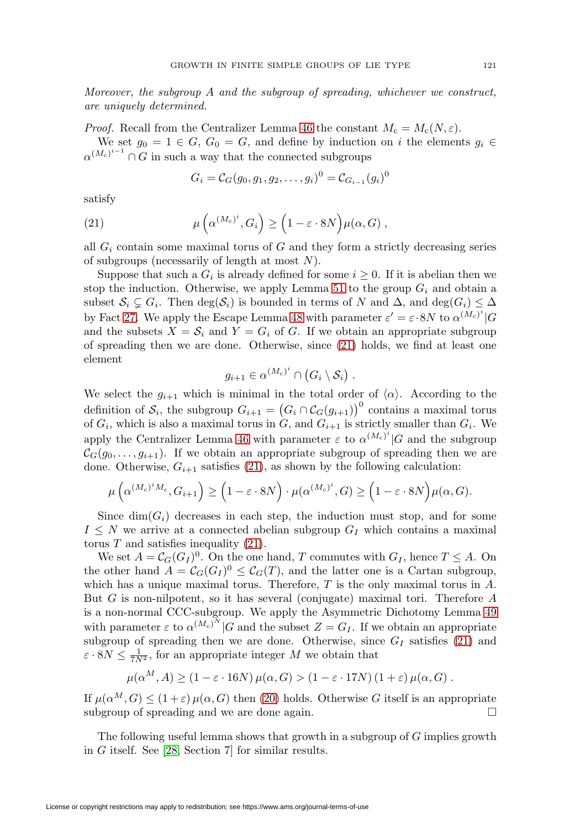Moreover, the subgroup  $A$  and the subgroup of spreading, whichever we construct, are uniquely determined.

*Proof.* Recall from the Centralizer Lemma [46](#page-21-0) the constant  $M_c = M_c(N, \varepsilon)$ .

We set  $g_0 = 1 \in G$ ,  $G_0 = G$ , and define by induction on i the elements  $g_i \in$  $\alpha^{(M_c)^{i-1}} \cap G$  in such a way that the connected subgroups

$$
G_i = C_G(g_0, g_1, g_2, \dots, g_i)^0 = C_{G_{i-1}}(g_i)^0
$$

satisfy

<span id="page-26-0"></span>(21) 
$$
\mu\left(\alpha^{(M_c)^i}, G_i\right) \ge \left(1 - \varepsilon \cdot 8N\right) \mu(\alpha, G) ,
$$

all  $G_i$  contain some maximal torus of G and they form a strictly decreasing series of subgroups (necessarily of length at most  $N$ ).

Suppose that such a  $G_i$  is already defined for some  $i \geq 0$ . If it is abelian then we stop the induction. Otherwise, we apply Lemma [51](#page-25-3) to the group  $G_i$  and obtain a subset  $S_i \subsetneq G_i$ . Then  $\deg(S_i)$  is bounded in terms of N and  $\Delta$ , and  $\deg(G_i) \leq \Delta$ by Fact [27.](#page-13-2) We apply the Escape Lemma [48](#page-22-2) with parameter  $\varepsilon' = \varepsilon \cdot 8N$  to  $\alpha^{(M_c)^i}|G$ and the subsets  $X = S_i$  and  $Y = G_i$  of G. If we obtain an appropriate subgroup of spreading then we are done. Otherwise, since [\(21\)](#page-26-0) holds, we find at least one element

$$
g_{i+1} \in \alpha^{(M_c)^i} \cap (G_i \setminus \mathcal{S}_i).
$$

We select the  $g_{i+1}$  which is minimal in the total order of  $\langle \alpha \rangle$ . According to the definition of  $S_i$ , the subgroup  $G_{i+1} = (G_i \cap C_G(g_{i+1}))^0$  contains a maximal torus of  $G_i$ , which is also a maximal torus in  $G$ , and  $G_{i+1}$  is strictly smaller than  $G_i$ . We apply the Centralizer Lemma [46](#page-21-0) with parameter  $\varepsilon$  to  $\alpha^{(M_c)^i}|G$  and the subgroup  $\mathcal{C}_G(g_0,\ldots,g_{i+1})$ . If we obtain an appropriate subgroup of spreading then we are done. Otherwise,  $G_{i+1}$  satisfies [\(21\)](#page-26-0), as shown by the following calculation:

$$
\mu\left(\alpha^{(M_c)^iM_c}, G_{i+1}\right) \ge \left(1 - \varepsilon \cdot 8N\right) \cdot \mu(\alpha^{(M_c)^i}, G) \ge \left(1 - \varepsilon \cdot 8N\right) \mu(\alpha, G).
$$

Since  $\dim(G_i)$  decreases in each step, the induction must stop, and for some  $I \leq N$  we arrive at a connected abelian subgroup  $G_I$  which contains a maximal torus  $T$  and satisfies inequality  $(21)$ .

We set  $A = \mathcal{C}_G(G_I)^0$ . On the one hand, T commutes with  $G_I$ , hence  $T \leq A$ . On the other hand  $A = \mathcal{C}_G(G_I)^0 \leq \mathcal{C}_G(T)$ , and the latter one is a Cartan subgroup, which has a unique maximal torus. Therefore,  $T$  is the only maximal torus in  $A$ . But G is non-nilpotent, so it has several (conjugate) maximal tori. Therefore A is a non-normal CCC-subgroup. We apply the Asymmetric Dichotomy Lemma [49](#page-23-1) with parameter  $\varepsilon$  to  $\alpha^{(M_c)^N}$  |G and the subset  $Z = G_I$ . If we obtain an appropriate subgroup of spreading then we are done. Otherwise, since  $G_I$  satisfies [\(21\)](#page-26-0) and  $\varepsilon \cdot 8N \leq \frac{1}{7N^2}$ , for an appropriate integer M we obtain that

$$
\mu(\alpha^M, A) \ge (1 - \varepsilon \cdot 16N) \mu(\alpha, G) > (1 - \varepsilon \cdot 17N) (1 + \varepsilon) \mu(\alpha, G).
$$

If  $\mu(\alpha^M, G) \leq (1+\varepsilon) \mu(\alpha, G)$  then [\(20\)](#page-25-4) holds. Otherwise G itself is an appropriate subgroup of spreading and we are done again.  $\Box$ 

The following useful lemma shows that growth in a subgroup of G implies growth in G itself. See [\[28,](#page-50-2) Section 7] for similar results.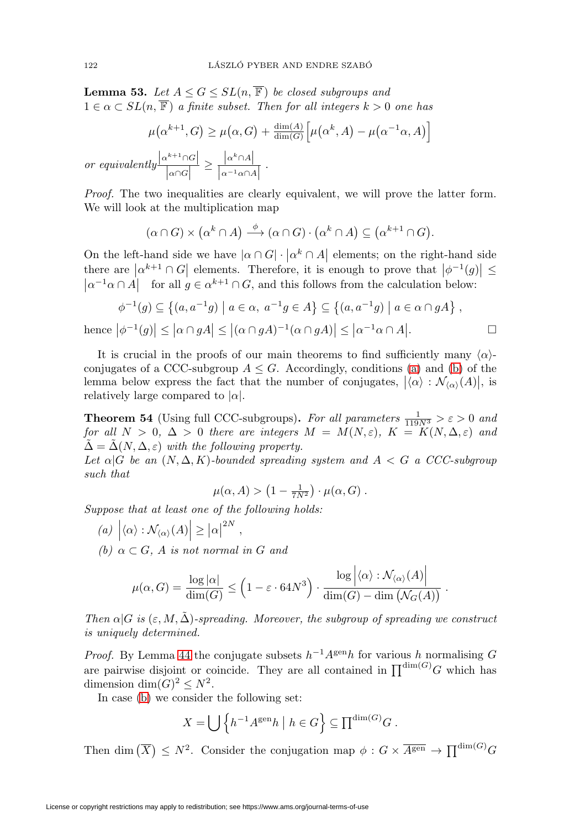<span id="page-27-3"></span>**Lemma 53.** Let  $A \leq G \leq SL(n, \overline{\mathbb{F}})$  be closed subgroups and  $1 \in \alpha \subset SL(n, \overline{\mathbb{F}})$  a finite subset. Then for all integers  $k > 0$  one has

$$
\mu(\alpha^{k+1}, G) \ge \mu(\alpha, G) + \frac{\dim(A)}{\dim(G)} \Big[\mu(\alpha^k, A) - \mu(\alpha^{-1}\alpha, A)\Big]
$$

or equivalently  $\frac{|\alpha^{k+1} \cap G|}{|\alpha \cap G|}$  $\geq \frac{|\alpha^k \cap A|}{|\alpha^{-1}\alpha \cap A|}$ .

Proof. The two inequalities are clearly equivalent, we will prove the latter form. We will look at the multiplication map

$$
(\alpha \cap G) \times (\alpha^k \cap A) \stackrel{\phi}{\longrightarrow} (\alpha \cap G) \cdot (\alpha^k \cap A) \subseteq (\alpha^{k+1} \cap G).
$$

On the left-hand side we have  $|\alpha \cap G| \cdot |\alpha^k \cap A|$  elements; on the right-hand side there are  $\left| \alpha^{k+1} \cap G \right|$  elements. Therefore, it is enough to prove that  $\left| \phi^{-1}(g) \right| \le$  $|\alpha^{-1}\alpha \cap A|$  for all  $g \in \alpha^{k+1} \cap G$ , and this follows from the calculation below:

$$
\phi^{-1}(g) \subseteq \left\{ (a, a^{-1}g) \mid a \in \alpha, a^{-1}g \in A \right\} \subseteq \left\{ (a, a^{-1}g) \mid a \in \alpha \cap gA \right\},\
$$
  
hence 
$$
|\phi^{-1}(g)| \le |\alpha \cap gA| \le |(\alpha \cap gA)^{-1}(\alpha \cap gA)| \le |\alpha^{-1}\alpha \cap A|.
$$

It is crucial in the proofs of our main theorems to find sufficiently many  $\langle \alpha \rangle$ conjugates of a CCC-subgroup  $A \leq G$ . Accordingly, conditions [\(a\)](#page-27-1) and [\(b\)](#page-27-2) of the lemma below express the fact that the number of conjugates,  $|\langle \alpha \rangle : \mathcal{N}_{\langle \alpha \rangle}(A)|$ , is relatively large compared to  $|\alpha|$ .

<span id="page-27-0"></span>**Theorem 54** (Using full CCC-subgroups). For all parameters  $\frac{1}{119N^3} > \varepsilon > 0$  and for all  $N > 0$ ,  $\Delta > 0$  there are integers  $M = M(N, \varepsilon)$ ,  $K = K(N, \Delta, \varepsilon)$  and  $\tilde{\Delta} = \tilde{\Delta}(N, \Delta, \varepsilon)$  with the following property.

Let  $\alpha|G$  be an  $(N, \Delta, K)$ -bounded spreading system and  $A < G$  a CCC-subgroup such that

$$
\mu(\alpha, A) > \left(1 - \frac{1}{7N^2}\right) \cdot \mu(\alpha, G) .
$$

<span id="page-27-1"></span>Suppose that at least one of the following holds:

- (a)  $|\langle \alpha \rangle : \mathcal{N}_{\langle \alpha \rangle}(A)| \geq |\alpha|^{2N},$
- <span id="page-27-2"></span>(b)  $\alpha \subset G$ , A is not normal in G and

$$
\mu(\alpha, G) = \frac{\log |\alpha|}{\dim(G)} \le \left(1 - \varepsilon \cdot 64N^3\right) \cdot \frac{\log \left|\langle \alpha \rangle : \mathcal{N}_{\langle \alpha \rangle}(A)\right|}{\dim(G) - \dim \left(\mathcal{N}_G(A)\right)}.
$$

Then  $\alpha|G$  is  $(\varepsilon, M, \tilde{\Delta})$ -spreading. Moreover, the subgroup of spreading we construct is uniquely determined.

*Proof.* By Lemma [44](#page-21-1) the conjugate subsets  $h^{-1}A^{\text{gen}}h$  for various h normalising G are pairwise disjoint or coincide. They are all contained in  $\prod^{\dim(G)} G$  which has dimension dim $(G)^2 \leq N^2$ .

In case [\(b\)](#page-27-2) we consider the following set:

$$
X = \bigcup \left\{ h^{-1}A^{\text{gen}}h \mid h \in G \right\} \subseteq \prod^{\dim(G)} G.
$$

Then dim  $(\overline{X}) \leq N^2$ . Consider the conjugation map  $\phi: G \times \overline{A^{\text{gen}}} \to \prod^{\text{dim}(G)} G$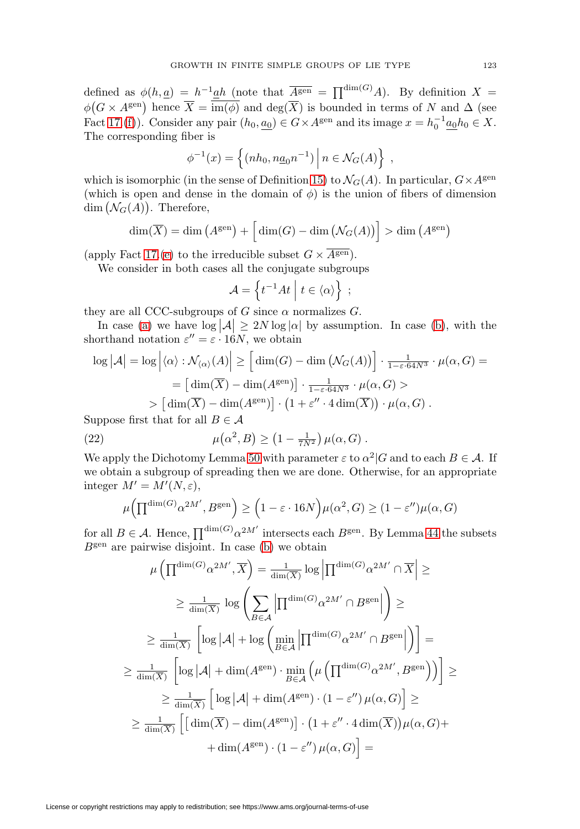defined as  $\phi(h,\underline{a}) = h^{-1}\underline{a}h$  (note that  $\overline{A^{\text{gen}}} = \prod^{\dim(G)} A$ ). By definition  $X =$  $\phi(G \times A^{\text{gen}})$  hence  $\overline{X} = \overline{\text{im}(\phi)}$  and  $\text{deg}(\overline{X})$  is bounded in terms of N and  $\Delta$  (see Fact [17.](#page-7-5)[\(f\)](#page-8-6)). Consider any pair  $(h_0, a_0) \in G \times A^{\text{gen}}$  and its image  $x = h_0^{-1} \underline{a_0} h_0 \in X$ . The corresponding fiber is

$$
\phi^{-1}(x) = \left\{ (nh_0, n\underline{a}_0 n^{-1}) \, \Big| \, n \in \mathcal{N}_G(A) \right\} ,
$$

which is isomorphic (in the sense of Definition [15\)](#page-6-8) to  $\mathcal{N}_G(A)$ . In particular,  $G \times A^{\text{gen}}$ (which is open and dense in the domain of  $\phi$ ) is the union of fibers of dimension dim  $(\mathcal{N}_G(A))$ . Therefore,

$$
\dim(\overline{X}) = \dim(A^{\text{gen}}) + \left[\dim(G) - \dim(\mathcal{N}_G(A))\right] > \dim(A^{\text{gen}})
$$

(apply Fact [17.](#page-7-5)[\(e\)](#page-8-5) to the irreducible subset  $G \times \overline{A^{\text{gen}} }$ .

We consider in both cases all the conjugate subgroups

$$
\mathcal{A} = \left\{ t^{-1}At \mid t \in \langle \alpha \rangle \right\} ;
$$

they are all CCC-subgroups of G since  $\alpha$  normalizes G.

In case [\(a\)](#page-27-1) we have  $\log |\mathcal{A}| \geq 2N \log |\alpha|$  by assumption. In case [\(b\)](#page-27-2), with the shorthand notation  $\varepsilon'' = \varepsilon \cdot 16N$ , we obtain

$$
\log |\mathcal{A}| = \log |\langle \alpha \rangle : \mathcal{N}_{\langle \alpha \rangle}(A)| \geq \left[ \dim(G) - \dim \left( \mathcal{N}_G(A) \right) \right] \cdot \frac{1}{1 - \varepsilon \cdot 64N^3} \cdot \mu(\alpha, G) =
$$
  
= 
$$
\left[ \dim(\overline{X}) - \dim(A^{\text{gen}}) \right] \cdot \frac{1}{1 - \varepsilon \cdot 64N^3} \cdot \mu(\alpha, G) >
$$
  
> 
$$
\left[ \dim(\overline{X}) - \dim(A^{\text{gen}}) \right] \cdot \left( 1 + \varepsilon'' \cdot 4 \dim(\overline{X}) \right) \cdot \mu(\alpha, G) .
$$

Suppose first that for all  $B \in \mathcal{A}$ 

<span id="page-28-0"></span>(22) 
$$
\mu(\alpha^2, B) \ge (1 - \frac{1}{7N^2}) \mu(\alpha, G).
$$

We apply the Dichotomy Lemma [50](#page-24-0) with parameter  $\varepsilon$  to  $\alpha^2|G$  and to each  $B \in \mathcal{A}$ . If we obtain a subgroup of spreading then we are done. Otherwise, for an appropriate integer  $M' = M'(N, \varepsilon),$ 

$$
\mu\left(\prod^{\dim(G)}\alpha^{2M'}, B^{\text{gen}}\right) \ge \left(1 - \varepsilon \cdot 16N\right) \mu(\alpha^2, G) \ge (1 - \varepsilon'')\mu(\alpha, G)
$$

for all  $B \in \mathcal{A}$ . Hence,  $\prod^{\dim(G)} \alpha^{2M'}$  intersects each  $B^{\text{gen}}$ . By Lemma [44](#page-21-1) the subsets  $B<sup>gen</sup>$  are pairwise disjoint. In case [\(b\)](#page-27-2) we obtain

$$
\mu\left(\prod^{\dim(G)}\alpha^{2M'},\overline{X}\right) = \frac{1}{\dim(\overline{X})}\log\left|\prod^{\dim(G)}\alpha^{2M'}\cap\overline{X}\right| \ge
$$
  

$$
\geq \frac{1}{\dim(\overline{X})}\log\left(\sum_{B\in\mathcal{A}}\left|\prod^{\dim(G)}\alpha^{2M'}\cap B^{\text{gen}}\right|\right) \ge
$$
  

$$
\geq \frac{1}{\dim(\overline{X})}\left[\log|\mathcal{A}| + \log\left(\min_{B\in\mathcal{A}}\left|\prod^{\dim(G)}\alpha^{2M'}\cap B^{\text{gen}}\right|\right)\right] =
$$
  

$$
\geq \frac{1}{\dim(\overline{X})}\left[\log|\mathcal{A}| + \dim(A^{\text{gen}})\cdot\min_{B\in\mathcal{A}}\left(\mu\left(\prod^{\dim(G)}\alpha^{2M'},B^{\text{gen}}\right)\right)\right] \ge
$$
  

$$
\geq \frac{1}{\dim(\overline{X})}\left[\log|\mathcal{A}| + \dim(A^{\text{gen}})\cdot(1-\varepsilon'')\,\mu(\alpha,G)\right] \ge
$$
  

$$
\geq \frac{1}{\dim(\overline{X})}\left[\left[\dim(\overline{X}) - \dim(A^{\text{gen}})\right]\cdot\left(1+\varepsilon''\cdot 4\dim(\overline{X})\right)\mu(\alpha,G) +
$$
  

$$
+\dim(A^{\text{gen}})\cdot(1-\varepsilon'')\,\mu(\alpha,G)\right] =
$$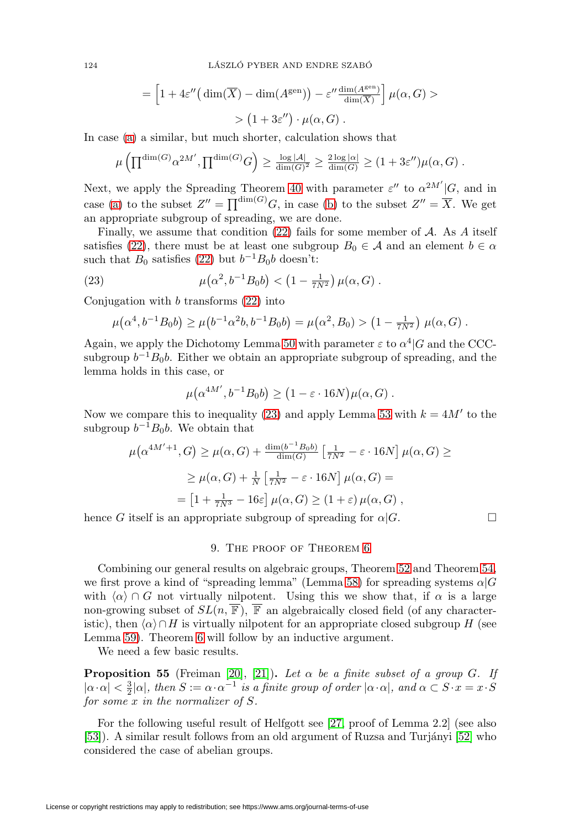124 LÁSZLÓ PYBER AND ENDRE SZABÓ

$$
= \left[1 + 4\varepsilon''\left(\dim(\overline{X}) - \dim(A^{\text{gen}})\right) - \varepsilon'' \frac{\dim(A^{\text{gen}})}{\dim(\overline{X})}\right] \mu(\alpha, G) >
$$
  
> 
$$
(1 + 3\varepsilon'') \cdot \mu(\alpha, G).
$$

In case [\(a\)](#page-27-1) a similar, but much shorter, calculation shows that

$$
\mu\left(\prod^{\dim(G)} \alpha^{2M'}, \prod^{\dim(G)} G\right) \ge \frac{\log |\mathcal{A}|}{\dim(G)^2} \ge \frac{2 \log |\alpha|}{\dim(G)} \ge (1+3\varepsilon'')\mu(\alpha, G).
$$

Next, we apply the Spreading Theorem [40](#page-19-0) with parameter  $\varepsilon''$  to  $\alpha^{2M'}|G$ , and in case [\(a\)](#page-27-1) to the subset  $Z'' = \prod^{\dim(G)} G$ , in case [\(b\)](#page-27-2) to the subset  $Z'' = \overline{X}$ . We get an appropriate subgroup of spreading, we are done.

Finally, we assume that condition  $(22)$  fails for some member of A. As A itself satisfies [\(22\)](#page-28-0), there must be at least one subgroup  $B_0 \in \mathcal{A}$  and an element  $b \in \alpha$ such that  $B_0$  satisfies [\(22\)](#page-28-0) but  $b^{-1}B_0b$  doesn't:

<span id="page-29-1"></span>(23) 
$$
\mu(\alpha^2, b^{-1}B_0b) < (1 - \frac{1}{7N^2}) \mu(\alpha, G).
$$

Conjugation with  $b$  transforms  $(22)$  into

$$
\mu(\alpha^4, b^{-1}B_0b) \ge \mu(b^{-1}\alpha^2b, b^{-1}B_0b) = \mu(\alpha^2, B_0) > (1 - \frac{1}{7N^2}) \mu(\alpha, G).
$$

Again, we apply the Dichotomy Lemma [50](#page-24-0) with parameter  $\varepsilon$  to  $\alpha^4|G$  and the CCCsubgroup  $b^{-1}B_0b$ . Either we obtain an appropriate subgroup of spreading, and the lemma holds in this case, or

$$
\mu(\alpha^{4M'}, b^{-1}B_0b) \ge (1 - \varepsilon \cdot 16N)\mu(\alpha, G) .
$$

Now we compare this to inequality [\(23\)](#page-29-1) and apply Lemma [53](#page-27-3) with  $k = 4M'$  to the subgroup  $b^{-1}B_0b$ . We obtain that

$$
\mu(\alpha^{4M'+1}, G) \ge \mu(\alpha, G) + \frac{\dim(b^{-1}B_0b)}{\dim(G)} \left[\frac{1}{7N^2} - \varepsilon \cdot 16N\right] \mu(\alpha, G) \ge
$$
  

$$
\ge \mu(\alpha, G) + \frac{1}{N} \left[\frac{1}{7N^2} - \varepsilon \cdot 16N\right] \mu(\alpha, G) =
$$
  

$$
= \left[1 + \frac{1}{7N^3} - 16\varepsilon\right] \mu(\alpha, G) \ge (1 + \varepsilon) \mu(\alpha, G) ,
$$

<span id="page-29-0"></span>hence G itself is an appropriate subgroup of spreading for  $\alpha|G$ .

### 9. The proof of Theorem [6](#page-2-0)

Combining our general results on algebraic groups, Theorem [52](#page-25-1) and Theorem [54,](#page-27-0) we first prove a kind of "spreading lemma" (Lemma [58\)](#page-30-1) for spreading systems  $\alpha|G$ with  $\langle \alpha \rangle \cap G$  not virtually nilpotent. Using this we show that, if  $\alpha$  is a large non-growing subset of  $SL(n, \overline{\mathbb{F}})$ ,  $\overline{\mathbb{F}}$  an algebraically closed field (of any characteristic), then  $\langle \alpha \rangle \cap H$  is virtually nilpotent for an appropriate closed subgroup H (see Lemma [59\)](#page-30-2). Theorem [6](#page-2-0) will follow by an inductive argument.

We need a few basic results.

<span id="page-29-2"></span>**Proposition 55** (Freiman [\[20\]](#page-50-15), [\[21\]](#page-50-16)). Let  $\alpha$  be a finite subset of a group G. If  $|\alpha \cdot \alpha| < \frac{3}{2} |\alpha|$ , then  $S := \alpha \cdot \alpha^{-1}$  is a finite group of order  $|\alpha \cdot \alpha|$ , and  $\alpha \subset S \cdot x = x \cdot S$ for some x in the normalizer of S.

For the following useful result of Helfgott see [\[27,](#page-50-0) proof of Lemma 2.2] (see also [\[53\]](#page-51-7)). A similar result follows from an old argument of Ruzsa and Turjányi [\[52\]](#page-51-8) who considered the case of abelian groups.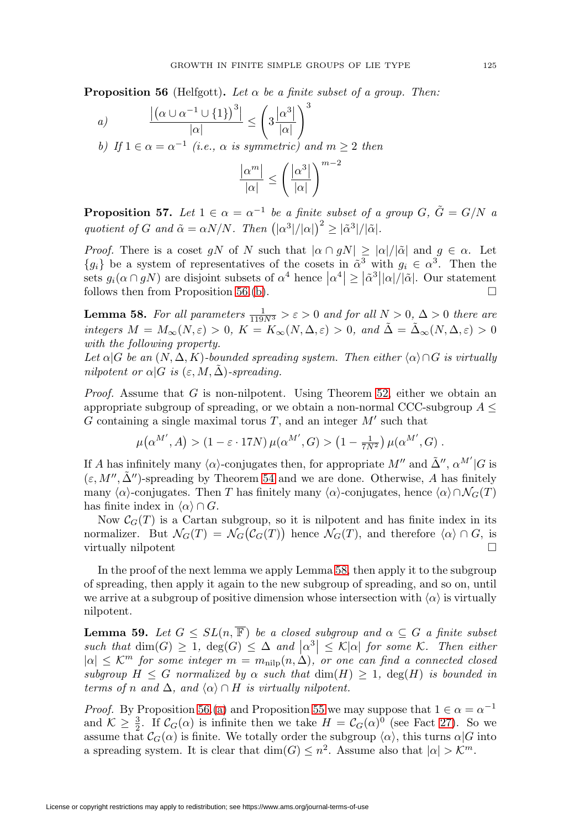<span id="page-30-4"></span><span id="page-30-0"></span>**Proposition 56** (Helfgott). Let  $\alpha$  be a finite subset of a group. Then:

<span id="page-30-3"></span>a) 
$$
\frac{\left| \left( \alpha \cup \alpha^{-1} \cup \{1\} \right)^3 \right|}{|\alpha|} \le \left( 3 \frac{|\alpha^3|}{|\alpha|} \right)^3
$$
  
b) If  $1 \in \alpha = \alpha^{-1}$  (i.e.,  $\alpha$  is symmetric) and  $m \ge 2$  then  

$$
\frac{|\alpha^m|}{|\alpha|} \le \left( \frac{|\alpha^3|}{|\alpha|} \right)^{m-2}
$$

<span id="page-30-5"></span>**Proposition 57.** Let  $1 \in \alpha = \alpha^{-1}$  be a finite subset of a group G,  $\tilde{G} = G/N$  a quotient of G and  $\tilde{\alpha} = \alpha N/N$ . Then  $(|\alpha^3|/|\alpha|)^2 \geq |\tilde{\alpha}^3|/|\tilde{\alpha}|$ .

 $|\alpha|$ 

*Proof.* There is a coset gN of N such that  $|\alpha \cap gN| \geq |\alpha|/|\tilde{\alpha}|$  and  $g \in \alpha$ . Let  ${g_i}$  be a system of representatives of the cosets in  $\alpha^3$  with  $g_i \in \alpha^3$ . Then the sets  $g_i(\alpha \cap gN)$  are disjoint subsets of  $\alpha^4$  hence  $|\alpha^4| \geq |\tilde{\alpha}^3||\alpha|/|\tilde{\alpha}|$ . Our statement follows then from Proposition [56.](#page-30-0)[\(b\)](#page-30-3).  $\Box$ 

<span id="page-30-1"></span>**Lemma 58.** For all parameters  $\frac{1}{119N^3} > \varepsilon > 0$  and for all  $N > 0$ ,  $\Delta > 0$  there are integers  $M = M_{\infty}(N, \varepsilon) > 0$ ,  $K = K_{\infty}(N, \Delta, \varepsilon) > 0$ , and  $\tilde{\Delta} = \tilde{\Delta}_{\infty}(N, \Delta, \varepsilon) > 0$ with the following property.

Let  $\alpha|G$  be an  $(N, \Delta, K)$ -bounded spreading system. Then either  $\langle \alpha \rangle \cap G$  is virtually nilpotent or  $\alpha |G$  is  $(\varepsilon, M, \tilde{\Delta})$ -spreading.

*Proof.* Assume that  $G$  is non-nilpotent. Using Theorem [52,](#page-25-1) either we obtain an appropriate subgroup of spreading, or we obtain a non-normal CCC-subgroup  $A \leq$ G containing a single maximal torus T, and an integer  $M'$  such that

$$
\mu(\alpha^{M'}, A) > (1 - \varepsilon \cdot 17N) \mu(\alpha^{M'}, G) > (1 - \frac{1}{7N^2}) \mu(\alpha^{M'}, G) .
$$

If A has infinitely many  $\langle \alpha \rangle$ -conjugates then, for appropriate  $M''$  and  $\tilde{\Delta}''$ ,  $\alpha^{M'}|G$  is  $(\varepsilon, M'', \tilde{\Delta}'')$ -spreading by Theorem [54](#page-27-0) and we are done. Otherwise, A has finitely many  $\langle \alpha \rangle$ -conjugates. Then T has finitely many  $\langle \alpha \rangle$ -conjugates, hence  $\langle \alpha \rangle \cap \mathcal{N}_G(T)$ has finite index in  $\langle \alpha \rangle \cap G$ .

Now  $C_G(T)$  is a Cartan subgroup, so it is nilpotent and has finite index in its normalizer. But  $\mathcal{N}_G(T) = \mathcal{N}_G(\mathcal{C}_G(T))$  hence  $\mathcal{N}_G(T)$ , and therefore  $\langle \alpha \rangle \cap G$ , is virtually nilpotent  $\Box$ 

In the proof of the next lemma we apply Lemma [58,](#page-30-1) then apply it to the subgroup of spreading, then apply it again to the new subgroup of spreading, and so on, until we arrive at a subgroup of positive dimension whose intersection with  $\langle \alpha \rangle$  is virtually nilpotent.

<span id="page-30-2"></span>**Lemma 59.** Let  $G \leq SL(n, \overline{\mathbb{F}})$  be a closed subgroup and  $\alpha \subseteq G$  a finite subset such that  $\dim(G) \geq 1$ ,  $\deg(G) \leq \Delta$  and  $|\alpha^3| \leq \mathcal{K}|\alpha|$  for some K. Then either  $|\alpha| \leq K^m$  for some integer  $m = m_{\text{nilp}}(n, \Delta)$ , or one can find a connected closed subgroup  $H \leq G$  normalized by  $\alpha$  such that  $\dim(H) \geq 1$ ,  $\deg(H)$  is bounded in terms of n and  $\Delta$ , and  $\langle \alpha \rangle \cap H$  is virtually nilpotent.

*Proof.* By Proposition [56.](#page-30-0)[\(a\)](#page-30-4) and Proposition [55](#page-29-2) we may suppose that  $1 \in \alpha = \alpha^{-1}$ and  $\mathcal{K} \geq \frac{3}{2}$ . If  $\mathcal{C}_G(\alpha)$  is infinite then we take  $H = \mathcal{C}_G(\alpha)^0$  (see Fact [27\)](#page-13-2). So we assume that  $C_G(\alpha)$  is finite. We totally order the subgroup  $\langle \alpha \rangle$ , this turns  $\alpha|G$  into a spreading system. It is clear that  $\dim(G) \leq n^2$ . Assume also that  $|\alpha| > \mathcal{K}^m$ .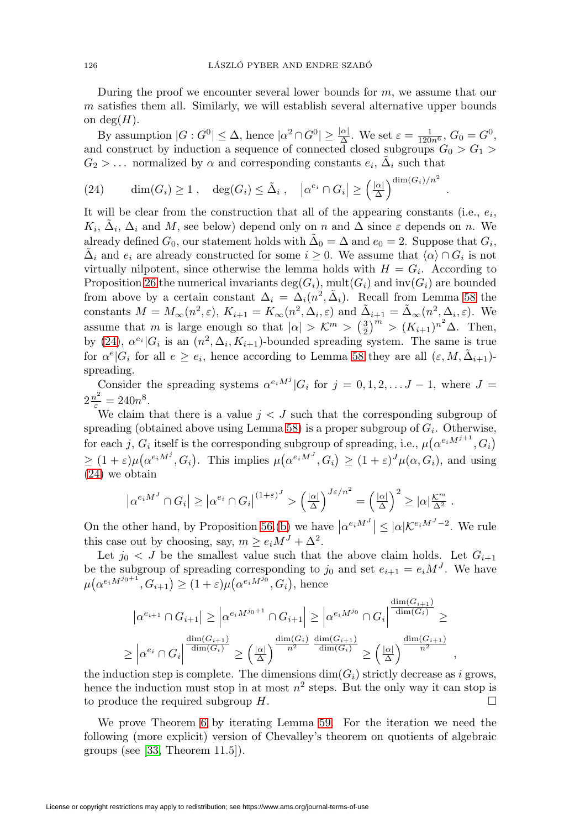During the proof we encounter several lower bounds for  $m$ , we assume that our m satisfies them all. Similarly, we will establish several alternative upper bounds on deg $(H)$ .

By assumption  $|G: G^0| \leq \Delta$ , hence  $|\alpha^2 \cap G^0| \geq \frac{|\alpha|}{\Delta}$ . We set  $\varepsilon = \frac{1}{120n^6}$ ,  $G_0 = G^0$ , and construct by induction a sequence of connected closed subgroups  $G_0 > G_1$  $G_2 > ...$  normalized by  $\alpha$  and corresponding constants  $e_i$ ,  $\Delta_i$  such that

.

,

<span id="page-31-0"></span>(24) 
$$
\dim(G_i) \ge 1
$$
,  $\deg(G_i) \le \tilde{\Delta}_i$ ,  $|\alpha^{e_i} \cap G_i| \ge (\frac{|\alpha|}{\Delta})^{\dim(G_i)/n^2}$ 

It will be clear from the construction that all of the appearing constants (i.e.,  $e_i$ ,  $K_i$ ,  $\Delta_i$ ,  $\Delta_i$  and M, see below) depend only on n and  $\Delta$  since  $\varepsilon$  depends on n. We already defined  $G_0$ , our statement holds with  $\Delta_0 = \Delta$  and  $e_0 = 2$ . Suppose that  $G_i$ ,  $\Delta_i$  and  $e_i$  are already constructed for some  $i \geq 0$ . We assume that  $\langle \alpha \rangle \cap G_i$  is not virtually nilpotent, since otherwise the lemma holds with  $H = G_i$ . According to Proposition [26](#page-13-1) the numerical invariants  $deg(G_i)$ ,  $mult(G_i)$  and  $inv(G_i)$  are bounded from above by a certain constant  $\Delta_i = \Delta_i(n^2, \tilde{\Delta}_i)$ . Recall from Lemma [58](#page-30-1) the constants  $M = M_{\infty}(n^2, \varepsilon), K_{i+1} = K_{\infty}(n^2, \Delta_i, \varepsilon)$  and  $\tilde{\Delta}_{i+1} = \tilde{\Delta}_{\infty}(n^2, \Delta_i, \varepsilon)$ . We assume that m is large enough so that  $|\alpha| > \mathcal{K}^m > \left(\frac{3}{2}\right)^m > (K_{i+1})^{n^2} \Delta$ . Then, by [\(24\)](#page-31-0),  $\alpha^{e_i} |G_i|$  is an  $(n^2, \Delta_i, K_{i+1})$ -bounded spreading system. The same is true for  $\alpha^{e}|G_i$  for all  $e \geq e_i$ , hence according to Lemma [58](#page-30-1) they are all  $(\varepsilon, M, \tilde{\Delta}_{i+1})$ spreading.

Consider the spreading systems  $\alpha^{e_i M^j} |G_i$  for  $j = 0, 1, 2, \ldots J - 1$ , where  $J =$  $2\frac{n^2}{\varepsilon} = 240n^8.$ 

We claim that there is a value  $j < J$  such that the corresponding subgroup of spreading (obtained above using Lemma [58\)](#page-30-1) is a proper subgroup of  $G_i$ . Otherwise, for each j,  $G_i$  itself is the corresponding subgroup of spreading, i.e.,  $\mu(\alpha^{e_i M^{j+1}}, G_i)$  $\geq (1+\varepsilon)\mu(\alpha^{e_iM^j},G_i)$ . This implies  $\mu(\alpha^{e_iM^J},G_i) \geq (1+\varepsilon)^J\mu(\alpha,G_i)$ , and using [\(24\)](#page-31-0) we obtain

$$
\left|\alpha^{e_i M^J} \cap G_i\right| \geq \left|\alpha^{e_i} \cap G_i\right|^{(1+\varepsilon)^J} > \left(\frac{|\alpha|}{\Delta}\right)^{J\varepsilon/n^2} = \left(\frac{|\alpha|}{\Delta}\right)^2 \geq |\alpha| \frac{\mathcal{K}^m}{\Delta^2}.
$$

On the other hand, by Proposition [56.](#page-30-0)[\(b\)](#page-30-3) we have  $|\alpha^{e_i M^J}| \leq |\alpha| \mathcal{K}^{e_i M^J - 2}$ . We rule this case out by choosing, say,  $m \ge e_i M^J + \Delta^2$ .

Let  $j_0 < J$  be the smallest value such that the above claim holds. Let  $G_{i+1}$ be the subgroup of spreading corresponding to  $j_0$  and set  $e_{i+1} = e_i M^J$ . We have  $\mu(\alpha^{e_i M^{j_0+1}}, G_{i+1}) \geq (1+\varepsilon)\mu(\alpha^{e_i M^{j_0}}, G_i)$ , hence

$$
|\alpha^{e_{i+1}} \cap G_{i+1}| \geq |\alpha^{e_i M^{j_0+1}} \cap G_{i+1}| \geq |\alpha^{e_i M^{j_0}} \cap G_i| \frac{\dim(G_{i+1})}{\dim(G_i)} \geq
$$
  

$$
\geq |\alpha^{e_i} \cap G_i| \frac{\dim(G_{i+1})}{\dim(G_i)} \geq (\frac{|\alpha|}{\Delta})^{\frac{\dim(G_i)}{n^2}} \frac{\dim(G_{i+1})}{\dim(G_i)} \geq (\frac{|\alpha|}{\Delta})^{\frac{\dim(G_{i+1})}{n^2}}
$$

the induction step is complete. The dimensions  $\dim(G_i)$  strictly decrease as i grows, hence the induction must stop in at most  $n^2$  steps. But the only way it can stop is to produce the required subgroup  $H$ .  $\Box$ 

We prove Theorem [6](#page-2-0) by iterating Lemma [59.](#page-30-2) For the iteration we need the following (more explicit) version of Chevalley's theorem on quotients of algebraic groups (see [\[33,](#page-50-12) Theorem 11.5]).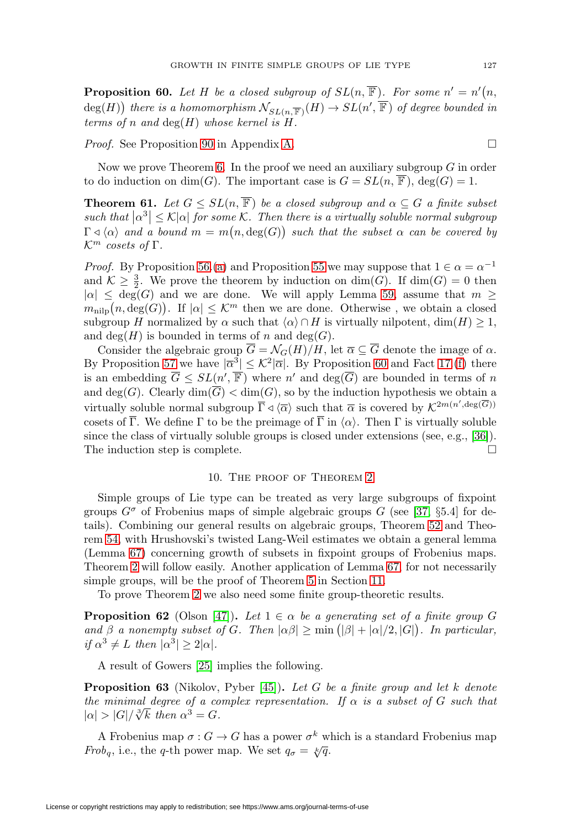<span id="page-32-1"></span>**Proposition 60.** Let H be a closed subgroup of  $SL(n, \overline{\mathbb{F}})$ . For some  $n' = n'(n, \overline{n})$  $deg(H))$  there is a homomorphism  $\mathcal{N}_{SL(n,\overline{\mathbb{F}})}(H) \to SL(n',\overline{\mathbb{F}})$  of degree bounded in terms of n and  $deg(H)$  whose kernel is  $H$ .

*Proof.* See Proposition [90](#page-45-1) in Appendix [A.](#page-39-0)  $\Box$ 

Now we prove Theorem [6.](#page-2-0) In the proof we need an auxiliary subgroup  $G$  in order to do induction on dim(G). The important case is  $G = SL(n, \overline{\mathbb{F}})$ , deg(G) = 1.

**Theorem 61.** Let  $G \le SL(n, \overline{\mathbb{F}})$  be a closed subgroup and  $\alpha \subseteq G$  a finite subset  $|such that$   $|\alpha^3| \leq \mathcal{K}|\alpha|$  for some  $\mathcal{K}$ . Then there is a virtually soluble normal subgroup  $\Gamma \triangleleft \langle \alpha \rangle$  and a bound  $m = m(n,\deg(G))$  such that the subset  $\alpha$  can be covered by  $\mathcal{K}^m$  cosets of  $\Gamma$ .

*Proof.* By Proposition [56.](#page-30-0)[\(a\)](#page-30-4) and Proposition [55](#page-29-2) we may suppose that  $1 \in \alpha = \alpha^{-1}$ and  $\mathcal{K} \geq \frac{3}{2}$ . We prove the theorem by induction on  $\dim(G)$ . If  $\dim(G) = 0$  then  $|\alpha| \leq$  deg(G) and we are done. We will apply Lemma [59,](#page-30-2) assume that  $m \geq$  $m_{\text{nilp}}(n,\deg(G))$ . If  $|\alpha| \leq \mathcal{K}^m$  then we are done. Otherwise, we obtain a closed subgroup H normalized by  $\alpha$  such that  $\langle \alpha \rangle \cap H$  is virtually nilpotent, dim $(H) \geq 1$ , and deg(H) is bounded in terms of n and deg(G).

Consider the algebraic group  $\overline{G} = \mathcal{N}_G(H)/H$ , let  $\overline{\alpha} \subseteq \overline{G}$  denote the image of  $\alpha$ . By Proposition [57](#page-30-5) we have  $|\overline{\alpha}^3| \leq K^2 |\overline{\alpha}|$ . By Proposition [60](#page-32-1) and Fact [17.](#page-7-5)[\(f\)](#page-8-6) there is an embedding  $G \le SL(n', \mathbb{F})$  where  $n'$  and  $deg(G)$  are bounded in terms of n and deg(G). Clearly  $\dim(\overline{G}) < \dim(G)$ , so by the induction hypothesis we obtain a virtually soluble normal subgroup  $\overline{\Gamma} \triangleleft \langle \overline{\alpha} \rangle$  such that  $\overline{\alpha}$  is covered by  $\mathcal{K}^{2m(n',\text{deg}(G))}$ cosets of  $\overline{\Gamma}$ . We define  $\Gamma$  to be the preimage of  $\overline{\Gamma}$  in  $\langle \alpha \rangle$ . Then  $\Gamma$  is virtually soluble since the class of virtually soluble groups is closed under extensions (see, e.g., [\[36\]](#page-50-17)). The induction step is complete.  $\Box$ 

#### 10. The proof of Theorem [2](#page-1-0)

<span id="page-32-0"></span>Simple groups of Lie type can be treated as very large subgroups of fixpoint groups  $G^{\sigma}$  of Frobenius maps of simple algebraic groups G (see [\[37,](#page-50-18) §5.4] for details). Combining our general results on algebraic groups, Theorem [52](#page-25-1) and Theorem [54,](#page-27-0) with Hrushovski's twisted Lang-Weil estimates we obtain a general lemma (Lemma [67\)](#page-34-0) concerning growth of subsets in fixpoint groups of Frobenius maps. Theorem [2](#page-1-0) will follow easily. Another application of Lemma [67,](#page-34-0) for not necessarily simple groups, will be the proof of Theorem [5](#page-2-1) in Section [11.](#page-35-0)

To prove Theorem [2](#page-1-0) we also need some finite group-theoretic results.

<span id="page-32-3"></span>**Proposition 62** (Olson [\[47\]](#page-51-9)). Let  $1 \in \alpha$  be a generating set of a finite group G and  $\beta$  a nonempty subset of G. Then  $|\alpha\beta| \ge \min(|\beta| + |\alpha|/2, |G|)$ . In particular, if  $\alpha^3 \neq L$  then  $|\alpha^3| \geq 2|\alpha|$ .

A result of Gowers [\[25\]](#page-50-1) implies the following.

<span id="page-32-2"></span>**Proposition 63** (Nikolov, Pyber [\[45\]](#page-51-0)). Let G be a finite group and let k denote the minimal degree of a complex representation. If  $\alpha$  is a subset of G such that *une minimal aegree of a co*<br> $|\alpha| > |G| / \sqrt[3]{k}$  then  $\alpha^3 = G$ .

A Frobenius map  $\sigma: G \to G$  has a power  $\sigma^k$  which is a standard Frobenius map Frob<sub>q</sub>, i.e., the q-th power map. We set  $q_{\sigma} = \sqrt[k]{q}$ .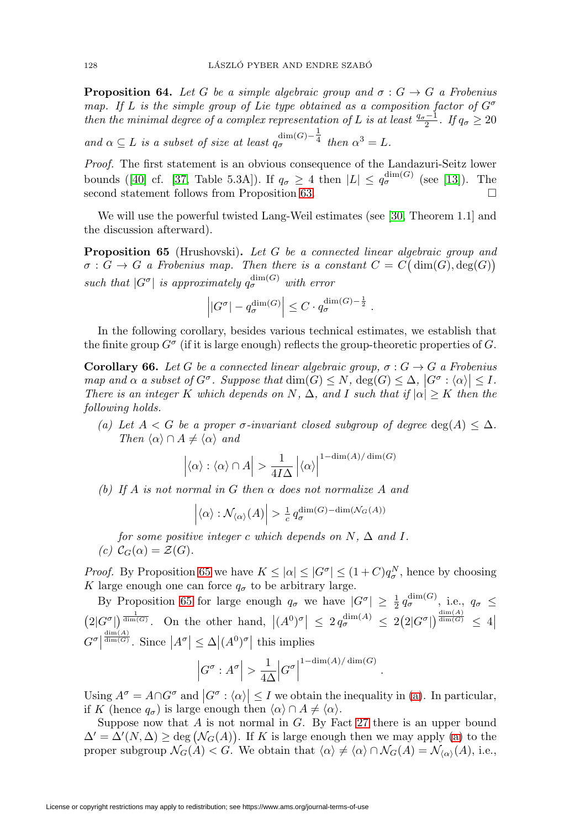<span id="page-33-5"></span>**Proposition 64.** Let G be a simple algebraic group and  $\sigma : G \to G$  a Frobenius map. If L is the simple group of Lie type obtained as a composition factor of  $G^{\sigma}$ then the minimal degree of a complex representation of L is at least  $\frac{q_{\sigma}-1}{2}$ . If  $q_{\sigma} \geq 20$ 

and  $\alpha \subseteq L$  is a subset of size at least  $q_\sigma^{\dim(G) - \frac{1}{4}}$  then  $\alpha^3 = L$ .

Proof. The first statement is an obvious consequence of the Landazuri-Seitz lower bounds ([\[40\]](#page-50-19) cf. [\[37,](#page-50-18) Table 5.3A]). If  $q_{\sigma} \geq 4$  then  $|L| \leq q_{\sigma}^{\dim(G)}$  (see [\[13\]](#page-49-11)). The second statement follows from Proposition [63.](#page-32-2)  $\Box$ 

We will use the powerful twisted Lang-Weil estimates (see [\[30,](#page-50-10) Theorem 1.1] and the discussion afterward).

<span id="page-33-0"></span>**Proposition 65** (Hrushovski). Let G be a connected linear algebraic group and  $\sigma: G \to G$  a Frobenius map. Then there is a constant  $C = C(\dim(G), \deg(G))$ such that  $|G^{\sigma}|$  is approximately  $q_{\sigma}^{\dim(G)}$  with error

$$
\left| |G^{\sigma}| - q_{\sigma}^{\dim(G)} \right| \leq C \cdot q_{\sigma}^{\dim(G) - \frac{1}{2}}.
$$

In the following corollary, besides various technical estimates, we establish that the finite group  $G^{\sigma}$  (if it is large enough) reflects the group-theoretic properties of G.

<span id="page-33-4"></span>**Corollary 66.** Let G be a connected linear algebraic group,  $\sigma: G \to G$  a Frobenius map and  $\alpha$  a subset of  $G^{\sigma}$ . Suppose that  $\dim(G) \leq N$ ,  $\deg(G) \leq \Delta$ ,  $|G^{\sigma} : \langle \alpha \rangle| \leq I$ . There is an integer K which depends on N,  $\Delta$ , and I such that if  $|\alpha| \geq K$  then the following holds.

<span id="page-33-1"></span>(a) Let  $A < G$  be a proper  $\sigma$ -invariant closed subgroup of degree  $\deg(A) < \Delta$ . Then  $\langle \alpha \rangle \cap A \neq \langle \alpha \rangle$  and

$$
\left| \langle \alpha \rangle : \langle \alpha \rangle \cap A \right| > \frac{1}{4I\Delta} \left| \langle \alpha \rangle \right|^{1 - \dim(A) / \dim(G)}
$$

<span id="page-33-2"></span>(b) If A is not normal in G then  $\alpha$  does not normalize A and

$$
\left| \langle \alpha \rangle : \mathcal{N}_{\langle \alpha \rangle}(A) \right| > \frac{1}{c} q_{\sigma}^{\dim(G) - \dim(\mathcal{N}_G(A))}
$$

for some positive integer c which depends on  $N$ ,  $\Delta$  and  $I$ .

<span id="page-33-3"></span>(c)  $C_G(\alpha) = \mathcal{Z}(G)$ .

*Proof.* By Proposition [65](#page-33-0) we have  $K \leq |\alpha| \leq |G^{\sigma}| \leq (1+C)q_{\sigma}^{N}$ , hence by choosing K large enough one can force  $q_{\sigma}$  to be arbitrary large.

By Proposition [65](#page-33-0) for large enough  $q_{\sigma}$  we have  $|G^{\sigma}| \geq \frac{1}{2} q_{\sigma}^{\dim(G)}$ , i.e.,  $q_{\sigma} \leq$  $\left(2|G^{\sigma}|\right)^{\frac{1}{\dim(G)}}$ . On the other hand,  $|(A^0)^{\sigma}| \leq 2 q_{\sigma}^{\dim(A)} \leq 2(2|G^{\sigma}|)^{\frac{\dim(A)}{\dim(G)}} \leq 4$  $G^{\sigma}$  $\frac{\dim(A)}{\dim(G)}$ . Since  $|A^{\sigma}| \leq \Delta |(A^0)^{\sigma}|$  this implies

$$
\left|G^{\sigma}:A^{\sigma}\right|>\frac{1}{4\Delta}\Big|G^{\sigma}\Big|^{\text{1-dim}(A)/\dim(G)}
$$

.

Using  $A^{\sigma} = A \cap G^{\sigma}$  and  $|G^{\sigma} : \langle \alpha \rangle| \leq I$  we obtain the inequality in [\(a\)](#page-33-1). In particular, if K (hence  $q_{\sigma}$ ) is large enough then  $\langle \alpha \rangle \cap A \neq \langle \alpha \rangle$ .

Suppose now that  $A$  is not normal in  $G$ . By Fact [27](#page-13-2) there is an upper bound  $\Delta' = \Delta'(N, \Delta) \ge \deg \left( \mathcal{N}_G(A) \right)$ . If K is large enough then we may apply [\(a\)](#page-33-1) to the proper subgroup  $\mathcal{N}_G(A) < G$ . We obtain that  $\langle \alpha \rangle \neq \langle \alpha \rangle \cap \mathcal{N}_G(A) = \mathcal{N}_{\langle \alpha \rangle}(A)$ , i.e.,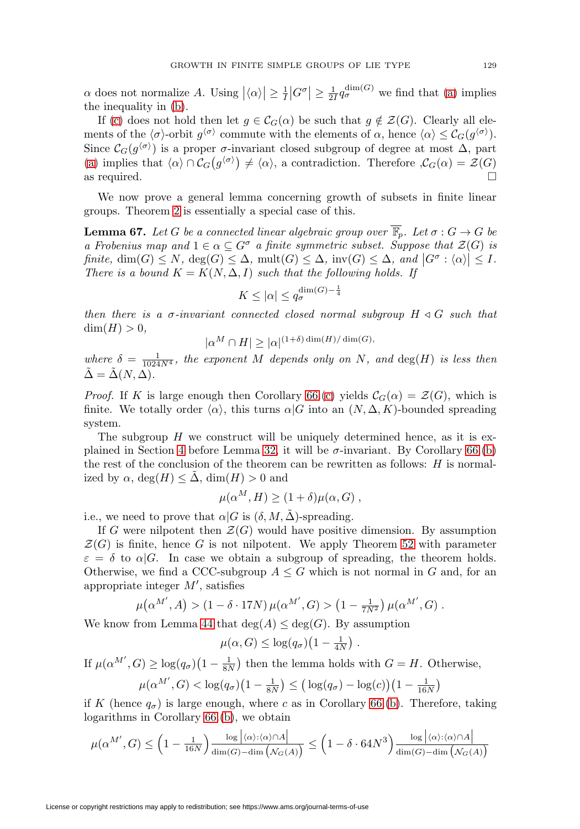$\alpha$  does not normalize A. Using  $|\langle \alpha \rangle| \geq \frac{1}{I} |G^{\sigma}| \geq \frac{1}{2I} q_{\sigma}^{\dim(G)}$  we find that [\(a\)](#page-33-1) implies the inequality in [\(b\)](#page-33-2).

If [\(c\)](#page-33-3) does not hold then let  $g \in \mathcal{C}_G(\alpha)$  be such that  $g \notin \mathcal{Z}(G)$ . Clearly all elements of the  $\langle \sigma \rangle$ -orbit  $g^{\langle \sigma \rangle}$  commute with the elements of  $\alpha$ , hence  $\langle \alpha \rangle \leq C_G(g^{\langle \sigma \rangle}).$ Since  $\mathcal{C}_G(g^{\langle \sigma \rangle})$  is a proper  $\sigma$ -invariant closed subgroup of degree at most  $\Delta$ , part [\(a\)](#page-33-1) implies that  $\langle \alpha \rangle \cap C_G(g^{\langle \sigma \rangle}) \neq \langle \alpha \rangle$ , a contradiction. Therefore  $\mathcal{C}_G(\alpha) = \mathcal{Z}(G)$ as required.  $\Box$ 

We now prove a general lemma concerning growth of subsets in finite linear groups. Theorem [2](#page-1-0) is essentially a special case of this.

<span id="page-34-0"></span>**Lemma 67.** Let G be a connected linear algebraic group over  $\overline{\mathbb{F}_p}$ . Let  $\sigma : G \to G$  be a Frobenius map and  $1 \in \alpha \subseteq G^{\sigma}$  a finite symmetric subset. Suppose that  $\mathcal{Z}(G)$  is finite,  $\dim(G) \leq N$ ,  $\deg(G) \leq \Delta$ ,  $\text{mult}(G) \leq \Delta$ ,  $\text{inv}(G) \leq \Delta$ , and  $|G^{\sigma} : \langle \alpha \rangle | \leq I$ . There is a bound  $K = K(N, \Delta, I)$  such that the following holds. If

$$
K\leq |\alpha|\leq q_\sigma^{\dim(G)-\frac{1}{4}}
$$

then there is a  $\sigma$ -invariant connected closed normal subgroup  $H \triangleleft G$  such that  $\dim(H) > 0$ ,

$$
|\alpha^M \cap H| \ge |\alpha|^{(1+\delta)\dim(H)/\dim(G)},
$$

where  $\delta = \frac{1}{1024N^4}$ , the exponent M depends only on N, and  $\deg(H)$  is less then  $\tilde{\Delta} = \tilde{\Delta}(N, \Delta).$ 

*Proof.* If K is large enough then Corollary [66.](#page-33-4)[\(c\)](#page-33-3) yields  $C_G(\alpha) = \mathcal{Z}(G)$ , which is finite. We totally order  $\langle \alpha \rangle$ , this turns  $\alpha | G$  into an  $(N, \Delta, K)$ -bounded spreading system.

The subgroup  $H$  we construct will be uniquely determined hence, as it is ex-plained in Section [4](#page-13-0) before Lemma [32,](#page-14-1) it will be  $\sigma$ -invariant. By Corollary [66.](#page-33-4)[\(b\)](#page-33-2) the rest of the conclusion of the theorem can be rewritten as follows: H is normalized by  $\alpha$ , deg(H)  $\leq \Delta$ , dim(H)  $> 0$  and

$$
\mu(\alpha^M, H) \ge (1 + \delta)\mu(\alpha, G) ,
$$

i.e., we need to prove that  $\alpha|G$  is  $(\delta, M, \tilde{\Delta})$ -spreading.

If G were nilpotent then  $\mathcal{Z}(G)$  would have positive dimension. By assumption  $\mathcal{Z}(G)$  is finite, hence G is not nilpotent. We apply Theorem [52](#page-25-1) with parameter  $\varepsilon = \delta$  to  $\alpha | G$ . In case we obtain a subgroup of spreading, the theorem holds. Otherwise, we find a CCC-subgroup  $A \leq G$  which is not normal in G and, for an appropriate integer  $M'$ , satisfies

$$
\mu(\alpha^{M'}, A) > (1 - \delta \cdot 17N) \mu(\alpha^{M'}, G) > (1 - \frac{1}{7N^2}) \mu(\alpha^{M'}, G) .
$$

We know from Lemma [44](#page-21-1) that  $deg(A) \leq deg(G)$ . By assumption

$$
\mu(\alpha, G) \leq \log(q_{\sigma}) \left(1 - \frac{1}{4N}\right).
$$

If  $\mu(\alpha^{M'}, G) \ge \log(q_{\sigma})(1 - \frac{1}{8N})$  then the lemma holds with  $G = H$ . Otherwise,

$$
\mu(\alpha^{M'}, G) < \log(q_{\sigma})(1-\frac{1}{8N}) \leq (\log(q_{\sigma}) - \log(c))(1-\frac{1}{16N})
$$

if K (hence  $q_{\sigma}$ ) is large enough, where c as in Corollary [66.](#page-33-4)[\(b\)](#page-33-2). Therefore, taking logarithms in Corollary [66.](#page-33-4)[\(b\)](#page-33-2), we obtain

$$
\mu(\alpha^{M'}, G) \le \left(1 - \frac{1}{16N}\right) \frac{\log |\langle \alpha \rangle : \langle \alpha \rangle \cap A|}{\dim(G) - \dim(\mathcal{N}_G(A))} \le \left(1 - \delta \cdot 64N^3\right) \frac{\log |\langle \alpha \rangle : \langle \alpha \rangle \cap A|}{\dim(G) - \dim(\mathcal{N}_G(A))}
$$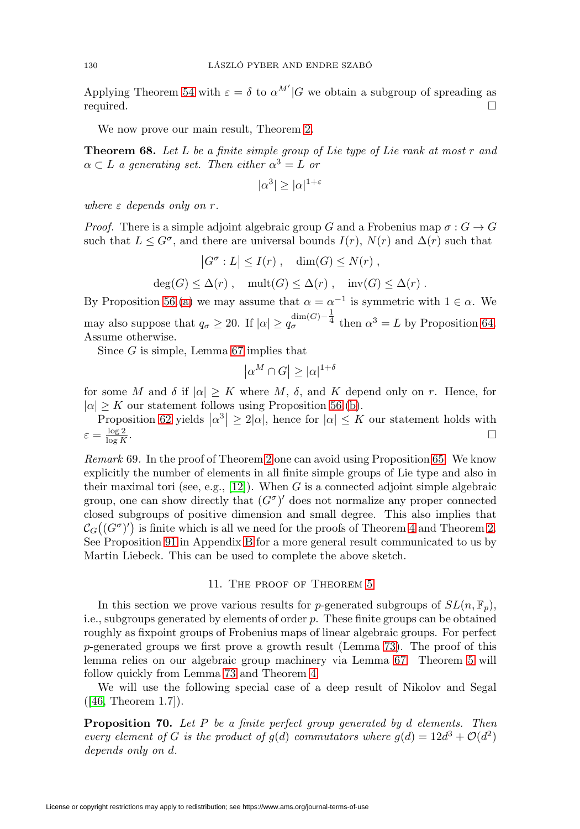Applying Theorem [54](#page-27-0) with  $\varepsilon = \delta$  to  $\alpha^{M'}|G$  we obtain a subgroup of spreading as required.  $\Box$ 

We now prove our main result, Theorem [2.](#page-1-0)

<span id="page-35-3"></span>**Theorem 68.** Let L be a finite simple group of Lie type of Lie rank at most r and  $\alpha \subset L$  a generating set. Then either  $\alpha^3 = L$  or

$$
|\alpha^3| \ge |\alpha|^{1+\varepsilon}
$$

where  $\varepsilon$  depends only on  $r$ .

*Proof.* There is a simple adjoint algebraic group G and a Frobenius map  $\sigma: G \to G$ such that  $L \leq G^{\sigma}$ , and there are universal bounds  $I(r)$ ,  $N(r)$  and  $\Delta(r)$  such that

$$
|G^{\sigma}: L| \leq I(r), \quad \dim(G) \leq N(r),
$$
  

$$
\deg(G) \leq \Delta(r), \quad \text{mult}(G) \leq \Delta(r), \quad \text{inv}(G) \leq \Delta(r).
$$

By Proposition [56.](#page-30-0)[\(a\)](#page-30-4) we may assume that  $\alpha = \alpha^{-1}$  is symmetric with  $1 \in \alpha$ . We may also suppose that  $q_{\sigma} \ge 20$ . If  $|\alpha| \ge q_{\sigma}^{\dim(G)-\frac{1}{4}}$  then  $\alpha^3 = L$  by Proposition [64.](#page-33-5) Assume otherwise.

Since  $G$  is simple, Lemma [67](#page-34-0) implies that

$$
|\alpha^M \cap G| \ge |\alpha|^{1+\delta}
$$

for some M and  $\delta$  if  $|\alpha| \geq K$  where M,  $\delta$ , and K depend only on r. Hence, for  $|\alpha| > K$  our statement follows using Proposition [56.](#page-30-0)[\(b\)](#page-30-3).

Proposition [62](#page-32-3) yields  $|\alpha^3| \geq 2|\alpha|$ , hence for  $|\alpha| \leq K$  our statement holds with  $\varepsilon = \frac{\log 2}{\log K}.$  $\frac{\log 2}{\log K}$ .

<span id="page-35-1"></span>Remark 69. In the proof of Theorem [2](#page-1-0) one can avoid using Proposition [65.](#page-33-0) We know explicitly the number of elements in all finite simple groups of Lie type and also in their maximal tori (see, e.g.,  $[12]$ ). When G is a connected adjoint simple algebraic group, one can show directly that  $(G^{\sigma})'$  does not normalize any proper connected closed subgroups of positive dimension and small degree. This also implies that  $\mathcal{C}_G((G^\sigma)')$  is finite which is all we need for the proofs of Theorem [4](#page-1-3) and Theorem [2.](#page-1-0) See Proposition [91](#page-48-1) in Appendix [B](#page-48-0) for a more general result communicated to us by Martin Liebeck. This can be used to complete the above sketch.

### 11. The proof of Theorem [5](#page-2-1)

<span id="page-35-0"></span>In this section we prove various results for p-generated subgroups of  $SL(n, \mathbb{F}_p)$ , i.e., subgroups generated by elements of order  $p$ . These finite groups can be obtained roughly as fixpoint groups of Frobenius maps of linear algebraic groups. For perfect p-generated groups we first prove a growth result (Lemma [73\)](#page-36-0). The proof of this lemma relies on our algebraic group machinery via Lemma [67.](#page-34-0) Theorem [5](#page-2-1) will follow quickly from Lemma [73](#page-36-0) and Theorem [4.](#page-1-3)

We will use the following special case of a deep result of Nikolov and Segal ([\[46,](#page-51-10) Theorem 1.7]).

<span id="page-35-2"></span>**Proposition 70.** Let P be a finite perfect group generated by d elements. Then every element of G is the product of  $g(d)$  commutators where  $g(d) = 12d^3 + \mathcal{O}(d^2)$ depends only on d.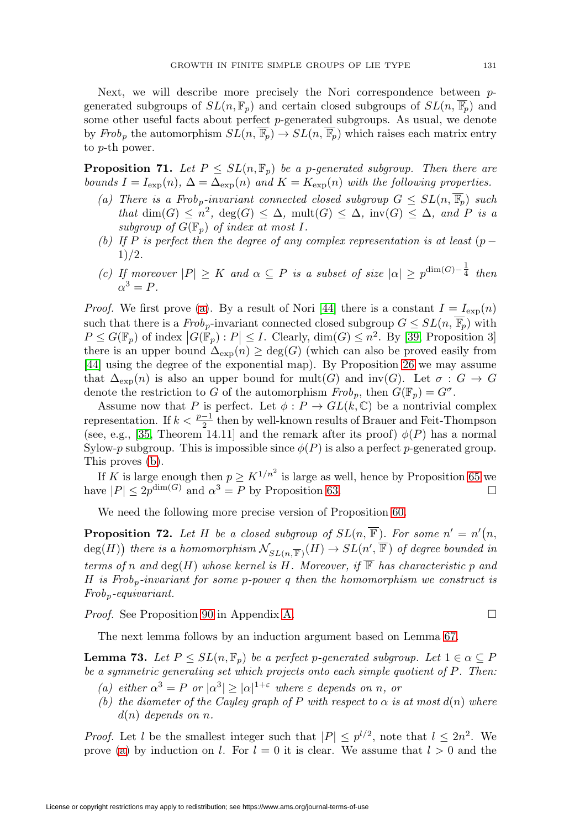Next, we will describe more precisely the Nori correspondence between pgenerated subgroups of  $SL(n, \mathbb{F}_p)$  and certain closed subgroups of  $SL(n, \overline{\mathbb{F}_p})$  and some other useful facts about perfect p-generated subgroups. As usual, we denote by Frob<sub>p</sub> the automorphism  $SL(n, \overline{\mathbb{F}_p}) \to SL(n, \overline{\mathbb{F}_p})$  which raises each matrix entry to p-th power.

<span id="page-36-4"></span><span id="page-36-1"></span>**Proposition 71.** Let  $P \leq SL(n, \mathbb{F}_p)$  be a p-generated subgroup. Then there are bounds  $I = I_{\exp}(n)$ ,  $\Delta = \Delta_{\exp}(n)$  and  $K = K_{\exp}(n)$  with the following properties.

- (a) There is a Frob<sub>p</sub>-invariant connected closed subgroup  $G \le SL(n, \overline{\mathbb{F}_p})$  such that  $\dim(G) \leq n^2$ ,  $\deg(G) \leq \Delta$ ,  $\text{mult}(G) \leq \Delta$ ,  $\text{inv}(G) \leq \Delta$ , and P is a subgroup of  $G(\mathbb{F}_p)$  of index at most I.
- <span id="page-36-2"></span>(b) If P is perfect then the degree of any complex representation is at least  $(p 1)/2.$
- <span id="page-36-5"></span>(c) If moreover  $|P| \geq K$  and  $\alpha \subseteq P$  is a subset of size  $|\alpha| \geq p^{\dim(G) - \frac{1}{4}}$  then  $\alpha^3 = P$ .

*Proof.* We first prove [\(a\)](#page-36-1). By a result of Nori [\[44\]](#page-51-4) there is a constant  $I = I_{exp}(n)$ such that there is a  $Frob_p$ -invariant connected closed subgroup  $G \leq SL(n, \overline{\mathbb{F}_p})$  with  $P \leq G(\mathbb{F}_p)$  of index  $|G(\mathbb{F}_p): P| \leq I$ . Clearly,  $\dim(G) \leq n^2$ . By [\[39,](#page-50-20) Proposition 3] there is an upper bound  $\Delta_{\exp}(n) \geq \deg(G)$  (which can also be proved easily from [\[44\]](#page-51-4) using the degree of the exponential map). By Proposition [26](#page-13-1) we may assume that  $\Delta_{\exp}(n)$  is also an upper bound for mult(G) and inv(G). Let  $\sigma : G \to G$ denote the restriction to G of the automorphism  $Frob_p$ , then  $G(\mathbb{F}_p) = G^{\sigma}$ .

Assume now that P is perfect. Let  $\phi : P \to GL(k, \mathbb{C})$  be a nontrivial complex representation. If  $k < \frac{p-1}{2}$  then by well-known results of Brauer and Feit-Thompson (see, e.g., [\[35,](#page-50-21) Theorem 14.11] and the remark after its proof)  $\phi(P)$  has a normal Sylow-p subgroup. This is impossible since  $\phi(P)$  is also a perfect p-generated group. This proves [\(b\)](#page-36-2).

If K is large enough then  $p \geq K^{1/n^2}$  is large as well, hence by Proposition [65](#page-33-0) we have  $|P| \leq 2p^{\dim(G)}$  and  $\alpha^3 = P$  by Proposition [63.](#page-32-2)

We need the following more precise version of Proposition [60.](#page-32-1)

<span id="page-36-6"></span>**Proposition 72.** Let H be a closed subgroup of  $SL(n, \overline{\mathbb{F}})$ . For some  $n' = n'(n, \overline{\mathbb{F}})$  $\deg(H))$  there is a homomorphism  $\mathcal{N}_{SL(n,\overline{\mathbb{F}})}(H)\to SL(n',\overline{\mathbb{F}})$  of degree bounded in terms of n and  $deg(H)$  whose kernel is H. Moreover, if  $\overline{\mathbb{F}}$  has characteristic p and H is Frob<sub>p</sub>-invariant for some p-power q then the homomorphism we construct is  $Frob_p\text{-}equivariant.$ 

*Proof.* See Proposition [90](#page-45-1) in Appendix [A.](#page-39-0)

The next lemma follows by an induction argument based on Lemma [67.](#page-34-0)

<span id="page-36-0"></span>**Lemma 73.** Let  $P \leq SL(n, \mathbb{F}_p)$  be a perfect p-generated subgroup. Let  $1 \in \alpha \subseteq P$ be a symmetric generating set which projects onto each simple quotient of P. Then:

- <span id="page-36-7"></span><span id="page-36-3"></span>(a) either  $\alpha^3 = P$  or  $|\alpha^3| \geq |\alpha|^{1+\epsilon}$  where  $\varepsilon$  depends on n, or
- (b) the diameter of the Cayley graph of P with respect to  $\alpha$  is at most  $d(n)$  where  $d(n)$  depends on n.

*Proof.* Let l be the smallest integer such that  $|P| \leq p^{l/2}$ , note that  $l \leq 2n^2$ . We prove [\(a\)](#page-36-3) by induction on l. For  $l = 0$  it is clear. We assume that  $l > 0$  and the

 $\Box$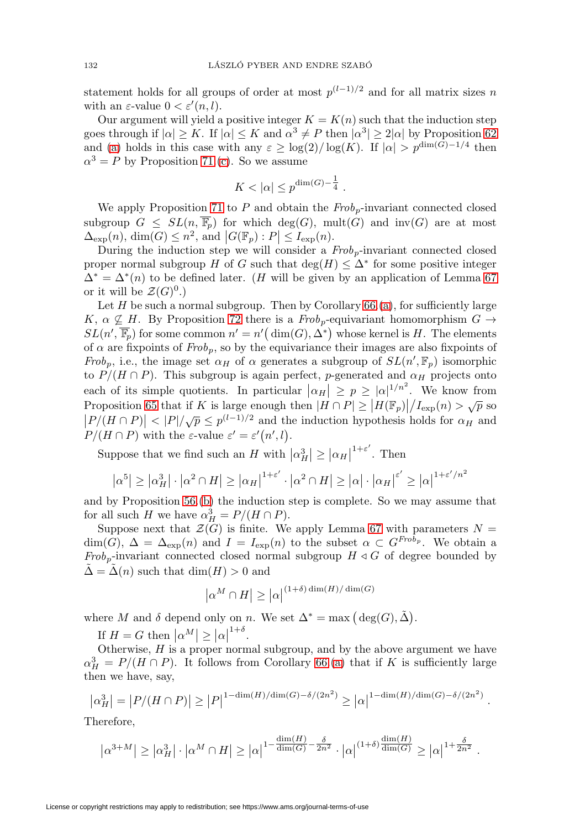statement holds for all groups of order at most  $p^{(l-1)/2}$  and for all matrix sizes n with an  $\varepsilon$ -value  $0 < \varepsilon'(n, l)$ .

Our argument will yield a positive integer  $K = K(n)$  such that the induction step goes through if  $|\alpha| \geq K$ . If  $|\alpha| \leq K$  and  $\alpha^3 \neq P$  then  $|\alpha^3| \geq 2|\alpha|$  by Proposition [62](#page-32-3) and [\(a\)](#page-36-3) holds in this case with any  $\varepsilon \geq \log(2)/\log(K)$ . If  $|\alpha| > p^{\dim(G)-1/4}$  then  $\alpha^3 = P$  by Proposition [71.](#page-36-4)[\(c\)](#page-36-5). So we assume

$$
K<|\alpha|\leq p^{\dim(G)-\tfrac{1}{4}}\;.
$$

We apply Proposition [71](#page-36-4) to P and obtain the  $Frob_p$ -invariant connected closed subgroup  $G \le SL(n, \overline{\mathbb{F}_p})$  for which deg(G), mult(G) and inv(G) are at most  $\Delta_{\text{exp}}(n)$ ,  $\dim(G) \leq n^2$ , and  $|G(\mathbb{F}_p): P| \leq I_{\text{exp}}(n)$ .

During the induction step we will consider a  $Frob<sub>p</sub>$ -invariant connected closed proper normal subgroup H of G such that  $\deg(H) \leq \Delta^*$  for some positive integer  $\Delta^* = \Delta^*(n)$  to be defined later. (H will be given by an application of Lemma [67](#page-34-0) or it will be  $\mathcal{Z}(G)^0$ .)

Let  $H$  be such a normal subgroup. Then by Corollary  $66.(a)$  $66.(a)$ , for sufficiently large K,  $\alpha \nsubseteq H$ . By Proposition [72](#page-36-6) there is a  $Frob_p$ -equivariant homomorphism  $G \rightarrow$  $SL(n', \overline{\mathbb{F}}_p)$  for some common  $n' = n'(\dim(G), \Delta^*)$  whose kernel is H. The elements of  $\alpha$  are fixpoints of  $Frob_p$ , so by the equivariance their images are also fixpoints of Frob<sub>p</sub>, i.e., the image set  $\alpha_H$  of  $\alpha$  generates a subgroup of  $SL(n', \mathbb{F}_p)$  isomorphic to  $P/(H \cap P)$ . This subgroup is again perfect, p-generated and  $\alpha_H$  projects onto each of its simple quotients. In particular  $|\alpha_H| \ge p \ge |\alpha|^{1/n^2}$ . We know from Proposition [65](#page-33-0) that if K is large enough then  $|H \cap P| \ge |H(\mathbb{F}_p)|/I_{\text{exp}}(n) > \sqrt{p}$  so P/( $H \cap P$ )  $\leq$   $|P|/\sqrt{p} \leq p^{(l-1)/2}$  and the induction hypothesis holds for  $\alpha_H$  and  $P/(H \cap P)$   $\leq$   $|P|/\sqrt{p} \leq p^{(l-1)/2}$  and the induction hypothesis holds for  $\alpha_H$  and  $P/(H \cap P)$  with the  $\varepsilon$ -value  $\varepsilon' = \varepsilon'(n', l)$ .

Suppose that we find such an H with  $\left|\alpha_H^3\right| \geq \left|\alpha_H\right|$  $1+\epsilon'$ . Then

$$
|\alpha^5| \ge |\alpha_H^3| \cdot |\alpha^2 \cap H| \ge |\alpha_H|^{1+\varepsilon'} \cdot |\alpha^2 \cap H| \ge |\alpha| \cdot |\alpha_H|^{ \varepsilon'} \ge |\alpha|^{1+\varepsilon'/n^2}
$$

and by Proposition [56.](#page-30-0)[\(b\)](#page-30-3) the induction step is complete. So we may assume that for all such H we have  $\alpha_H^3 = P/(H \cap P)$ .

Suppose next that  $\mathcal{Z}(G)$  is finite. We apply Lemma [67](#page-34-0) with parameters  $N =$  $\dim(G)$ ,  $\Delta = \Delta_{\exp}(n)$  and  $I = I_{\exp}(n)$  to the subset  $\alpha \subset G^{Frob_p}$ . We obtain a Frob<sub>p</sub>-invariant connected closed normal subgroup  $H \triangleleft G$  of degree bounded by  $\Delta = \Delta(n)$  such that  $\dim(H) > 0$  and

$$
\left|\alpha^M\cap H\right|\geq \left|\alpha\right|^{(1+\delta)\dim(H)/\dim(G)}
$$

where M and  $\delta$  depend only on n. We set  $\Delta^* = \max (\deg(G), \tilde{\Delta})$ .

If  $H = G$  then  $|\alpha^M| \geq |\alpha|$  $\frac{1+\delta}{\cdot}$ 

Otherwise,  $H$  is a proper normal subgroup, and by the above argument we have  $\alpha_H^3 = P/(H \cap P)$ . It follows from Corollary [66.](#page-33-4)[\(a\)](#page-33-1) that if K is sufficiently large then we have, say,

$$
\left|\alpha_H^3\right| = \left|P/(H \cap P)\right| \ge \left|P\right|^{1-\dim(H)/\dim(G) - \delta/(2n^2)} \ge \left|\alpha\right|^{1-\dim(H)/\dim(G) - \delta/(2n^2)}.
$$

Therefore,

$$
\left|\alpha^{3+M}\right| \geq \left|\alpha_H^3\right| \cdot \left|\alpha^M \cap H\right| \geq \left|\alpha\right|^{1-\frac{\dim(H)}{\dim(G)} - \frac{\delta}{2n^2}} \cdot \left|\alpha\right|^{(1+\delta)\frac{\dim(H)}{\dim(G)}} \geq \left|\alpha\right|^{1+\frac{\delta}{2n^2}}.
$$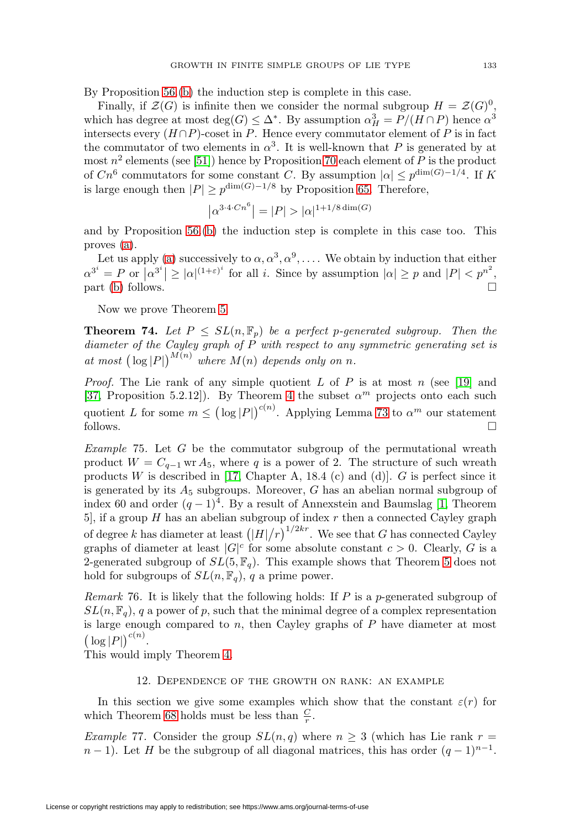By Proposition [56.](#page-30-0)[\(b\)](#page-30-3) the induction step is complete in this case.

Finally, if  $\mathcal{Z}(G)$  is infinite then we consider the normal subgroup  $H = \mathcal{Z}(G)^0$ , which has degree at most  $\deg(G) \leq \Delta^*$ . By assumption  $\alpha_H^3 = P/(H \cap P)$  hence  $\alpha^3$ intersects every  $(H \cap P)$ -coset in P. Hence every commutator element of P is in fact the commutator of two elements in  $\alpha^3$ . It is well-known that P is generated by at most  $n^2$  elements (see [\[51\]](#page-51-11)) hence by Proposition [70](#page-35-2) each element of P is the product of  $Cn^6$  commutators for some constant C. By assumption  $|\alpha| \leq p^{\dim(G)-1/4}$ . If K is large enough then  $|P| \geq p^{\dim(G)-1/8}$  by Proposition [65.](#page-33-0) Therefore,

$$
|\alpha^{3\cdot 4\cdot Cn^6}| = |P| > |\alpha|^{1+1/8 \dim(G)}
$$

and by Proposition [56.](#page-30-0)[\(b\)](#page-30-3) the induction step is complete in this case too. This proves [\(a\)](#page-36-3).

Let us apply [\(a\)](#page-36-3) successively to  $\alpha, \alpha^3, \alpha^9, \ldots$ . We obtain by induction that either  $\alpha^{3^i} = P$  or  $|\alpha^{3^i}| \geq |\alpha|^{(1+\varepsilon)^i}$  for all i. Since by assumption  $|\alpha| \geq p$  and  $|P| < p^{n^2}$ , part [\(b\)](#page-36-7) follows.

Now we prove Theorem [5.](#page-2-1)

**Theorem 74.** Let  $P \leq SL(n, \mathbb{F}_p)$  be a perfect p-generated subgroup. Then the diameter of the Cayley graph of  $\overrightarrow{P}$  with respect to any symmetric generating set is at most  $\left(\log |P|\right)^{M(n)}$  where  $M(n)$  depends only on n.

*Proof.* The Lie rank of any simple quotient L of P is at most n (see [\[19\]](#page-50-22) and [\[37,](#page-50-18) Proposition 5.2.12]). By Theorem [4](#page-1-3) the subset  $\alpha^m$  projects onto each such quotient L for some  $m \leq (\log |P|)^{c(n)}$ . Applying Lemma [73](#page-36-0) to  $\alpha^m$  our statement follows.  $\Box$ 

Example 75. Let G be the commutator subgroup of the permutational wreath product  $W = C_{q-1}$  wr  $A_5$ , where q is a power of 2. The structure of such wreath products  $W$  is described in [\[17,](#page-50-23) Chapter A, 18.4 (c) and (d)].  $G$  is perfect since it is generated by its  $A_5$  subgroups. Moreover, G has an abelian normal subgroup of index 60 and order  $(q-1)^4$ . By a result of Annexstein and Baumslag [\[1,](#page-49-13) Theorem 5], if a group  $H$  has an abelian subgroup of index  $r$  then a connected Cayley graph of degree k has diameter at least  $(|H|/r)^{1/2kr}$ . We see that G has connected Cayley graphs of diameter at least  $|G|^c$  for some absolute constant  $c > 0$ . Clearly, G is a 2-generated subgroup of  $SL(5, \mathbb{F}_q)$ . This example shows that Theorem [5](#page-2-1) does not hold for subgroups of  $SL(n, \mathbb{F}_q)$ , q a prime power.

<span id="page-38-1"></span>*Remark* 76. It is likely that the following holds: If  $P$  is a p-generated subgroup of  $SL(n, \mathbb{F}_q)$ , q a power of p, such that the minimal degree of a complex representation is large enough compared to  $n$ , then Cayley graphs of  $P$  have diameter at most  $\left(\log |P|\right)^{c(n)}.$ 

<span id="page-38-0"></span>This would imply Theorem [4.](#page-1-3)

#### 12. Dependence of the growth on rank: an example

In this section we give some examples which show that the constant  $\varepsilon(r)$  for which Theorem [68](#page-35-3) holds must be less than  $\frac{C}{r}$ .

Example 77. Consider the group  $SL(n,q)$  where  $n \geq 3$  (which has Lie rank  $r =$  $n-1$ ). Let H be the subgroup of all diagonal matrices, this has order  $(q-1)^{n-1}$ .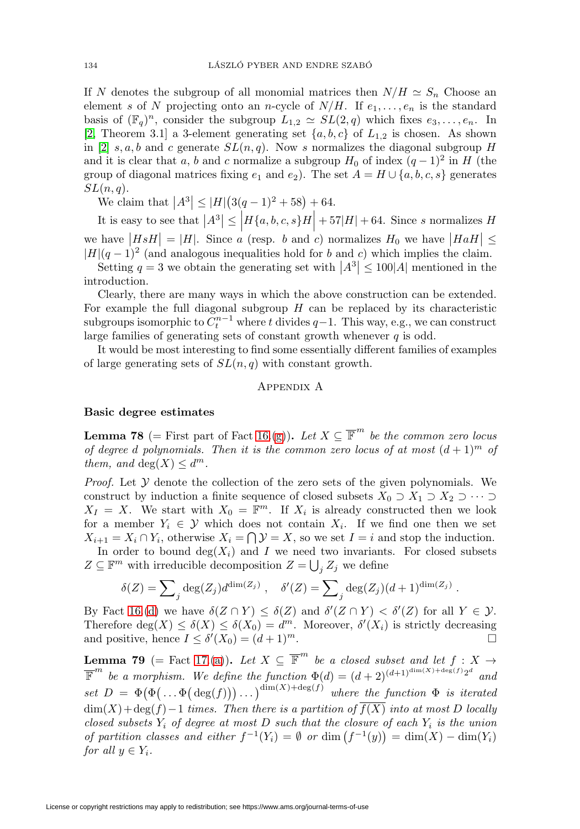If N denotes the subgroup of all monomial matrices then  $N/H \simeq S_n$  Choose an element s of N projecting onto an n-cycle of  $N/H$ . If  $e_1, \ldots, e_n$  is the standard basis of  $(\mathbb{F}_q)^n$ , consider the subgroup  $L_{1,2} \simeq SL(2,q)$  which fixes  $e_3,\ldots,e_n$ . In [\[2,](#page-49-14) Theorem 3.1] a 3-element generating set  $\{a, b, c\}$  of  $L_{1,2}$  is chosen. As shown in [\[2\]](#page-49-14) s, a, b and c generate  $SL(n, q)$ . Now s normalizes the diagonal subgroup H and it is clear that a, b and c normalize a subgroup  $H_0$  of index  $(q-1)^2$  in H (the group of diagonal matrices fixing  $e_1$  and  $e_2$ ). The set  $A = H \cup \{a, b, c, s\}$  generates  $SL(n,q)$ .

We claim that  $|A^3| \leq |H| \left( 3(q-1)^2 + 58 \right) + 64.$ 

It is easy to see that  $|A^3| \le |H\{a, b, c, s\}H| + 57|H| + 64$ . Since s normalizes H we have  $\left|HsH\right| = |H|$ . Since a (resp. b and c) normalizes  $H_0$  we have  $\left|HaH\right| \le$  $|H|(q-1)^2$  (and analogous inequalities hold for b and c) which implies the claim.

Setting  $q = 3$  we obtain the generating set with  $|A^3| \le 100|A|$  mentioned in the introduction.

Clearly, there are many ways in which the above construction can be extended. For example the full diagonal subgroup  $H$  can be replaced by its characteristic subgroups isomorphic to  $C_t^{n-1}$  where t divides  $q-1$ . This way, e.g., we can construct large families of generating sets of constant growth whenever  $q$  is odd.

<span id="page-39-0"></span>It would be most interesting to find some essentially different families of examples of large generating sets of  $SL(n, q)$  with constant growth.

### Appendix A

## **Basic degree estimates**

<span id="page-39-1"></span>**Lemma 78** (= First part of Fact [16.](#page-6-0)[\(g\)](#page-7-0)). Let  $X \subseteq \overline{\mathbb{F}}^m$  be the common zero locus of degree d polynomials. Then it is the common zero locus of at most  $(d+1)^m$  of them, and  $deg(X) \leq d^m$ .

*Proof.* Let  $Y$  denote the collection of the zero sets of the given polynomials. We construct by induction a finite sequence of closed subsets  $X_0 \supset X_1 \supset X_2 \supset \cdots \supset$  $X_I = X$ . We start with  $X_0 = \mathbb{F}^m$ . If  $X_i$  is already constructed then we look for a member  $Y_i \in \mathcal{Y}$  which does not contain  $X_i$ . If we find one then we set  $X_{i+1} = X_i \cap Y_i$ , otherwise  $X_i = \bigcap \mathcal{Y} = X$ , so we set  $I = i$  and stop the induction. In order to bound  $deg(X_i)$  and I we need two invariants. For closed subsets  $Z \subseteq \mathbb{F}^m$  with irreducible decomposition  $Z = \bigcup_j Z_j$  we define

$$
\delta(Z) = \sum_j \deg(Z_j) d^{\dim(Z_j)} , \quad \delta'(Z) = \sum_j \deg(Z_j) (d+1)^{\dim(Z_j)} .
$$

By Fact [16.](#page-6-0)[\(d\)](#page-6-1) we have  $\delta(Z \cap Y) \leq \delta(Z)$  and  $\delta'(Z \cap Y) < \delta'(Z)$  for all  $Y \in \mathcal{Y}$ . Therefore  $deg(X) \leq \delta(X) \leq \delta(X_0) = d^m$ . Moreover,  $\delta'(X_i)$  is strictly decreasing and positive, hence  $I \leq \delta'(X_0) = (d+1)^m$ .  $\Box$ 

<span id="page-39-2"></span>**Lemma 79** (= Fact [17.](#page-7-5)[\(a\)](#page-7-4)). Let  $X \subseteq \overline{\mathbb{F}}^m$  be a closed subset and let  $f : X \rightarrow$  $\overline{\mathbb{F}}^m$  be a morphism. We define the function  $\Phi(d) = (d+2)^{(d+1)^{\dim(X)+\deg(f)}2^d}$  and  $set\ D = \Phi(\Phi(\ldots \Phi(\deg(f))$ where the function  $\Phi$  is iterated  $\dim(X) + \deg(f) - 1$  times. Then there is a partition of  $f(X)$  into at most D locally closed subsets  $Y_i$  of degree at most D such that the closure of each  $Y_i$  is the union of partition classes and either  $f^{-1}(Y_i) = \emptyset$  or  $\dim(f^{-1}(y)) = \dim(X) - \dim(Y_i)$ for all  $y \in Y_i$ .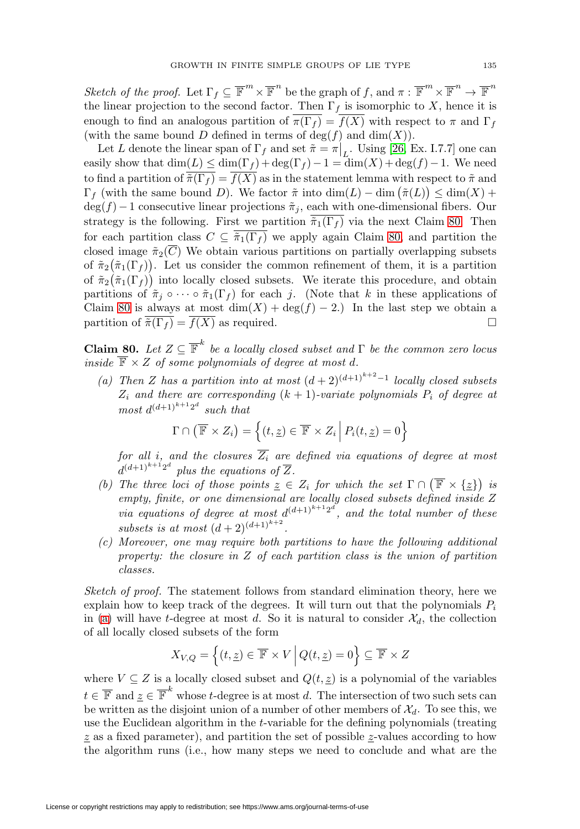Sketch of the proof. Let  $\Gamma_f \subseteq \overline{\mathbb{F}}^m \times \overline{\mathbb{F}}^n$  be the graph of f, and  $\pi : \overline{\mathbb{F}}^m \times \overline{\mathbb{F}}^n \to \overline{\mathbb{F}}^n$ the linear projection to the second factor. Then  $\Gamma_f$  is isomorphic to X, hence it is enough to find an analogous partition of  $\overline{\pi(\Gamma_f)} = \overline{f(X)}$  with respect to  $\pi$  and  $\Gamma_f$ (with the same bound D defined in terms of  $deg(f)$  and  $dim(X)$ ).

Let L denote the linear span of  $\Gamma_f$  and set  $\tilde{\pi} = \pi \Big|_L$ . Using [\[26,](#page-50-13) Ex. I.7.7] one can easily show that  $\dim(L) \leq \dim(\Gamma_f) + \deg(\Gamma_f) - 1 = \dim(X) + \deg(f) - 1$ . We need to find a partition of  $\overline{\tilde{\pi}(\Gamma_f)} = \overline{f(X)}$  as in the statement lemma with respect to  $\tilde{\pi}$  and  $\Gamma_f$  (with the same bound D). We factor  $\tilde{\pi}$  into  $\dim(L) - \dim(\tilde{\pi}(L)) \leq \dim(X) +$  $deg(f)-1$  consecutive linear projections  $\tilde{\pi}_i$ , each with one-dimensional fibers. Our strategy is the following. First we partition  $\tilde{\pi}_1(\Gamma_f)$  via the next Claim [80.](#page-40-0) Then for each partition class  $C \subseteq \overline{\pi_1(\Gamma_f)}$  we apply again Claim [80,](#page-40-0) and partition the closed image  $\tilde{\pi}_2(C)$  We obtain various partitions on partially overlapping subsets of  $\tilde{\pi}_2(\tilde{\pi}_1(\Gamma_f))$ . Let us consider the common refinement of them, it is a partition of  $\tilde{\pi}_2(\tilde{\pi}_1(\Gamma_f))$  into locally closed subsets. We iterate this procedure, and obtain partitions of  $\tilde{\pi}_j \circ \cdots \circ \tilde{\pi}_1(\Gamma_f)$  for each j. (Note that k in these applications of Claim [80](#page-40-0) is always at most  $\dim(X) + \deg(f) - 2$ .) In the last step we obtain a partition of  $\overline{\tilde{\pi}(\Gamma_f)} = \overline{f(X)}$  as required.  $\Box$ 

<span id="page-40-0"></span>**Claim 80.** Let  $Z \subseteq \overline{\mathbb{F}}^k$  be a locally closed subset and  $\Gamma$  be the common zero locus inside  $\overline{\mathbb{F}} \times Z$  of some polynomials of degree at most d.

<span id="page-40-1"></span>(a) Then Z has a partition into at most  $(d+2)^{(d+1)^{k+2}-1}$  locally closed subsets  $Z_i$  and there are corresponding  $(k + 1)$ -variate polynomials  $P_i$  of degree at  $most d^{(d+1)^{k+1}2^d}$  such that

$$
\Gamma \cap (\overline{\mathbb{F}} \times Z_i) = \left\{ (t, \underline{z}) \in \overline{\mathbb{F}} \times Z_i \middle| P_i(t, \underline{z}) = 0 \right\}
$$

for all i, and the closures  $\overline{Z_i}$  are defined via equations of degree at most  $d^{(d+1)^{k+1}2^d}$  plus the equations of  $\overline{Z}$ .

- <span id="page-40-3"></span>(b) The three loci of those points  $\underline{z} \in Z_i$  for which the set  $\Gamma \cap (\overline{\mathbb{F}} \times {\underline{z}})$  is empty, finite, or one dimensional are locally closed subsets defined inside Z via equations of degree at most  $d^{(d+1)^{k+1}2^d}$ , and the total number of these subsets is at most  $(d+2)^{(d+1)^{k+2}}$ .
- <span id="page-40-2"></span>(c) Moreover, one may require both partitions to have the following additional property: the closure in Z of each partition class is the union of partition classes.

Sketch of proof. The statement follows from standard elimination theory, here we explain how to keep track of the degrees. It will turn out that the polynomials  $P_i$ in [\(a\)](#page-40-1) will have t-degree at most d. So it is natural to consider  $\mathcal{X}_d$ , the collection of all locally closed subsets of the form

$$
X_{V,Q} = \left\{ (t, \underline{z}) \in \overline{\mathbb{F}} \times V \middle| Q(t, \underline{z}) = 0 \right\} \subseteq \overline{\mathbb{F}} \times Z
$$

where  $V \subseteq Z$  is a locally closed subset and  $Q(t, \underline{z})$  is a polynomial of the variables  $t \in \overline{\mathbb{F}}$  and  $\underline{z} \in \overline{\mathbb{F}}^k$  whose t-degree is at most d. The intersection of two such sets can be written as the disjoint union of a number of other members of  $\mathcal{X}_d$ . To see this, we use the Euclidean algorithm in the t-variable for the defining polynomials (treating  $z$  as a fixed parameter), and partition the set of possible  $z$ -values according to how the algorithm runs (i.e., how many steps we need to conclude and what are the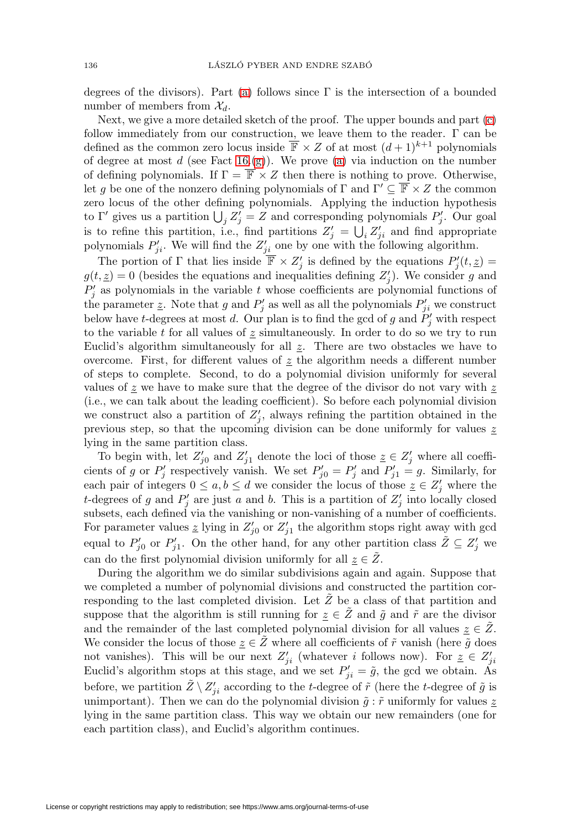degrees of the divisors). Part [\(a\)](#page-40-1) follows since  $\Gamma$  is the intersection of a bounded number of members from  $\mathcal{X}_d$ .

Next, we give a more detailed sketch of the proof. The upper bounds and part [\(c\)](#page-40-2) follow immediately from our construction, we leave them to the reader. Γ can be defined as the common zero locus inside  $\overline{\mathbb{F}} \times Z$  of at most  $(d+1)^{k+1}$  polynomials of degree at most  $d$  (see Fact [16.](#page-6-0)[\(g\)](#page-7-0)). We prove [\(a\)](#page-40-1) via induction on the number of defining polynomials. If  $\Gamma = \overline{\mathbb{F}} \times Z$  then there is nothing to prove. Otherwise, let g be one of the nonzero defining polynomials of  $\Gamma$  and  $\Gamma' \subseteq \mathbb{F} \times Z$  the common zero locus of the other defining polynomials. Applying the induction hypothesis to  $\Gamma'$  gives us a partition  $\bigcup_j Z'_j = Z$  and corresponding polynomials  $P'_j$ . Our goal is to refine this partition, i.e., find partitions  $Z'_j = \bigcup_i Z'_{ji}$  and find appropriate polynomials  $P'_{ji}$ . We will find the  $Z'_{ji}$  one by one with the following algorithm.

The portion of  $\Gamma$  that lies inside  $\mathbb{F} \times Z'_j$  is defined by the equations  $P'_j(t, \underline{z}) =$  $g(t, \underline{z}) = 0$  (besides the equations and inequalities defining  $Z'_j$ ). We consider g and  $P'_{j}$  as polynomials in the variable t whose coefficients are polynomial functions of the parameter  $\underline{z}$ . Note that g and  $P'_j$  as well as all the polynomials  $P'_{ji}$  we construct below have t-degrees at most d. Our plan is to find the gcd of g and  $P'_j$  with respect to the variable t for all values of  $\leq$  simultaneously. In order to do so we try to run Euclid's algorithm simultaneously for all  $\mathfrak{z}$ . There are two obstacles we have to overcome. First, for different values of  $z$  the algorithm needs a different number of steps to complete. Second, to do a polynomial division uniformly for several values of  $z$  we have to make sure that the degree of the divisor do not vary with  $z$ (i.e., we can talk about the leading coefficient). So before each polynomial division we construct also a partition of  $Z'_j$ , always refining the partition obtained in the previous step, so that the upcoming division can be done uniformly for values  $\underline{z}$ lying in the same partition class.

To begin with, let  $Z'_{j0}$  and  $Z'_{j1}$  denote the loci of those  $\underline{z} \in Z'_{j}$  where all coefficients of g or  $P'_j$  respectively vanish. We set  $P'_{j0} = P'_j$  and  $P'_{j1} = g$ . Similarly, for each pair of integers  $0 \le a, b \le d$  we consider the locus of those  $\underline{z} \in \mathbb{Z}'_j$  where the t-degrees of g and  $P'_j$  are just a and b. This is a partition of  $Z'_j$  into locally closed subsets, each defined via the vanishing or non-vanishing of a number of coefficients. For parameter values  $\underline{z}$  lying in  $Z'_{j0}$  or  $Z'_{j1}$  the algorithm stops right away with gcd equal to  $P'_{j0}$  or  $P'_{j1}$ . On the other hand, for any other partition class  $\tilde{Z} \subseteq Z'_{j}$  we can do the first polynomial division uniformly for all  $z \in Z$ .

During the algorithm we do similar subdivisions again and again. Suppose that we completed a number of polynomial divisions and constructed the partition corresponding to the last completed division. Let  $\tilde{Z}$  be a class of that partition and suppose that the algorithm is still running for  $z \in \tilde{Z}$  and  $\tilde{g}$  and  $\tilde{r}$  are the divisor and the remainder of the last completed polynomial division for all values  $z \in \mathbb{Z}$ . We consider the locus of those  $\underline{z} \in \widetilde{Z}$  where all coefficients of  $\widetilde{r}$  vanish (here  $\widetilde{g}$  does not vanishes). This will be our next  $Z'_{ji}$  (whatever i follows now). For  $\underline{z} \in Z'_{ji}$ Euclid's algorithm stops at this stage, and we set  $P'_{ji} = \tilde{g}$ , the gcd we obtain. As before, we partition  $\tilde{Z} \setminus Z'_{ji}$  according to the t-degree of  $\tilde{r}$  (here the t-degree of  $\tilde{g}$  is unimportant). Then we can do the polynomial division  $\tilde{g}$  :  $\tilde{r}$  uniformly for values  $\underline{z}$ lying in the same partition class. This way we obtain our new remainders (one for each partition class), and Euclid's algorithm continues.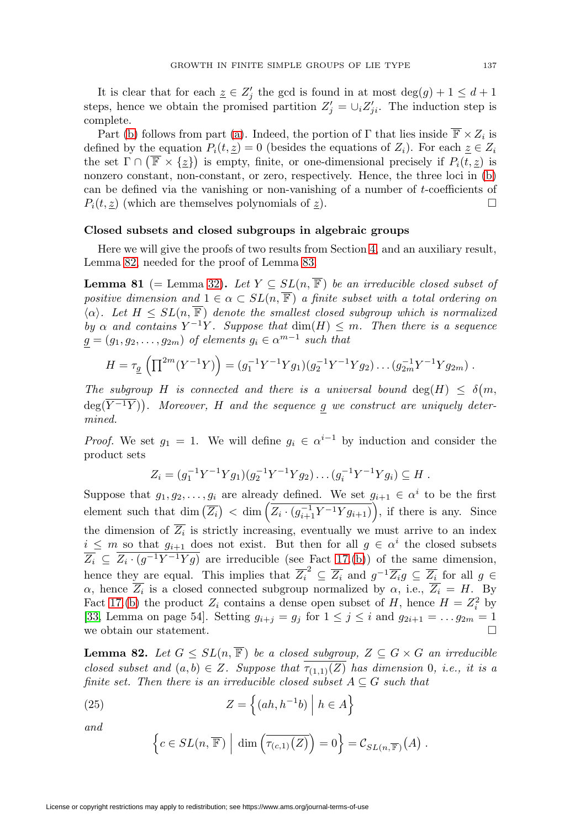It is clear that for each  $\underline{z} \in \mathbb{Z}'_j$  the gcd is found in at most  $\deg(g) + 1 \leq d + 1$ steps, hence we obtain the promised partition  $Z'_{j} = \bigcup_{i} Z'_{ji}$ . The induction step is complete.

Part [\(b\)](#page-40-3) follows from part [\(a\)](#page-40-1). Indeed, the portion of  $\Gamma$  that lies inside  $\overline{\mathbb{F}} \times Z_i$  is defined by the equation  $P_i(t, z) = 0$  (besides the equations of  $Z_i$ ). For each  $z \in Z_i$ the set  $\Gamma \cap (\overline{\mathbb{F}} \times {\{\mathbb{Z}\}})$  is empty, finite, or one-dimensional precisely if  $P_i(t, \underline{z})$  is nonzero constant, non-constant, or zero, respectively. Hence, the three loci in [\(b\)](#page-40-3) can be defined via the vanishing or non-vanishing of a number of  $t$ -coefficients of  $P_i(t, z)$  (which are themselves polynomials of z).  $\Box$ 

### **Closed subsets and closed subgroups in algebraic groups**

Here we will give the proofs of two results from Section [4,](#page-13-0) and an auxiliary result, Lemma [82,](#page-42-1) needed for the proof of Lemma [83.](#page-43-0)

<span id="page-42-0"></span>**Lemma 81** (= Lemma [32\)](#page-14-1). Let  $Y \subseteq SL(n, \overline{\mathbb{F}})$  be an irreducible closed subset of positive dimension and  $1 \in \alpha \subset SL(n, \overline{\mathbb{F}})$  a finite subset with a total ordering on  $\langle \alpha \rangle$ . Let  $H \le SL(n, \overline{\mathbb{F}})$  denote the smallest closed subgroup which is normalized by  $\alpha$  and contains  $Y^{-1}Y$ . Suppose that  $\dim(H) \leq m$ . Then there is a sequence  $g = (g_1, g_2, \ldots, g_{2m})$  of elements  $g_i \in \alpha^{m-1}$  such that

$$
H = \tau_{\underline{g}} \left( \prod^{2m} (Y^{-1}Y) \right) = (g_1^{-1}Y^{-1}Yg_1)(g_2^{-1}Y^{-1}Yg_2) \dots (g_{2m}^{-1}Y^{-1}Yg_{2m}).
$$

The subgroup H is connected and there is a universal bound  $deg(H) \leq \delta(m,$  $deg(\overline{Y^{-1}Y})$ . Moreover, H and the sequence g we construct are uniquely determined.

*Proof.* We set  $g_1 = 1$ . We will define  $g_i \in \alpha^{i-1}$  by induction and consider the product sets

$$
Z_i = (g_1^{-1}Y^{-1}Yg_1)(g_2^{-1}Y^{-1}Yg_2)\dots(g_i^{-1}Y^{-1}Yg_i) \subseteq H.
$$

Suppose that  $g_1, g_2, \ldots, g_i$  are already defined. We set  $g_{i+1} \in \alpha^i$  to be the first element such that  $\dim\left(\overline{Z_i}\right) < \dim\left(\overline{Z_i\cdot (g_{i+1}^{-1}Y^{-1}Yg_{i+1})}\right)$ , if there is any. Since the dimension of  $\overline{Z_i}$  is strictly increasing, eventually we must arrive to an index  $i \leq m$  so that  $g_{i+1}$  does not exist. But then for all  $g \in \alpha^i$  the closed subsets  $\overline{Z_i} \subseteq \overline{Z_i \cdot (g^{-1}Y^{-1}Yg)}$  are irreducible (see Fact [17.](#page-7-5)[\(b\)](#page-8-2)) of the same dimension, hence they are equal. This implies that  $\overline{Z_i}^2 \subseteq \overline{Z_i}$  and  $g^{-1} \overline{Z_i} g \subseteq \overline{Z_i}$  for all  $g \in$  $\alpha$ , hence  $\overline{Z_i}$  is a closed connected subgroup normalized by  $\alpha$ , i.e.,  $\overline{Z_i} = H$ . By Fact [17.](#page-7-5)[\(b\)](#page-8-2) the product  $Z_i$  contains a dense open subset of H, hence  $H = Z_i^2$  by [\[33,](#page-50-12) Lemma on page 54]. Setting  $g_{i+j} = g_j$  for  $1 \leq j \leq i$  and  $g_{2i+1} = \ldots g_{2m} = 1$ we obtain our statement.

<span id="page-42-1"></span>**Lemma 82.** Let  $G \le SL(n, \mathbb{F})$  be a closed subgroup,  $Z \subseteq G \times G$  an irreducible closed subset and  $(a, b) \in Z$ . Suppose that  $\overline{\tau_{(1,1)}(Z)}$  has dimension 0, i.e., it is a finite set. Then there is an irreducible closed subset  $A \subseteq G$  such that

<span id="page-42-2"></span>(25) 
$$
Z = \left\{ (ah, h^{-1}b) \middle| h \in A \right\}
$$

and

$$
\left\{c \in SL(n, \overline{\mathbb{F}})\,\,\Big|\,\dim\left(\overline{\tau_{(c,1)}(Z)}\right) = 0\right\} = \mathcal{C}_{SL(n, \overline{\mathbb{F}})}(A) \; .
$$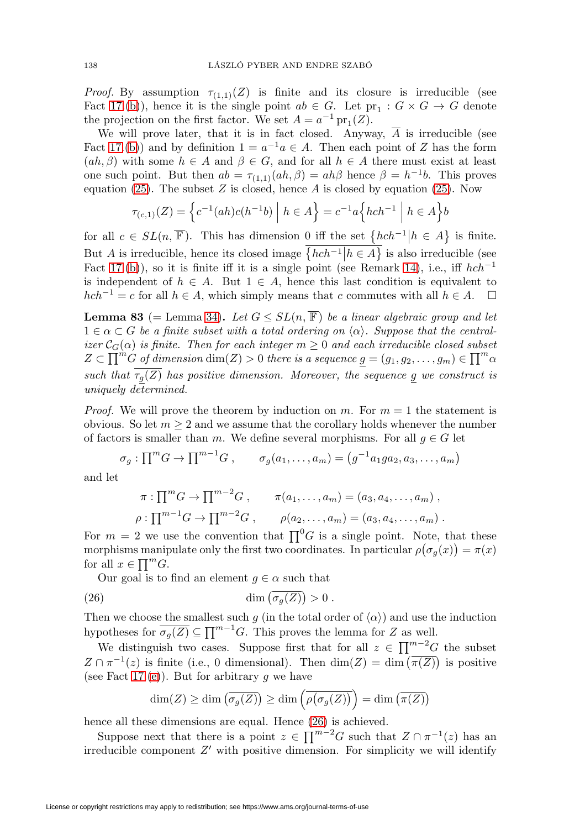*Proof.* By assumption  $\tau_{(1,1)}(Z)$  is finite and its closure is irreducible (see Fact [17.](#page-7-5)[\(b\)](#page-8-2)), hence it is the single point  $ab \in G$ . Let  $pr_1 : G \times G \to G$  denote the projection on the first factor. We set  $A = a^{-1}$  pr<sub>1</sub>(Z).

We will prove later, that it is in fact closed. Anyway,  $\overline{A}$  is irreducible (see Fact [17.](#page-7-5)[\(b\)](#page-8-2)) and by definition  $1 = a^{-1}a \in A$ . Then each point of Z has the form  $(ah, \beta)$  with some  $h \in A$  and  $\beta \in G$ , and for all  $h \in A$  there must exist at least one such point. But then  $ab = \tau_{(1,1)}(ah, \beta) = ah\beta$  hence  $\beta = h^{-1}b$ . This proves equation [\(25\)](#page-42-2). The subset  $Z$  is closed, hence  $A$  is closed by equation (25). Now

$$
\tau_{(c,1)}(Z) = \left\{ c^{-1}(ah)c(h^{-1}b) \mid h \in A \right\} = c^{-1}a \left\{ hch^{-1} \mid h \in A \right\} b
$$

for all  $c \in SL(n, \overline{\mathbb{F}})$ . This has dimension  $\underbrace{0 \text{ iff the set } \{hch^{-1} | h \in A\}}$  is finite. But A is irreducible, hence its closed image  $\{hch^{-1} | h \in A\}$  is also irreducible (see Fact [17.](#page-7-5)[\(b\)](#page-8-2)), so it is finite iff it is a single point (see Remark [14\)](#page-6-7), i.e., iff  $hch^{-1}$ is independent of  $h \in A$ . But  $1 \in A$ , hence this last condition is equivalent to  $hch^{-1} = c$  for all  $h \in A$ , which simply means that c commutes with all  $h \in A$ .  $\Box$ 

<span id="page-43-0"></span>**Lemma 83** (= Lemma [34\)](#page-15-1). Let  $G \leq SL(n, \overline{\mathbb{F}})$  be a linear algebraic group and let  $1 \in \alpha \subset G$  be a finite subset with a total ordering on  $\langle \alpha \rangle$ . Suppose that the centralizer  $\mathcal{C}_G(\alpha)$  is finite. Then for each integer  $m \geq 0$  and each irreducible closed subset  $Z \subset \prod^{m} G$  of dimension  $\dim(Z) > 0$  there is a sequence  $g = (g_1, g_2, \ldots, g_m) \in \prod^{m} \alpha$ such that  $\overline{\tau_g(Z)}$  has positive dimension. Moreover, the sequence g we construct is uniquely determined.

*Proof.* We will prove the theorem by induction on m. For  $m = 1$  the statement is obvious. So let  $m \geq 2$  and we assume that the corollary holds whenever the number of factors is smaller than m. We define several morphisms. For all  $g \in G$  let

$$
\sigma_g: \prod^m G \to \prod^{m-1} G , \qquad \sigma_g(a_1, \ldots, a_m) = (g^{-1} a_1 g a_2, a_3, \ldots, a_m)
$$

and let

$$
\pi : \prod^{m} G \to \prod^{m-2} G , \qquad \pi(a_1, ..., a_m) = (a_3, a_4, ..., a_m) ,
$$
  

$$
\rho : \prod^{m-1} G \to \prod^{m-2} G , \qquad \rho(a_2, ..., a_m) = (a_3, a_4, ..., a_m) .
$$

For  $m = 2$  we use the convention that  $\prod^0 G$  is a single point. Note, that these morphisms manipulate only the first two coordinates. In particular  $\rho(\sigma_g(x)) = \pi(x)$ for all  $x \in \prod^m G$ .

Our goal is to find an element  $g \in \alpha$  such that

<span id="page-43-1"></span>(26) 
$$
\dim\left(\overline{\sigma_g(Z)}\right) > 0.
$$

Then we choose the smallest such g (in the total order of  $\langle \alpha \rangle$ ) and use the induction hypotheses for  $\overline{\sigma_g(Z)} \subseteq \prod^{m-1} G$ . This proves the lemma for Z as well.

We distinguish two cases. Suppose first that for all  $z \in \prod^{m-2} G$  the subset  $Z \cap \pi^{-1}(z)$  is finite (i.e., 0 dimensional). Then  $\dim(Z) = \dim(\overline{\pi(Z)})$  is positive (see Fact [17.](#page-7-5)[\(e\)](#page-8-5)). But for arbitrary q we have

$$
\dim(Z) \ge \dim\left(\overline{\sigma_g(Z)}\right) \ge \dim\left(\overline{\rho\big(\sigma_g(Z)\big)}\right) = \dim\left(\overline{\pi(Z)}\right)
$$

hence all these dimensions are equal. Hence [\(26\)](#page-43-1) is achieved.

Suppose next that there is a point  $z \in \prod^{m-2} G$  such that  $Z \cap \pi^{-1}(z)$  has an irreducible component  $Z'$  with positive dimension. For simplicity we will identify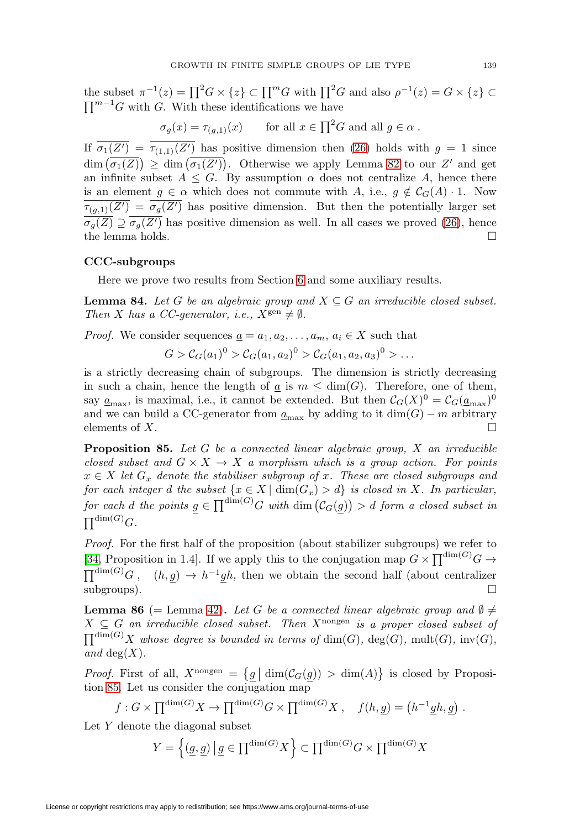the subset  $\pi^{-1}(z) = \prod^2 G \times \{z\} \subset \prod^m G$  with  $\prod^2 G$  and also  $\rho^{-1}(z) = G \times \{z\} \subset \Gamma$  $\prod^{m-1} G$  with G. With these identifications we have

$$
\sigma_g(x) = \tau_{(g,1)}(x)
$$
 for all  $x \in \prod^2 G$  and all  $g \in \alpha$ .

If  $\sigma_1(Z') = \tau_{(1,1)}(Z')$  has positive dimension then [\(26\)](#page-43-1) holds with  $g = 1$  since  $\dim (\sigma_1(Z)) \geq \dim (\sigma_1(Z'))$ . Otherwise we apply Lemma [82](#page-42-1) to our Z' and get an infinite subset  $A \leq G$ . By assumption  $\alpha$  does not centralize A, hence there is an element  $g \in \alpha$  which does not commute with A, i.e.,  $g \notin C_G(A) \cdot 1$ . Now  $\tau_{(g,1)}(Z') = \sigma_g(Z')$  has positive dimension. But then the potentially larger set  $\sigma_g(Z) \supseteq \sigma_g(Z')$  has positive dimension as well. In all cases we proved [\(26\)](#page-43-1), hence the lemma holds.  $\Box$ 

### **CCC-subgroups**

Here we prove two results from Section [6](#page-20-0) and some auxiliary results.

<span id="page-44-2"></span>**Lemma 84.** Let G be an algebraic group and  $X \subseteq G$  an irreducible closed subset. Then X has a CC-generator, i.e.,  $X^{\text{gen}} \neq \emptyset$ .

*Proof.* We consider sequences  $\underline{a} = a_1, a_2, \ldots, a_m, a_i \in X$  such that

$$
G > C_G(a_1)^0 > C_G(a_1, a_2)^0 > C_G(a_1, a_2, a_3)^0 > \dots
$$

is a strictly decreasing chain of subgroups. The dimension is strictly decreasing in such a chain, hence the length of  $\underline{a}$  is  $m \leq \dim(G)$ . Therefore, one of them, say  $\underline{a}_{\text{max}}$ , is maximal, i.e., it cannot be extended. But then  $C_G(X)^0 = C_G(\underline{a}_{\text{max}})^0$ and we can build a CC-generator from  $\underline{a}_{\text{max}}$  by adding to it  $\dim(G) - m$  arbitrary elements of  $X$ .

<span id="page-44-1"></span>**Proposition 85.** Let G be a connected linear algebraic group, X an irreducible closed subset and  $G \times X \to X$  a morphism which is a group action. For points  $x \in X$  let  $G_x$  denote the stabiliser subgroup of x. These are closed subgroups and for each integer d the subset  $\{x \in X \mid \dim(G_x) > d\}$  is closed in X. In particular, for each d the points  $g \in \prod^{\dim(G)} G$  with  $\dim(\mathcal{C}_G(g)) > d$  form a closed subset in  $\prod^{\dim(G)} G.$ 

Proof. For the first half of the proposition (about stabilizer subgroups) we refer to [\[34,](#page-50-24) Proposition in 1.4]. If we apply this to the conjugation map  $G \times \prod^{\dim(G)} G \to$  $\prod^{\dim(G)} G$ ,  $(h, g) \to h^{-1}gh$ , then we obtain the second half (about centralizer  $\Box$  subgroups).

<span id="page-44-0"></span>**Lemma 86** (= Lemma [42\)](#page-20-3). Let G be a connected linear algebraic group and  $\emptyset \neq$  $X \subseteq G$  an irreducible closed subset. Then  $X^{nongen}$  is a proper closed subset of  $\prod^{\dim(G)} X$  whose degree is bounded in terms of  $\dim(G)$ ,  $\deg(G)$ ,  $\mathrm{mult}(G)$ ,  $\mathrm{inv}(G)$ , and  $deg(X)$ .

*Proof.* First of all,  $X^{\text{nongen}} = {\underline{g} | \dim(\mathcal{C}_G(\underline{g})) > \dim(A)}$  is closed by Proposition [85.](#page-44-1) Let us consider the conjugation map

$$
f: G \times \prod^{\dim(G)} X \to \prod^{\dim(G)} G \times \prod^{\dim(G)} X
$$
,  $f(h, \underline{g}) = (h^{-1} \underline{g} h, \underline{g})$ .

Let Y denote the diagonal subset

$$
Y = \left\{ (\underline{g}, \underline{g}) \, | \, \underline{g} \in \Pi^{\dim(G)} X \right\} \subset \Pi^{\dim(G)} G \times \Pi^{\dim(G)} X
$$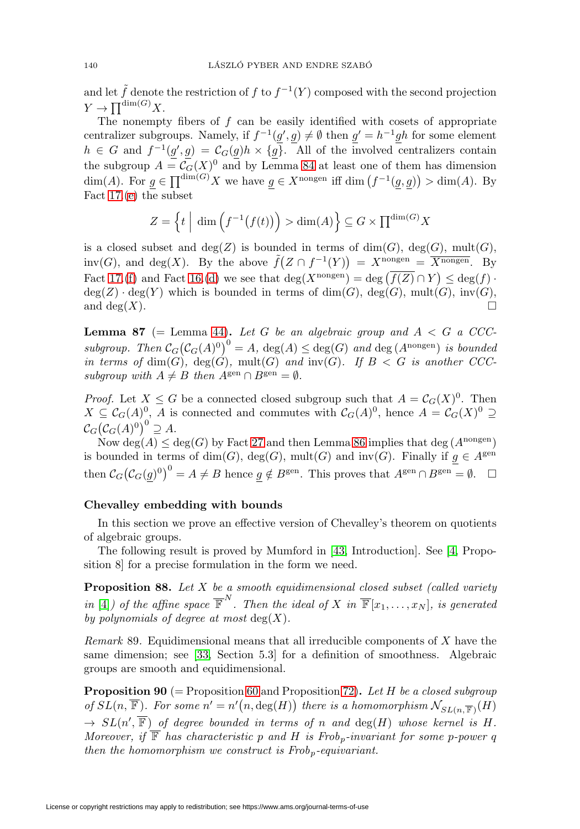and let  $\tilde{f}$  denote the restriction of f to  $f^{-1}(Y)$  composed with the second projection  $Y \to \prod^{\dim(G)} X$ .

The nonempty fibers of  $f$  can be easily identified with cosets of appropriate centralizer subgroups. Namely, if  $f^{-1}(g', g) \neq \emptyset$  then  $g' = h^{-1}gh$  for some element  $h \in G$  and  $f^{-1}(g', g) = \mathcal{C}_G(g)h \times \{g\}.$  All of the involved centralizers contain the subgroup  $A = \mathcal{C}_G(X)^0$  and by Lemma [84](#page-44-2) at least one of them has dimension  $\dim(A)$ . For  $g \in \prod^{\dim(G)} X$  we have  $g \in X^{n \text{congen}}$  iff  $\dim(f^{-1}(g,g)) > \dim(A)$ . By Fact [17.](#page-7-5)[\(e\)](#page-8-5) the subset

$$
Z = \left\{ t \mid \dim \left( f^{-1}(f(t)) \right) > \dim(A) \right\} \subseteq G \times \prod^{\dim(G)} X
$$

is a closed subset and  $deg(Z)$  is bounded in terms of  $dim(G)$ ,  $deg(G)$ ,  $mult(G)$ ,  $inv(G)$ , and  $deg(X)$ . By the above  $\tilde{f}(Z \cap f^{-1}(Y)) = X^{nongen} = \overline{X^{nongen}}$ . By Fact [17.](#page-7-5)[\(f\)](#page-8-6) and Fact [16.](#page-6-0)[\(d\)](#page-6-1) we see that  $\deg(X^{\text{nongen}}) = \deg(\overline{f(Z)} \cap Y) \leq \deg(f)$ .  $deg(Z) \cdot deg(Y)$  which is bounded in terms of  $dim(G)$ ,  $deg(G)$ ,  $mult(G)$ ,  $inv(G)$ , and  $\deg(X)$ .

<span id="page-45-0"></span>**Lemma 87** (= Lemma [44\)](#page-21-1). Let G be an algebraic group and  $A < G$  a CCCsubgroup. Then  $C_G(C_G(A)^0)^0 = A$ ,  $deg(A) \leq deg(G)$  and  $deg(A^{\text{nongen}})$  is bounded in terms of  $\dim(G)$ ,  $\deg(G)$ ,  $mult(G)$  and  $inv(G)$ . If  $B < G$  is another CCCsubgroup with  $A \neq B$  then  $A^{\text{gen}} \cap B^{\text{gen}} = \emptyset$ .

*Proof.* Let  $X \leq G$  be a connected closed subgroup such that  $A = \mathcal{C}_G(X)^0$ . Then  $X \subseteq \mathcal{C}_G(A)^0$ , A is connected and commutes with  $\mathcal{C}_G(A)^0$ , hence  $A = \mathcal{C}_G(X)^0 \supseteq$  $\mathcal{C}_G\big(\mathcal{C}_G(A)^0\big)^0\supseteq A.$ 

Now deg(A)  $\leq$  deg(G) by Fact [27](#page-13-2) and then Lemma [86](#page-44-0) implies that deg (Anongen) is bounded in terms of dim(G), deg(G), mult(G) and  $inv(G)$ . Finally if  $g \in A^{gen}$ then  $\mathcal{C}_G(\mathcal{C}_G(g)^0)^0 = A \neq B$  hence  $g \notin B^{\text{gen}}$ . This proves that  $A^{\text{gen}} \cap B^{\text{gen}} = \emptyset$ .  $\Box$ 

### **Chevalley embedding with bounds**

In this section we prove an effective version of Chevalley's theorem on quotients of algebraic groups.

The following result is proved by Mumford in [\[43,](#page-51-6) Introduction]. See [\[4,](#page-49-15) Proposition 8] for a precise formulation in the form we need.

<span id="page-45-2"></span>**Proposition 88.** Let X be a smooth equidimensional closed subset (called variety in [\[4\]](#page-49-15)) of the affine space  $\overline{\mathbb{F}}^N$ . Then the ideal of X in  $\overline{\mathbb{F}}[x_1,\ldots,x_N]$ , is generated by polynomials of degree at most  $deg(X)$ .

Remark 89. Equidimensional means that all irreducible components of X have the same dimension; see [\[33,](#page-50-12) Section 5.3] for a definition of smoothness. Algebraic groups are smooth and equidimensional.

<span id="page-45-1"></span>**Proposition 90** (= Proposition [60](#page-32-1) and Proposition [72\)](#page-36-6). Let H be a closed subgroup of  $SL(n, \overline{\mathbb{F}})$ . For some  $n' = n'(n, \deg(H))$  there is a homomorphism  $\mathcal{N}_{SL(n, \overline{\mathbb{F}})}(H)$  $\rightarrow SL(n', \mathbb{F})$  of degree bounded in terms of n and  $deg(H)$  whose kernel is H. Moreover, if  $\overline{\mathbb{F}}$  has characteristic p and H is Frob<sub>p</sub>-invariant for some p-power q then the homomorphism we construct is  $Frob_p$ -equivariant.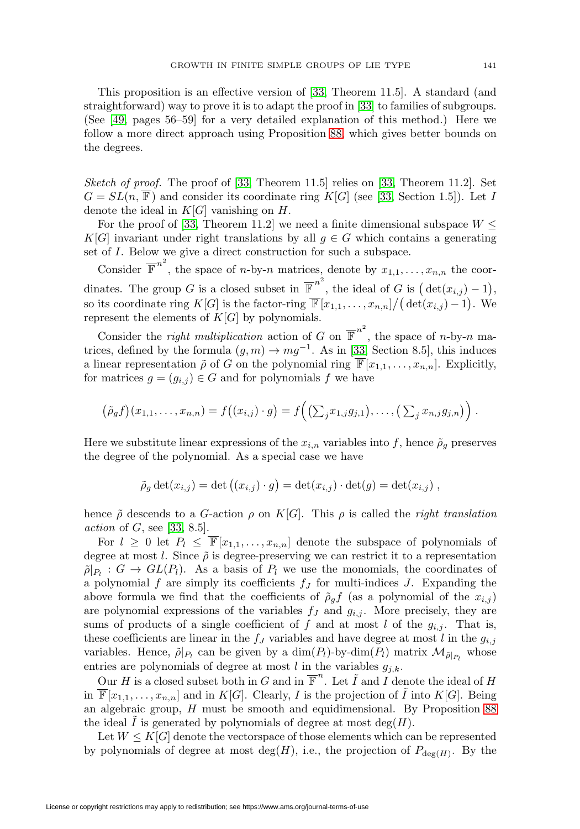This proposition is an effective version of [\[33,](#page-50-12) Theorem 11.5]. A standard (and straightforward) way to prove it is to adapt the proof in [\[33\]](#page-50-12) to families of subgroups. (See [\[49,](#page-51-12) pages 56–59] for a very detailed explanation of this method.) Here we follow a more direct approach using Proposition [88,](#page-45-2) which gives better bounds on the degrees.

Sketch of proof. The proof of  $[33,$  Theorem 11.5] relies on  $[33,$  Theorem 11.2]. Set  $G = SL(n, \overline{\mathbb{F}})$  and consider its coordinate ring  $K[G]$  (see [\[33,](#page-50-12) Section 1.5]). Let I denote the ideal in  $K[G]$  vanishing on  $H$ .

For the proof of [\[33,](#page-50-12) Theorem 11.2] we need a finite dimensional subspace  $W \leq$ K[G] invariant under right translations by all  $g \in G$  which contains a generating set of I. Below we give a direct construction for such a subspace.

Consider  $\overline{\mathbb{F}}^{n^2}$ , the space of *n*-by-*n* matrices, denote by  $x_{1,1},...,x_{n,n}$  the coordinates. The group G is a closed subset in  $\overline{\mathbb{F}}^{n^2}$ , the ideal of G is  $(\det(x_{i,j}) - 1)$ , so its coordinate ring  $K[G]$  is the factor-ring  $\overline{\mathbb{F}}[x_{1,1},\ldots,x_{n,n}]/(\det(x_{i,j})-1)$ . We represent the elements of  $K[G]$  by polynomials.

Consider the *right multiplication* action of G on  $\overline{\mathbb{F}}^{n^2}$ , the space of *n*-by-*n* matrices, defined by the formula  $(g,m) \to mg^{-1}$ . As in [\[33,](#page-50-12) Section 8.5], this induces a linear representation  $\tilde{\rho}$  of G on the polynomial ring  $\overline{\mathbb{F}}[x_{1,1},\ldots,x_{n,n}]$ . Explicitly, for matrices  $g = (g_{i,j}) \in G$  and for polynomials f we have

$$
(\tilde{\rho}_g f)(x_{1,1},\ldots,x_{n,n})=f((x_{i,j})\cdot g)=f\big((\sum_j x_{1,j}g_{j,1}),\ldots,(\sum_j x_{n,j}g_{j,n})\big).
$$

Here we substitute linear expressions of the  $x_{i,n}$  variables into f, hence  $\tilde{\rho}_g$  preserves the degree of the polynomial. As a special case we have

$$
\tilde{\rho}_g \det(x_{i,j}) = \det((x_{i,j}) \cdot g) = \det(x_{i,j}) \cdot \det(g) = \det(x_{i,j}),
$$

hence  $\tilde{\rho}$  descends to a G-action  $\rho$  on K[G]. This  $\rho$  is called the *right translation* action of  $G$ , see [\[33,](#page-50-12) 8.5].

For  $l \geq 0$  let  $P_l \leq \overline{\mathbb{F}}[x_{1,1},...,x_{n,n}]$  denote the subspace of polynomials of degree at most l. Since  $\tilde{\rho}$  is degree-preserving we can restrict it to a representation  $\tilde{\rho}|_{P_l}$  :  $G \to GL(P_l)$ . As a basis of  $P_l$  we use the monomials, the coordinates of a polynomial f are simply its coefficients  $f_J$  for multi-indices J. Expanding the above formula we find that the coefficients of  $\tilde{\rho}_g f$  (as a polynomial of the  $x_{i,j}$ ) are polynomial expressions of the variables  $f_J$  and  $g_{i,j}$ . More precisely, they are sums of products of a single coefficient of f and at most l of the  $g_{i,j}$ . That is, these coefficients are linear in the  $f_J$  variables and have degree at most l in the  $g_{i,j}$ variables. Hence,  $\tilde{\rho}|_{P_l}$  can be given by a  $\dim(P_l)$ -by-dim $(P_l)$  matrix  $\mathcal{M}_{\tilde{\rho}|_{P_l}}$  whose entries are polynomials of degree at most  $l$  in the variables  $g_{j,k}$ .

Our H is a closed subset both in G and in  $\overline{\mathbb{F}}^n$ . Let  $\tilde{I}$  and I denote the ideal of H in  $\overline{\mathbb{F}}[x_{1,1},\ldots,x_{n,n}]$  and in  $K[G]$ . Clearly, I is the projection of  $\tilde{I}$  into  $K[G]$ . Being an algebraic group, H must be smooth and equidimensional. By Proposition [88](#page-45-2) the ideal I is generated by polynomials of degree at most  $deg(H)$ .

Let  $W \leq K[G]$  denote the vectorspace of those elements which can be represented by polynomials of degree at most deg(H), i.e., the projection of  $P_{\text{dec}(H)}$ . By the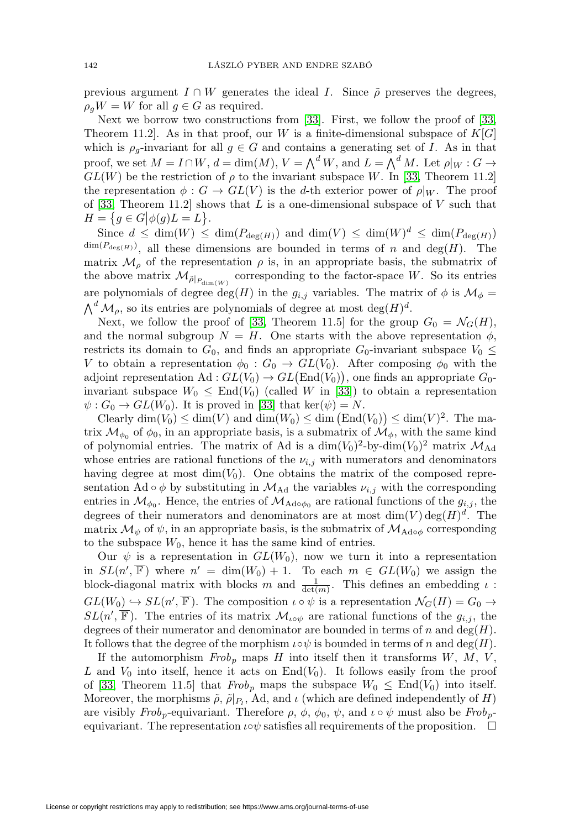previous argument  $I \cap W$  generates the ideal I. Since  $\tilde{\rho}$  preserves the degrees,  $\rho_g W = W$  for all  $g \in G$  as required.

Next we borrow two constructions from [\[33\]](#page-50-12). First, we follow the proof of [\[33,](#page-50-12) Theorem 11.2. As in that proof, our W is a finite-dimensional subspace of  $K[G]$ which is  $\rho_q$ -invariant for all  $g \in G$  and contains a generating set of I. As in that proof, we set  $M = I \cap W$ ,  $d = \dim(M)$ ,  $V = \bigwedge^d W$ , and  $L = \bigwedge^d M$ . Let  $\rho|_W : G \to$  $GL(W)$  be the restriction of  $\rho$  to the invariant subspace W. In [\[33,](#page-50-12) Theorem 11.2] the representation  $\phi : G \to GL(V)$  is the d-th exterior power of  $\rho|_W$ . The proof of [\[33,](#page-50-12) Theorem 11.2] shows that  $L$  is a one-dimensional subspace of  $V$  such that  $H = \{ g \in G | \phi(g)L = L \}.$ 

Since  $d \leq \dim(W) \leq \dim(P_{\deg(H)})$  and  $\dim(V) \leq \dim(W)^d \leq \dim(P_{\deg(H)})$  $\dim(P_{\deg(H)})$ , all these dimensions are bounded in terms of n and  $\deg(H)$ . The matrix  $\mathcal{M}_{\rho}$  of the representation  $\rho$  is, in an appropriate basis, the submatrix of the above matrix  $\mathcal{M}_{\tilde{\rho}|_{P_{\dim}(W)}}$  corresponding to the factor-space W. So its entries are polynomials of degree deg(H) in the  $g_{i,j}$  variables. The matrix of  $\phi$  is  $\mathcal{M}_{\phi}$  =  $\bigwedge^d \mathcal{M}_{\rho}$ , so its entries are polynomials of degree at most  $\deg(H)^d$ .

Next, we follow the proof of [\[33,](#page-50-12) Theorem 11.5] for the group  $G_0 = \mathcal{N}_G(H)$ , and the normal subgroup  $N = H$ . One starts with the above representation  $\phi$ , restricts its domain to  $G_0$ , and finds an appropriate  $G_0$ -invariant subspace  $V_0 \leq$ V to obtain a representation  $\phi_0 : G_0 \to GL(V_0)$ . After composing  $\phi_0$  with the adjoint representation  $\text{Ad}: GL(V_0) \to GL(\text{End}(V_0)),$  one finds an appropriate  $G_0$ invariant subspace  $W_0 \leq \text{End}(V_0)$  (called W in [\[33\]](#page-50-12)) to obtain a representation  $\psi: G_0 \to GL(W_0)$ . It is proved in [\[33\]](#page-50-12) that ker( $\psi$ ) = N.

Clearly  $\dim(V_0) \leq \dim(V)$  and  $\dim(W_0) \leq \dim(\text{End}(V_0)) \leq \dim(V)^2$ . The matrix  $\mathcal{M}_{\phi_0}$  of  $\phi_0$ , in an appropriate basis, is a submatrix of  $\mathcal{M}_{\phi}$ , with the same kind of polynomial entries. The matrix of Ad is a  $\dim(V_0)^2$ -by-dim $(V_0)^2$  matrix  $\mathcal{M}_{\text{Ad}}$ whose entries are rational functions of the  $\nu_{i,j}$  with numerators and denominators having degree at most  $\dim(V_0)$ . One obtains the matrix of the composed representation Ad ∘  $\phi$  by substituting in  $\mathcal{M}_{\text{Ad}}$  the variables  $\nu_{i,j}$  with the corresponding entries in  $\mathcal{M}_{\phi_0}$ . Hence, the entries of  $\mathcal{M}_{\text{Ad} \phi_0}$  are rational functions of the  $g_{i,j}$ , the degrees of their numerators and denominators are at most  $\dim(V) \deg(H)^d$ . The matrix  $\mathcal{M}_{\psi}$  of  $\psi$ , in an appropriate basis, is the submatrix of  $\mathcal{M}_{\text{Ado}\phi}$  corresponding to the subspace  $W_0$ , hence it has the same kind of entries.

Our  $\psi$  is a representation in  $GL(W_0)$ , now we turn it into a representation in  $SL(n', \mathbb{F})$  where  $n' = dim(W_0) + 1$ . To each  $m \in GL(W_0)$  we assign the block-diagonal matrix with blocks m and  $\frac{1}{\det(m)}$ . This defines an embedding  $\iota$ :  $GL(W_0) \hookrightarrow SL(n', \mathbb{F})$ . The composition  $\iota \circ \psi$  is a representation  $\mathcal{N}_G(H) = G_0 \rightarrow$  $SL(n', \mathbb{F})$ . The entries of its matrix  $\mathcal{M}_{\iota \circ \psi}$  are rational functions of the  $g_{i,j}$ , the degrees of their numerator and denominator are bounded in terms of n and deg $(H)$ . It follows that the degree of the morphism  $\iota \circ \psi$  is bounded in terms of n and deg(H).

If the automorphism  $Frob_p$  maps H into itself then it transforms  $W, M, V,$ L and  $V_0$  into itself, hence it acts on End $(V_0)$ . It follows easily from the proof of [\[33,](#page-50-12) Theorem 11.5] that  $Frob_p$  maps the subspace  $W_0 \n\leq \text{End}(V_0)$  into itself. Moreover, the morphisms  $\tilde{\rho}, \tilde{\rho}|_{P_1}$ , Ad, and  $\iota$  (which are defined independently of H) are visibly  $Frob_p$ -equivariant. Therefore  $\rho$ ,  $\phi$ ,  $\phi_0$ ,  $\psi$ , and  $\iota \circ \psi$  must also be  $Frob_p$ equivariant. The representation  $\iota \circ \psi$  satisfies all requirements of the proposition.  $\Box$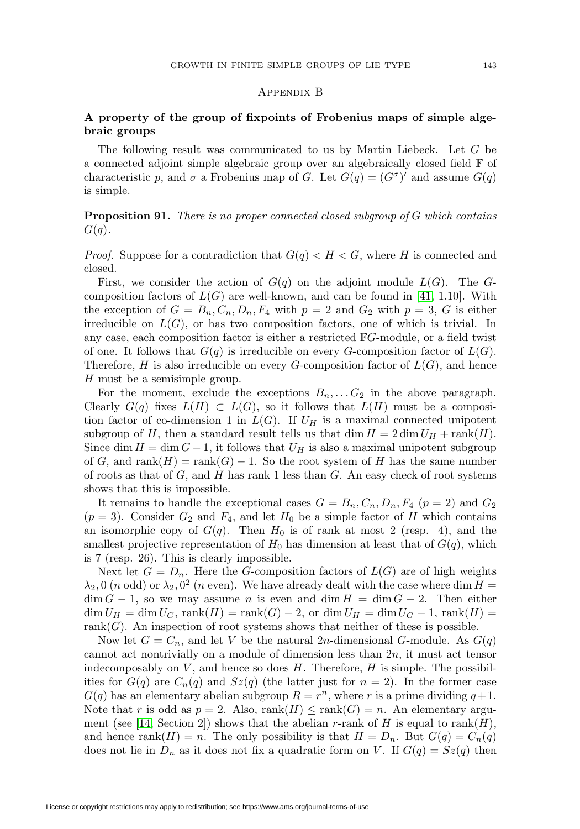### Appendix B

# <span id="page-48-0"></span>**A property of the group of fixpoints of Frobenius maps of simple algebraic groups**

The following result was communicated to us by Martin Liebeck. Let G be a connected adjoint simple algebraic group over an algebraically closed field F of characteristic p, and  $\sigma$  a Frobenius map of G. Let  $G(q) = (G^{\sigma})'$  and assume  $G(q)$ is simple.

<span id="page-48-1"></span>**Proposition 91.** There is no proper connected closed subgroup of G which contains  $G(q)$ .

*Proof.* Suppose for a contradiction that  $G(q) < H < G$ , where H is connected and closed.

First, we consider the action of  $G(q)$  on the adjoint module  $L(G)$ . The Gcomposition factors of  $L(G)$  are well-known, and can be found in [\[41,](#page-51-13) 1.10]. With the exception of  $G = B_n, C_n, D_n, F_4$  with  $p = 2$  and  $G_2$  with  $p = 3$ , G is either irreducible on  $L(G)$ , or has two composition factors, one of which is trivial. In any case, each composition factor is either a restricted FG-module, or a field twist of one. It follows that  $G(q)$  is irreducible on every G-composition factor of  $L(G)$ . Therefore, H is also irreducible on every G-composition factor of  $L(G)$ , and hence H must be a semisimple group.

For the moment, exclude the exceptions  $B_n, \ldots, G_2$  in the above paragraph. Clearly  $G(q)$  fixes  $L(H) \subset L(G)$ , so it follows that  $L(H)$  must be a composition factor of co-dimension 1 in  $L(G)$ . If  $U_H$  is a maximal connected unipotent subgroup of H, then a standard result tells us that dim  $H = 2 \dim U_H + \text{rank}(H)$ . Since dim  $H = \dim G - 1$ , it follows that  $U_H$  is also a maximal unipotent subgroup of G, and rank $(H) = \text{rank}(G) - 1$ . So the root system of H has the same number of roots as that of  $G$ , and  $H$  has rank 1 less than  $G$ . An easy check of root systems shows that this is impossible.

It remains to handle the exceptional cases  $G = B_n, C_n, D_n, F_4$  ( $p = 2$ ) and  $G_2$  $(p = 3)$ . Consider  $G_2$  and  $F_4$ , and let  $H_0$  be a simple factor of H which contains an isomorphic copy of  $G(q)$ . Then  $H_0$  is of rank at most 2 (resp. 4), and the smallest projective representation of  $H_0$  has dimension at least that of  $G(q)$ , which is 7 (resp. 26). This is clearly impossible.

Next let  $G = D_n$ . Here the G-composition factors of  $L(G)$  are of high weights  $\lambda_2$ , 0 (n odd) or  $\lambda_2$ , 0<sup>2</sup> (n even). We have already dealt with the case where dim H =  $\dim G - 1$ , so we may assume *n* is even and  $\dim H = \dim G - 2$ . Then either  $\dim U_H = \dim U_G$ ,  $\text{rank}(H) = \text{rank}(G) - 2$ , or  $\dim U_H = \dim U_G - 1$ ,  $\text{rank}(H) =$ rank $(G)$ . An inspection of root systems shows that neither of these is possible.

Now let  $G = C_n$ , and let V be the natural 2n-dimensional G-module. As  $G(q)$ cannot act nontrivially on a module of dimension less than  $2n$ , it must act tensor indecomposably on  $V$ , and hence so does  $H$ . Therefore,  $H$  is simple. The possibilities for  $G(q)$  are  $C_n(q)$  and  $Sz(q)$  (the latter just for  $n = 2$ ). In the former case  $G(q)$  has an elementary abelian subgroup  $R = r^n$ , where r is a prime dividing  $q+1$ . Note that r is odd as  $p = 2$ . Also, rank $(H) \leq \text{rank}(G) = n$ . An elementary argu-ment (see [\[14,](#page-49-16) Section 2]) shows that the abelian r-rank of H is equal to rank(H), and hence rank(H) = n. The only possibility is that  $H = D_n$ . But  $G(q) = C_n(q)$ does not lie in  $D_n$  as it does not fix a quadratic form on V. If  $G(q) = Sz(q)$  then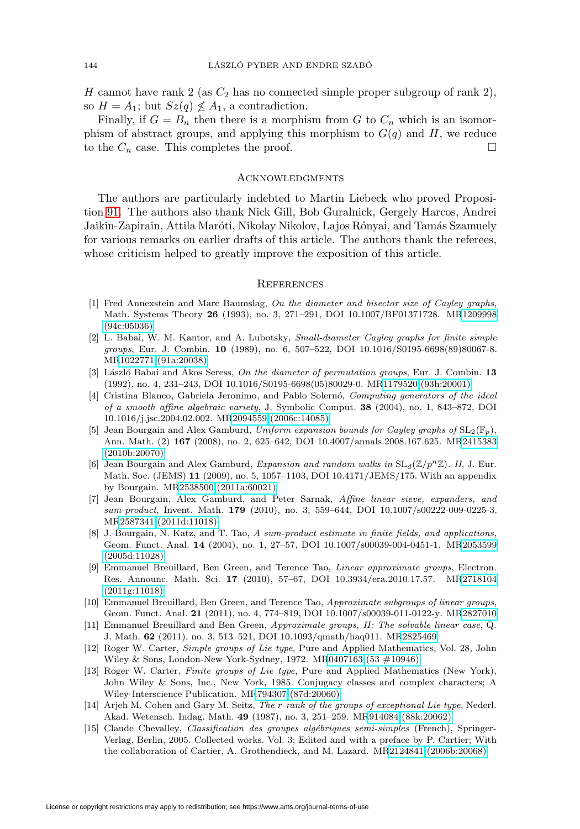H cannot have rank 2 (as  $C_2$  has no connected simple proper subgroup of rank 2), so  $H = A_1$ ; but  $Sz(q) \nleq A_1$ , a contradiction.

Finally, if  $G = B_n$  then there is a morphism from G to  $C_n$  which is an isomorphism of abstract groups, and applying this morphism to  $G(q)$  and H, we reduce to the  $C_n$  case. This completes the proof.  $\Box$ 

#### <span id="page-49-0"></span>**ACKNOWLEDGMENTS**

The authors are particularly indebted to Martin Liebeck who proved Proposition [91.](#page-48-1) The authors also thank Nick Gill, Bob Guralnick, Gergely Harcos, Andrei Jaikin-Zapirain, Attila Maróti, Nikolay Nikolov, Lajos Rónyai, and Tamás Szamuely for various remarks on earlier drafts of this article. The authors thank the referees, whose criticism helped to greatly improve the exposition of this article.

#### <span id="page-49-1"></span>**REFERENCES**

- <span id="page-49-13"></span>[1] Fred Annexstein and Marc Baumslag, On the diameter and bisector size of Cayley graphs, Math. Systems Theory **26** (1993), no. 3, 271–291, DOI 10.1007/BF01371728. M[R1209998](http://www.ams.org/mathscinet-getitem?mr=1209998) [\(94c:05036\)](http://www.ams.org/mathscinet-getitem?mr=1209998)
- <span id="page-49-14"></span>[2] L. Babai, W. M. Kantor, and A. Lubotsky, Small-diameter Cayley graphs for finite simple groups, Eur. J. Combin. **10** (1989), no. 6, 507–522, DOI 10.1016/S0195-6698(89)80067-8. M[R1022771 \(91a:20038\)](http://www.ams.org/mathscinet-getitem?mr=1022771)
- <span id="page-49-7"></span>[3] László Babai and Ákos Seress, *On the diameter of permutation groups*, Eur. J. Combin. **13** (1992), no. 4, 231–243, DOI 10.1016/S0195-6698(05)80029-0. M[R1179520 \(93h:20001\)](http://www.ams.org/mathscinet-getitem?mr=1179520)
- <span id="page-49-15"></span>[4] Cristina Blanco, Gabriela Jeronimo, and Pablo Solernó, Computing generators of the ideal of a smooth affine algebraic variety, J. Symbolic Comput. **38** (2004), no. 1, 843–872, DOI 10.1016/j.jsc.2004.02.002. M[R2094559 \(2006c:14085\)](http://www.ams.org/mathscinet-getitem?mr=2094559)
- <span id="page-49-3"></span>[5] Jean Bourgain and Alex Gamburd, Uniform expansion bounds for Cayley graphs of  $SL_2(\mathbb{F}_p)$ , Ann. Math. (2) **167** (2008), no. 2, 625–642, DOI 10.4007/annals.2008.167.625. M[R2415383](http://www.ams.org/mathscinet-getitem?mr=2415383) [\(2010b:20070\)](http://www.ams.org/mathscinet-getitem?mr=2415383)
- <span id="page-49-5"></span>[6] Jean Bourgain and Alex Gamburd, Expansion and random walks in  $SL_d(\mathbb{Z}/p^n\mathbb{Z})$ . II, J. Eur. Math. Soc. (JEMS) **11** (2009), no. 5, 1057–1103, DOI 10.4171/JEMS/175. With an appendix by Bourgain. M[R2538500 \(2011a:60021\)](http://www.ams.org/mathscinet-getitem?mr=2538500)
- <span id="page-49-4"></span>[7] Jean Bourgain, Alex Gamburd, and Peter Sarnak, Affine linear sieve, expanders, and sum-product, Invent. Math. **179** (2010), no. 3, 559-644, DOI 10.1007/s00222-009-0225-3. M[R2587341 \(2011d:11018\)](http://www.ams.org/mathscinet-getitem?mr=2587341)
- <span id="page-49-9"></span>[8] J. Bourgain, N. Katz, and T. Tao, A sum-product estimate in finite fields, and applications, Geom. Funct. Anal. **14** (2004), no. 1, 27–57, DOI 10.1007/s00039-004-0451-1. M[R2053599](http://www.ams.org/mathscinet-getitem?mr=2053599) [\(2005d:11028\)](http://www.ams.org/mathscinet-getitem?mr=2053599)
- <span id="page-49-2"></span>[9] Emmanuel Breuillard, Ben Green, and Terence Tao, Linear approximate groups, Electron. Res. Announc. Math. Sci. **17** (2010), 57–67, DOI 10.3934/era.2010.17.57. M[R2718104](http://www.ams.org/mathscinet-getitem?mr=2718104) [\(2011g:11018\)](http://www.ams.org/mathscinet-getitem?mr=2718104)
- <span id="page-49-6"></span>[10] Emmanuel Breuillard, Ben Green, and Terence Tao, Approximate subgroups of linear groups, Geom. Funct. Anal. **21** (2011), no. 4, 774–819, DOI 10.1007/s00039-011-0122-y. M[R2827010](http://www.ams.org/mathscinet-getitem?mr=2827010)
- <span id="page-49-8"></span>[11] Emmanuel Breuillard and Ben Green, Approximate groups, II: The solvable linear case, Q. J. Math. **62** (2011), no. 3, 513–521, DOI 10.1093/qmath/haq011. M[R2825469](http://www.ams.org/mathscinet-getitem?mr=2825469)
- <span id="page-49-12"></span>[12] Roger W. Carter, Simple groups of Lie type, Pure and Applied Mathematics, Vol. 28, John Wiley & Sons, London-New York-Sydney, 1972. M[R0407163 \(53 #10946\)](http://www.ams.org/mathscinet-getitem?mr=0407163)
- <span id="page-49-11"></span>[13] Roger W. Carter, Finite groups of Lie type, Pure and Applied Mathematics (New York), John Wiley & Sons, Inc., New York, 1985. Conjugacy classes and complex characters; A Wiley-Interscience Publication. M[R794307 \(87d:20060\)](http://www.ams.org/mathscinet-getitem?mr=794307)
- <span id="page-49-16"></span>[14] Arjeh M. Cohen and Gary M. Seitz, The r-rank of the groups of exceptional Lie type, Nederl. Akad. Wetensch. Indag. Math. **49** (1987), no. 3, 251–259. M[R914084 \(88k:20062\)](http://www.ams.org/mathscinet-getitem?mr=914084)
- <span id="page-49-10"></span>[15] Claude Chevalley, *Classification des groupes algébriques semi-simples* (French), Springer-Verlag, Berlin, 2005. Collected works. Vol. 3; Edited and with a preface by P. Cartier; With the collaboration of Cartier, A. Grothendieck, and M. Lazard. M[R2124841 \(2006b:20068\)](http://www.ams.org/mathscinet-getitem?mr=2124841)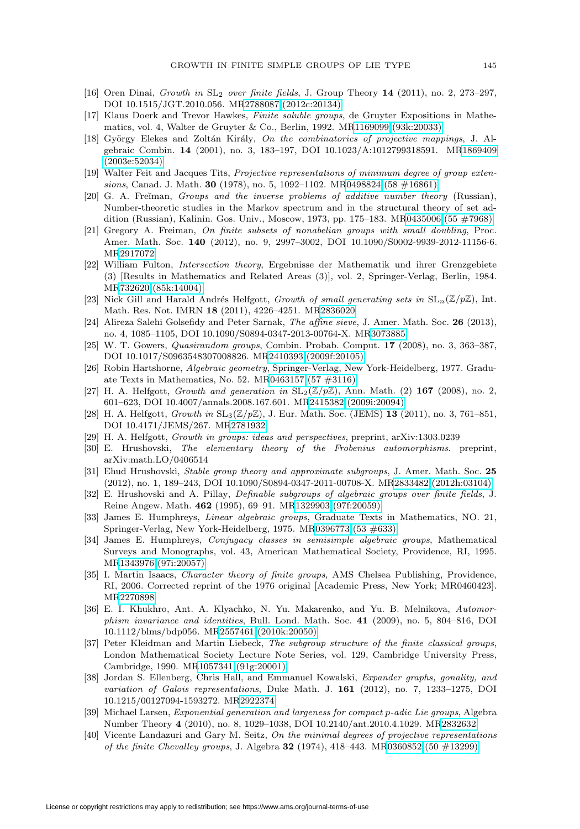- <span id="page-50-3"></span>[16] Oren Dinai, Growth in SL<sup>2</sup> over finite fields, J. Group Theory **14** (2011), no. 2, 273–297, DOI 10.1515/JGT.2010.056. M[R2788087 \(2012c:20134\)](http://www.ams.org/mathscinet-getitem?mr=2788087)
- <span id="page-50-23"></span>[17] Klaus Doerk and Trevor Hawkes, Finite soluble groups, de Gruyter Expositions in Mathematics, vol. 4, Walter de Gruyter & Co., Berlin, 1992. M[R1169099 \(93k:20033\)](http://www.ams.org/mathscinet-getitem?mr=1169099)
- <span id="page-50-7"></span>[18] György Elekes and Zoltán Király, On the combinatorics of projective mappings, J. Algebraic Combin. **14** (2001), no. 3, 183–197, DOI 10.1023/A:1012799318591. M[R1869409](http://www.ams.org/mathscinet-getitem?mr=1869409) [\(2003e:52034\)](http://www.ams.org/mathscinet-getitem?mr=1869409)
- <span id="page-50-22"></span>[19] Walter Feit and Jacques Tits, Projective representations of minimum degree of group extensions, Canad. J. Math. **30** (1978), no. 5, 1092–1102. M[R0498824 \(58 #16861\)](http://www.ams.org/mathscinet-getitem?mr=0498824)
- <span id="page-50-15"></span>[20] G. A. Fre $\gamma$  man, *Groups and the inverse problems of additive number theory* (Russian), Number-theoretic studies in the Markov spectrum and in the structural theory of set addition (Russian), Kalinin. Gos. Univ., Moscow, 1973, pp. 175–183. M[R0435006 \(55 #7968\)](http://www.ams.org/mathscinet-getitem?mr=0435006)
- <span id="page-50-16"></span>[21] Gregory A. Freiman, On finite subsets of nonabelian groups with small doubling, Proc. Amer. Math. Soc. **140** (2012), no. 9, 2997–3002, DOI 10.1090/S0002-9939-2012-11156-6. M[R2917072](http://www.ams.org/mathscinet-getitem?mr=2917072)
- <span id="page-50-14"></span>[22] William Fulton, Intersection theory, Ergebnisse der Mathematik und ihrer Grenzgebiete (3) [Results in Mathematics and Related Areas (3)], vol. 2, Springer-Verlag, Berlin, 1984. M[R732620 \(85k:14004\)](http://www.ams.org/mathscinet-getitem?mr=732620)
- <span id="page-50-4"></span>[23] Nick Gill and Harald Andrés Helfgott, Growth of small generating sets in  $SL_n(\mathbb{Z}/p\mathbb{Z})$ , Int. Math. Res. Not. IMRN **18** (2011), 4226–4251. M[R2836020](http://www.ams.org/mathscinet-getitem?mr=2836020)
- <span id="page-50-11"></span>[24] Alireza Salehi Golsefidy and Peter Sarnak, The affine sieve, J. Amer. Math. Soc. **26** (2013), no. 4, 1085–1105, DOI 10.1090/S0894-0347-2013-00764-X. M[R3073885](http://www.ams.org/mathscinet-getitem?mr=3073885)
- <span id="page-50-1"></span>[25] W. T. Gowers, Quasirandom groups, Combin. Probab. Comput. **17** (2008), no. 3, 363–387, DOI 10.1017/S0963548307008826. M[R2410393 \(2009f:20105\)](http://www.ams.org/mathscinet-getitem?mr=2410393)
- <span id="page-50-13"></span>[26] Robin Hartshorne, Algebraic geometry, Springer-Verlag, New York-Heidelberg, 1977. Graduate Texts in Mathematics, No. 52. M[R0463157 \(57 #3116\)](http://www.ams.org/mathscinet-getitem?mr=0463157)
- <span id="page-50-0"></span>[27] H. A. Helfgott, Growth and generation in  $SL_2(\mathbb{Z}/p\mathbb{Z})$ , Ann. Math. (2) 167 (2008), no. 2, 601–623, DOI 10.4007/annals.2008.167.601. M[R2415382 \(2009i:20094\)](http://www.ams.org/mathscinet-getitem?mr=2415382)
- <span id="page-50-2"></span>[28] H. A. Helfgott, Growth in SL3(Z/pZ), J. Eur. Math. Soc. (JEMS) **13** (2011), no. 3, 761–851, DOI 10.4171/JEMS/267. M[R2781932](http://www.ams.org/mathscinet-getitem?mr=2781932)
- <span id="page-50-9"></span>[29] H. A. Helfgott, Growth in groups: ideas and perspectives, preprint, arXiv:1303.0239
- <span id="page-50-10"></span>[30] E. Hrushovski, The elementary theory of the Frobenius automorphisms. preprint, arXiv:math.LO/0406514
- <span id="page-50-8"></span>[31] Ehud Hrushovski, Stable group theory and approximate subgroups, J. Amer. Math. Soc. **25** (2012), no. 1, 189–243, DOI 10.1090/S0894-0347-2011-00708-X. M[R2833482 \(2012h:03104\)](http://www.ams.org/mathscinet-getitem?mr=2833482)
- <span id="page-50-5"></span>[32] E. Hrushovski and A. Pillay, Definable subgroups of algebraic groups over finite fields, J. Reine Angew. Math. **462** (1995), 69–91. M[R1329903 \(97f:20059\)](http://www.ams.org/mathscinet-getitem?mr=1329903)
- <span id="page-50-12"></span>[33] James E. Humphreys, Linear algebraic groups, Graduate Texts in Mathematics, NO. 21, Springer-Verlag, New York-Heidelberg, 1975. M[R0396773 \(53 #633\)](http://www.ams.org/mathscinet-getitem?mr=0396773)
- <span id="page-50-24"></span>[34] James E. Humphreys, Conjugacy classes in semisimple algebraic groups, Mathematical Surveys and Monographs, vol. 43, American Mathematical Society, Providence, RI, 1995. M[R1343976 \(97i:20057\)](http://www.ams.org/mathscinet-getitem?mr=1343976)
- <span id="page-50-21"></span>[35] I. Martin Isaacs, *Character theory of finite groups*, AMS Chelsea Publishing, Providence, RI, 2006. Corrected reprint of the 1976 original [Academic Press, New York; MR0460423]. M[R2270898](http://www.ams.org/mathscinet-getitem?mr=2270898)
- <span id="page-50-17"></span>[36] E. I. Khukhro, Ant. A. Klyachko, N. Yu. Makarenko, and Yu. B. Melnikova, Automorphism invariance and identities, Bull. Lond. Math. Soc. **41** (2009), no. 5, 804–816, DOI 10.1112/blms/bdp056. M[R2557461 \(2010k:20050\)](http://www.ams.org/mathscinet-getitem?mr=2557461)
- <span id="page-50-18"></span>[37] Peter Kleidman and Martin Liebeck, The subgroup structure of the finite classical groups, London Mathematical Society Lecture Note Series, vol. 129, Cambridge University Press, Cambridge, 1990. M[R1057341 \(91g:20001\)](http://www.ams.org/mathscinet-getitem?mr=1057341)
- <span id="page-50-6"></span>[38] Jordan S. Ellenberg, Chris Hall, and Emmanuel Kowalski, Expander graphs, gonality, and variation of Galois representations, Duke Math. J. **161** (2012), no. 7, 1233–1275, DOI 10.1215/00127094-1593272. M[R2922374](http://www.ams.org/mathscinet-getitem?mr=2922374)
- <span id="page-50-20"></span>[39] Michael Larsen, Exponential generation and largeness for compact p-adic Lie groups, Algebra Number Theory **4** (2010), no. 8, 1029–1038, DOI 10.2140/ant.2010.4.1029. M[R2832632](http://www.ams.org/mathscinet-getitem?mr=2832632)
- <span id="page-50-19"></span>[40] Vicente Landazuri and Gary M. Seitz, On the minimal degrees of projective representations of the finite Chevalley groups, J. Algebra **32** (1974), 418–443. M[R0360852 \(50 #13299\)](http://www.ams.org/mathscinet-getitem?mr=0360852)